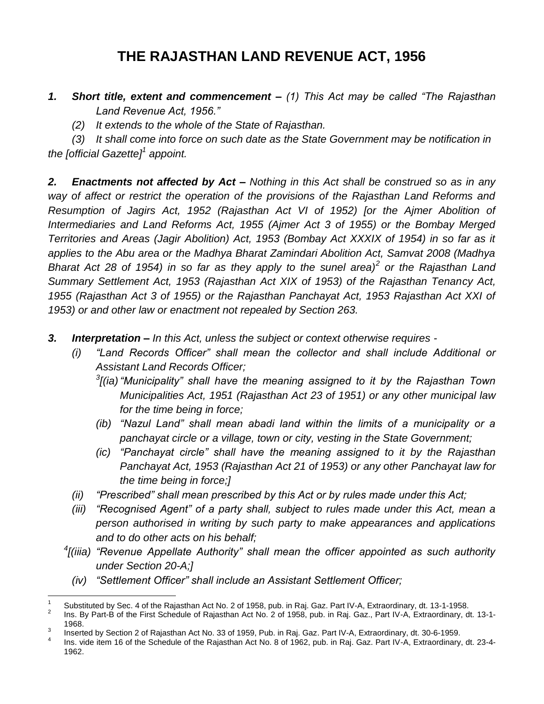# **THE RAJASTHAN LAND REVENUE ACT, 1956**

- *1. Short title, extent and commencement – (1) This Act may be called "The Rajasthan Land Revenue Act, 1956."*
	- *(2) It extends to the whole of the State of Rajasthan.*

*(3) It shall come into force on such date as the State Government may be notification in the [official Gazette]<sup>1</sup> appoint.*

*2. Enactments not affected by Act – Nothing in this Act shall be construed so as in any way of affect or restrict the operation of the provisions of the Rajasthan Land Reforms and Resumption of Jagirs Act, 1952 (Rajasthan Act VI of 1952) [or the Ajmer Abolition of Intermediaries and Land Reforms Act, 1955 (Ajmer Act 3 of 1955) or the Bombay Merged Territories and Areas (Jagir Abolition) Act, 1953 (Bombay Act XXXIX of 1954) in so far as it applies to the Abu area or the Madhya Bharat Zamindari Abolition Act, Samvat 2008 (Madhya Bharat Act 28 of 1954) in so far as they apply to the sunel area)<sup>2</sup> or the Rajasthan Land Summary Settlement Act, 1953 (Rajasthan Act XIX of 1953) of the Rajasthan Tenancy Act, 1955 (Rajasthan Act 3 of 1955) or the Rajasthan Panchayat Act, 1953 Rajasthan Act XXI of 1953) or and other law or enactment not repealed by Section 263.*

- *3. Interpretation – In this Act, unless the subject or context otherwise requires -*
	- *(i) "Land Records Officer" shall mean the collector and shall include Additional or Assistant Land Records Officer;*
		- *3 [(ia)"Municipality" shall have the meaning assigned to it by the Rajasthan Town Municipalities Act, 1951 (Rajasthan Act 23 of 1951) or any other municipal law for the time being in force;*
		- *(ib) "Nazul Land" shall mean abadi land within the limits of a municipality or a panchayat circle or a village, town or city, vesting in the State Government;*
		- *(ic) "Panchayat circle" shall have the meaning assigned to it by the Rajasthan Panchayat Act, 1953 (Rajasthan Act 21 of 1953) or any other Panchayat law for the time being in force;]*
	- *(ii) "Prescribed" shall mean prescribed by this Act or by rules made under this Act;*
	- *(iii) "Recognised Agent" of a party shall, subject to rules made under this Act, mean a person authorised in writing by such party to make appearances and applications and to do other acts on his behalf;*
	- *4 [(iiia) "Revenue Appellate Authority" shall mean the officer appointed as such authority under Section 20-A;]*
		- *(iv) "Settlement Officer" shall include an Assistant Settlement Officer;*

 $\overline{a}$ 1 Substituted by Sec. 4 of the Rajasthan Act No. 2 of 1958, pub. in Raj. Gaz. Part IV-A, Extraordinary, dt. 13-1-1958.

<sup>2</sup> Ins. By Part-B of the First Schedule of Rajasthan Act No. 2 of 1958, pub. in Raj. Gaz., Part IV-A, Extraordinary, dt. 13-1- 1968.

<sup>3</sup> Inserted by Section 2 of Rajasthan Act No. 33 of 1959, Pub. in Raj. Gaz. Part IV-A, Extraordinary, dt. 30-6-1959.

<sup>4</sup> Ins. vide item 16 of the Schedule of the Rajasthan Act No. 8 of 1962, pub. in Raj. Gaz. Part IV-A, Extraordinary, dt. 23-4- 1962.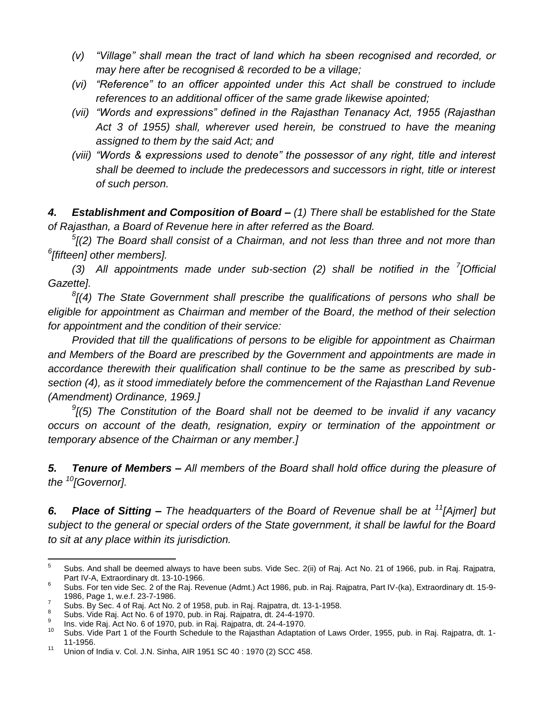- *(v) "Village" shall mean the tract of land which ha sbeen recognised and recorded, or may here after be recognised & recorded to be a village;*
- *(vi) "Reference" to an officer appointed under this Act shall be construed to include references to an additional officer of the same grade likewise apointed;*
- *(vii) "Words and expressions" defined in the Rajasthan Tenanacy Act, 1955 (Rajasthan Act 3 of 1955) shall, wherever used herein, be construed to have the meaning assigned to them by the said Act; and*
- *(viii) "Words & expressions used to denote" the possessor of any right, title and interest shall be deemed to include the predecessors and successors in right, title or interest of such person.*

*4. Establishment and Composition of Board – (1) There shall be established for the State of Rajasthan, a Board of Revenue here in after referred as the Board.*

*5 [(2) The Board shall consist of a Chairman, and not less than three and not more than 6 [fifteen] other members].*

*(3) All appointments made under sub-section (2) shall be notified in the <sup>7</sup> [Official Gazette].*

*8 [(4) The State Government shall prescribe the qualifications of persons who shall be eligible for appointment as Chairman and member of the Board, the method of their selection for appointment and the condition of their service:*

*Provided that till the qualifications of persons to be eligible for appointment as Chairman and Members of the Board are prescribed by the Government and appointments are made in accordance therewith their qualification shall continue to be the same as prescribed by subsection (4), as it stood immediately before the commencement of the Rajasthan Land Revenue (Amendment) Ordinance, 1969.]*

*9 [(5) The Constitution of the Board shall not be deemed to be invalid if any vacancy occurs on account of the death, resignation, expiry or termination of the appointment or temporary absence of the Chairman or any member.]*

*5. Tenure of Members – All members of the Board shall hold office during the pleasure of the <sup>10</sup>[Governor].*

*6. Place of Sitting – The headquarters of the Board of Revenue shall be at <sup>11</sup>[Ajmer] but subject to the general or special orders of the State government, it shall be lawful for the Board to sit at any place within its jurisdiction.*

<sup>-&</sup>lt;br>5 Subs. And shall be deemed always to have been subs. Vide Sec. 2(ii) of Raj. Act No. 21 of 1966, pub. in Raj. Rajpatra, Part IV-A, Extraordinary dt. 13-10-1966.

<sup>6</sup> Subs. For ten vide Sec. 2 of the Raj. Revenue (Admt.) Act 1986, pub. in Raj. Rajpatra, Part IV-(ka), Extraordinary dt. 15-9- 1986, Page 1, w.e.f. 23-7-1986.

<sup>7</sup> Subs. By Sec. 4 of Raj. Act No. 2 of 1958, pub. in Raj. Rajpatra, dt. 13-1-1958. 8

Subs. Vide Raj. Act No. 6 of 1970, pub. in Raj. Rajpatra, dt. 24-4-1970.

<sup>9</sup> Ins. vide Raj. Act No. 6 of 1970, pub. in Raj. Rajpatra, dt. 24-4-1970.

<sup>10</sup> Subs. Vide Part 1 of the Fourth Schedule to the Rajasthan Adaptation of Laws Order, 1955, pub. in Raj. Rajpatra, dt. 1- 11-1956.

<sup>11</sup> Union of India v. Col. J.N. Sinha, AIR 1951 SC 40 : 1970 (2) SCC 458.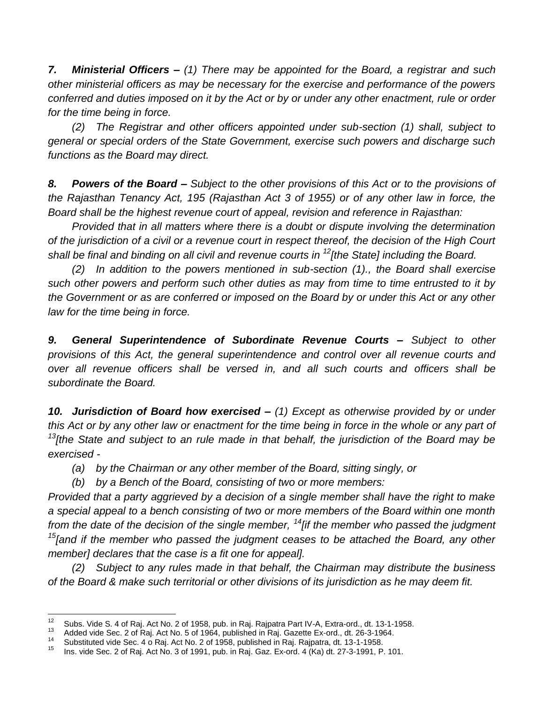*7. Ministerial Officers – (1) There may be appointed for the Board, a registrar and such other ministerial officers as may be necessary for the exercise and performance of the powers conferred and duties imposed on it by the Act or by or under any other enactment, rule or order for the time being in force.*

*(2) The Registrar and other officers appointed under sub-section (1) shall, subject to general or special orders of the State Government, exercise such powers and discharge such functions as the Board may direct.*

*8. Powers of the Board – Subject to the other provisions of this Act or to the provisions of the Rajasthan Tenancy Act, 195 (Rajasthan Act 3 of 1955) or of any other law in force, the Board shall be the highest revenue court of appeal, revision and reference in Rajasthan:*

*Provided that in all matters where there is a doubt or dispute involving the determination of the jurisdiction of a civil or a revenue court in respect thereof, the decision of the High Court shall be final and binding on all civil and revenue courts in <sup>12</sup>[the State] including the Board.*

*(2) In addition to the powers mentioned in sub-section (1)., the Board shall exercise such other powers and perform such other duties as may from time to time entrusted to it by the Government or as are conferred or imposed on the Board by or under this Act or any other law for the time being in force.*

**9. General Superintendence of Subordinate Revenue Courts - Subject to other** *provisions of this Act, the general superintendence and control over all revenue courts and over all revenue officers shall be versed in, and all such courts and officers shall be subordinate the Board.*

*10. Jurisdiction of Board how exercised – (1) Except as otherwise provided by or under this Act or by any other law or enactment for the time being in force in the whole or any part of <sup>13</sup>[the State and subject to an rule made in that behalf, the jurisdiction of the Board may be exercised -*

*(a) by the Chairman or any other member of the Board, sitting singly, or*

*(b) by a Bench of the Board, consisting of two or more members:*

*Provided that a party aggrieved by a decision of a single member shall have the right to make a special appeal to a bench consisting of two or more members of the Board within one month from the date of the decision of the single member, <sup>14</sup>[if the member who passed the judgment <sup>15</sup>[and if the member who passed the judgment ceases to be attached the Board, any other member] declares that the case is a fit one for appeal].*

*(2) Subject to any rules made in that behalf, the Chairman may distribute the business of the Board & make such territorial or other divisions of its jurisdiction as he may deem fit.*

 $12<sup>12</sup>$ <sup>12</sup> Subs. Vide S. 4 of Raj. Act No. 2 of 1958, pub. in Raj. Rajpatra Part IV-A, Extra-ord., dt. 13-1-1958.

<sup>&</sup>lt;sup>13</sup> Added vide Sec. 2 of Raj. Act No. 5 of 1964, published in Raj. Gazette Ex-ord., dt. 26-3-1964.

<sup>14</sup> Substituted vide Sec. 4 o Raj. Act No. 2 of 1958, published in Raj. Rajpatra, dt. 13-1-1958.

<sup>15</sup> Ins. vide Sec. 2 of Raj. Act No. 3 of 1991, pub. in Raj. Gaz. Ex-ord. 4 (Ka) dt. 27-3-1991, P. 101.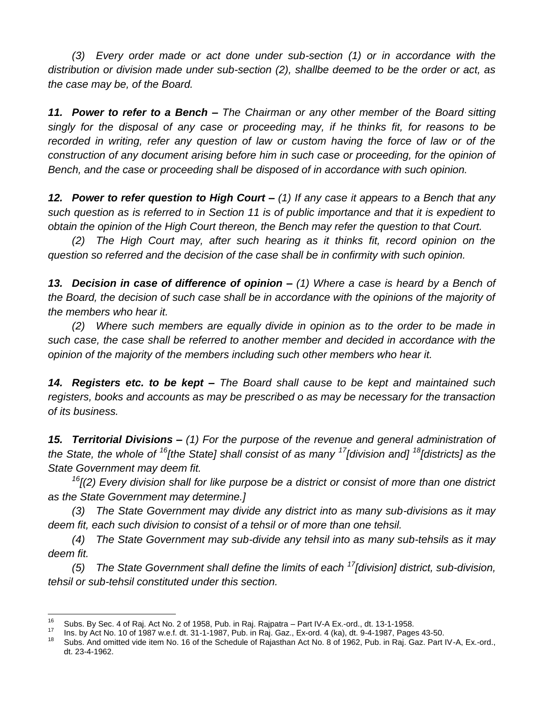*(3) Every order made or act done under sub-section (1) or in accordance with the distribution or division made under sub-section (2), shallbe deemed to be the order or act, as the case may be, of the Board.*

*11. Power to refer to a Bench – The Chairman or any other member of the Board sitting singly for the disposal of any case or proceeding may, if he thinks fit, for reasons to be*  recorded in writing, refer any question of law or custom having the force of law or of the *construction of any document arising before him in such case or proceeding, for the opinion of Bench, and the case or proceeding shall be disposed of in accordance with such opinion.*

*12. Power to refer question to High Court – (1) If any case it appears to a Bench that any such question as is referred to in Section 11 is of public importance and that it is expedient to obtain the opinion of the High Court thereon, the Bench may refer the question to that Court.*

*(2) The High Court may, after such hearing as it thinks fit, record opinion on the question so referred and the decision of the case shall be in confirmity with such opinion.*

*13. Decision in case of difference of opinion – (1) Where a case is heard by a Bench of the Board, the decision of such case shall be in accordance with the opinions of the majority of the members who hear it.*

*(2) Where such members are equally divide in opinion as to the order to be made in such case, the case shall be referred to another member and decided in accordance with the opinion of the majority of the members including such other members who hear it.*

*14. Registers etc. to be kept – The Board shall cause to be kept and maintained such registers, books and accounts as may be prescribed o as may be necessary for the transaction of its business.*

*15. Territorial Divisions – (1) For the purpose of the revenue and general administration of the State, the whole of <sup>16</sup>[the State] shall consist of as many <sup>17</sup>[division and] <sup>18</sup>[districts] as the State Government may deem fit.*

*<sup>16</sup>[(2) Every division shall for like purpose be a district or consist of more than one district as the State Government may determine.]*

*(3) The State Government may divide any district into as many sub-divisions as it may deem fit, each such division to consist of a tehsil or of more than one tehsil.*

*(4) The State Government may sub-divide any tehsil into as many sub-tehsils as it may deem fit.*

*(5) The State Government shall define the limits of each <sup>17</sup>[division] district, sub-division, tehsil or sub-tehsil constituted under this section.*

<sup>16</sup> <sup>16</sup> Subs. By Sec. 4 of Raj. Act No. 2 of 1958, Pub. in Raj. Rajpatra – Part IV-A Ex.-ord., dt. 13-1-1958.

<sup>&</sup>lt;sup>17</sup> Ins. by Act No. 10 of 1987 w.e.f. dt. 31-1-1987, Pub. in Raj. Gaz., Ex-ord. 4 (ka), dt. 9-4-1987, Pages 43-50.<br><sup>18</sup> Pub. And smitted vide itsm. Ne. 48 of the Schedule of Rejection Act Ne. 8 of 4988. Pub. in Rej. Gaz.

Subs. And omitted vide item No. 16 of the Schedule of Rajasthan Act No. 8 of 1962, Pub. in Raj. Gaz. Part IV-A, Ex.-ord., dt. 23-4-1962.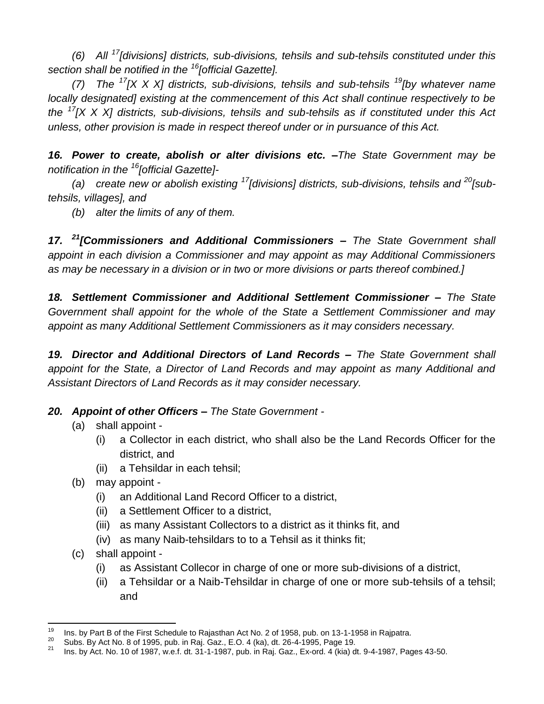*(6) All <sup>17</sup>[divisions] districts, sub-divisions, tehsils and sub-tehsils constituted under this section shall be notified in the <sup>16</sup>[official Gazette].*

*(7) The <sup>17</sup>[X X X] districts, sub-divisions, tehsils and sub-tehsils <sup>19</sup>[by whatever name locally designated] existing at the commencement of this Act shall continue respectively to be the <sup>17</sup>[X X X] districts, sub-divisions, tehsils and sub-tehsils as if constituted under this Act unless, other provision is made in respect thereof under or in pursuance of this Act.*

*16. Power to create, abolish or alter divisions etc. –The State Government may be notification in the <sup>16</sup>[official Gazette]-*

*(a) create new or abolish existing <sup>17</sup>[divisions] districts, sub-divisions, tehsils and <sup>20</sup>[subtehsils, villages], and*

*(b) alter the limits of any of them.*

*17. <sup>21</sup>[Commissioners and Additional Commissioners – The State Government shall appoint in each division a Commissioner and may appoint as may Additional Commissioners as may be necessary in a division or in two or more divisions or parts thereof combined.]*

*18. Settlement Commissioner and Additional Settlement Commissioner – The State Government shall appoint for the whole of the State a Settlement Commissioner and may appoint as many Additional Settlement Commissioners as it may considers necessary.*

*19. Director and Additional Directors of Land Records – The State Government shall appoint for the State, a Director of Land Records and may appoint as many Additional and Assistant Directors of Land Records as it may consider necessary.*

### *20. Appoint of other Officers – The State Government -*

- (a) shall appoint
	- (i) a Collector in each district, who shall also be the Land Records Officer for the district, and
	- (ii) a Tehsildar in each tehsil;
- (b) may appoint
	- (i) an Additional Land Record Officer to a district,
	- (ii) a Settlement Officer to a district,
	- (iii) as many Assistant Collectors to a district as it thinks fit, and
	- (iv) as many Naib-tehsildars to to a Tehsil as it thinks fit;
- (c) shall appoint
	- (i) as Assistant Collecor in charge of one or more sub-divisions of a district,
	- (ii) a Tehsildar or a Naib-Tehsildar in charge of one or more sub-tehsils of a tehsil; and

<sup>19</sup> <sup>19</sup> Ins. by Part B of the First Schedule to Rajasthan Act No. 2 of 1958, pub. on 13-1-1958 in Rajpatra.

<sup>&</sup>lt;sup>20</sup> Subs. By Act No. 8 of 1995, pub. in Raj. Gaz., E.O. 4 (ka), dt. 26-4-1995, Page 19.

<sup>21</sup> Ins. by Act. No. 10 of 1987, w.e.f. dt. 31-1-1987, pub. in Raj. Gaz., Ex-ord. 4 (kia) dt. 9-4-1987, Pages 43-50.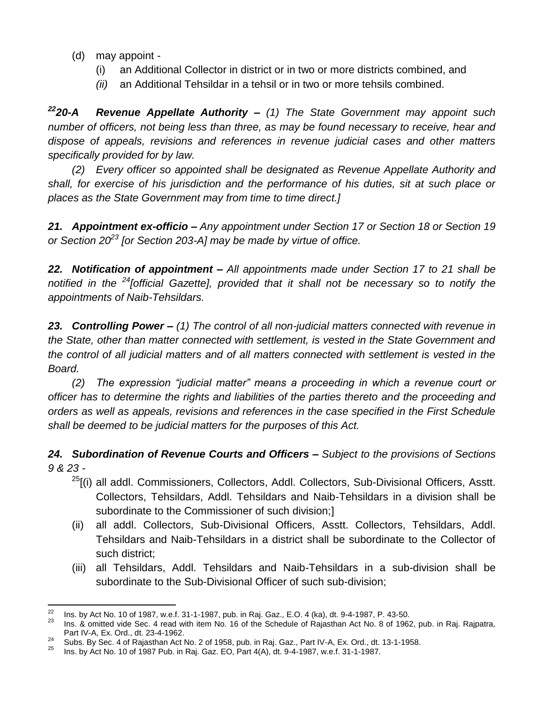- (d) may appoint
	- (i) an Additional Collector in district or in two or more districts combined, and
	- *(ii)* an Additional Tehsildar in a tehsil or in two or more tehsils combined.

*<sup>22</sup>20-A Revenue Appellate Authority – (1) The State Government may appoint such number of officers, not being less than three, as may be found necessary to receive, hear and dispose of appeals, revisions and references in revenue judicial cases and other matters specifically provided for by law.*

*(2) Every officer so appointed shall be designated as Revenue Appellate Authority and shall, for exercise of his jurisdiction and the performance of his duties, sit at such place or places as the State Government may from time to time direct.]*

*21. Appointment ex-officio – Any appointment under Section 17 or Section 18 or Section 19 or Section 20<sup>23</sup> [or Section 203-A] may be made by virtue of office.*

*22. Notification of appointment – All appointments made under Section 17 to 21 shall be notified in the <sup>24</sup>[official Gazette], provided that it shall not be necessary so to notify the appointments of Naib-Tehsildars.*

*23. Controlling Power – (1) The control of all non-judicial matters connected with revenue in the State, other than matter connected with settlement, is vested in the State Government and the control of all judicial matters and of all matters connected with settlement is vested in the Board.*

*(2) The expression "judicial matter" means a proceeding in which a revenue court or officer has to determine the rights and liabilities of the parties thereto and the proceeding and orders as well as appeals, revisions and references in the case specified in the First Schedule shall be deemed to be judicial matters for the purposes of this Act.*

*24. Subordination of Revenue Courts and Officers – Subject to the provisions of Sections 9 & 23 -*

- $^{25}$ [(i) all addl. Commissioners, Collectors, Addl. Collectors, Sub-Divisional Officers, Asstt. Collectors, Tehsildars, Addl. Tehsildars and Naib-Tehsildars in a division shall be subordinate to the Commissioner of such division;]
- (ii) all addl. Collectors, Sub-Divisional Officers, Asstt. Collectors, Tehsildars, Addl. Tehsildars and Naib-Tehsildars in a district shall be subordinate to the Collector of such district;
- (iii) all Tehsildars, Addl. Tehsildars and Naib-Tehsildars in a sub-division shall be subordinate to the Sub-Divisional Officer of such sub-division;

<sup>22</sup> <sup>22</sup> Ins. by Act No. 10 of 1987, w.e.f. 31-1-1987, pub. in Raj. Gaz., E.O. 4 (ka), dt. 9-4-1987, P. 43-50.

Ins. & omitted vide Sec. 4 read with item No. 16 of the Schedule of Rajasthan Act No. 8 of 1962, pub. in Raj. Rajpatra, Part IV-A, Ex. Ord., dt. 23-4-1962.

<sup>&</sup>lt;sup>24</sup> Subs. By Sec. 4 of Rajasthan Act No. 2 of 1958, pub. in Raj. Gaz., Part IV-A, Ex. Ord., dt. 13-1-1958.

<sup>25</sup> Ins. by Act No. 10 of 1987 Pub. in Raj. Gaz. EO, Part 4(A), dt. 9-4-1987, w.e.f. 31-1-1987.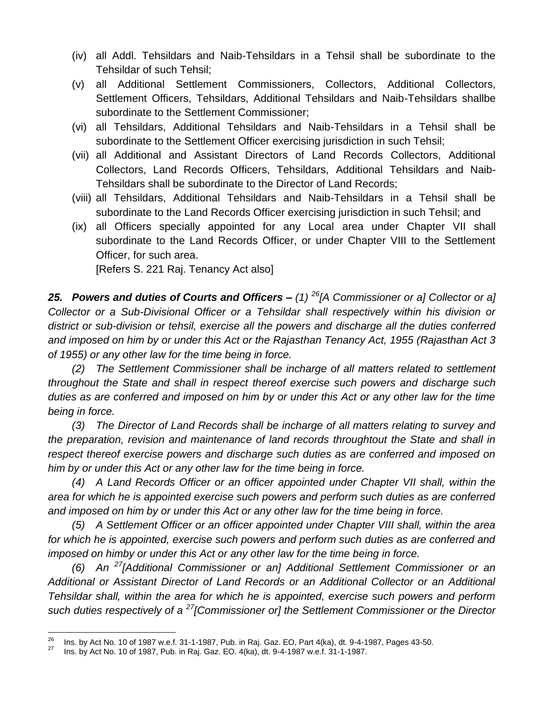- (iv) all Addl. Tehsildars and Naib-Tehsildars in a Tehsil shall be subordinate to the Tehsildar of such Tehsil;
- (v) all Additional Settlement Commissioners, Collectors, Additional Collectors, Settlement Officers, Tehsildars, Additional Tehsildars and Naib-Tehsildars shallbe subordinate to the Settlement Commissioner;
- (vi) all Tehsildars, Additional Tehsildars and Naib-Tehsildars in a Tehsil shall be subordinate to the Settlement Officer exercising jurisdiction in such Tehsil;
- (vii) all Additional and Assistant Directors of Land Records Collectors, Additional Collectors, Land Records Officers, Tehsildars, Additional Tehsildars and Naib-Tehsildars shall be subordinate to the Director of Land Records;
- (viii) all Tehsildars, Additional Tehsildars and Naib-Tehsildars in a Tehsil shall be subordinate to the Land Records Officer exercising jurisdiction in such Tehsil; and
- (ix) all Officers specially appointed for any Local area under Chapter VII shall subordinate to the Land Records Officer, or under Chapter VIII to the Settlement Officer, for such area.

[Refers S. 221 Raj. Tenancy Act also]

*25. Powers and duties of Courts and Officers – (1) <sup>26</sup>[A Commissioner or a] Collector or a] Collector or a Sub-Divisional Officer or a Tehsildar shall respectively within his division or district or sub-division or tehsil, exercise all the powers and discharge all the duties conferred and imposed on him by or under this Act or the Rajasthan Tenancy Act, 1955 (Rajasthan Act 3 of 1955) or any other law for the time being in force.*

*(2) The Settlement Commissioner shall be incharge of all matters related to settlement throughout the State and shall in respect thereof exercise such powers and discharge such duties as are conferred and imposed on him by or under this Act or any other law for the time being in force.*

*(3) The Director of Land Records shall be incharge of all matters relating to survey and the preparation, revision and maintenance of land records throughtout the State and shall in respect thereof exercise powers and discharge such duties as are conferred and imposed on him by or under this Act or any other law for the time being in force.*

*(4) A Land Records Officer or an officer appointed under Chapter VII shall, within the area for which he is appointed exercise such powers and perform such duties as are conferred and imposed on him by or under this Act or any other law for the time being in force.*

*(5) A Settlement Officer or an officer appointed under Chapter VIII shall, within the area for which he is appointed, exercise such powers and perform such duties as are conferred and imposed on himby or under this Act or any other law for the time being in force.*

*(6) An <sup>27</sup>[Additional Commissioner or an] Additional Settlement Commissioner or an Additional or Assistant Director of Land Records or an Additional Collector or an Additional Tehsildar shall, within the area for which he is appointed, exercise such powers and perform such duties respectively of a <sup>27</sup>[Commissioner or] the Settlement Commissioner or the Director* 

<sup>26</sup> <sup>26</sup> Ins. by Act No. 10 of 1987 w.e.f. 31-1-1987, Pub. in Raj. Gaz. EO, Part 4(ka), dt. 9-4-1987, Pages 43-50.

<sup>27</sup> Ins. by Act No. 10 of 1987, Pub. in Raj. Gaz. EO. 4(ka), dt. 9-4-1987 w.e.f. 31-1-1987.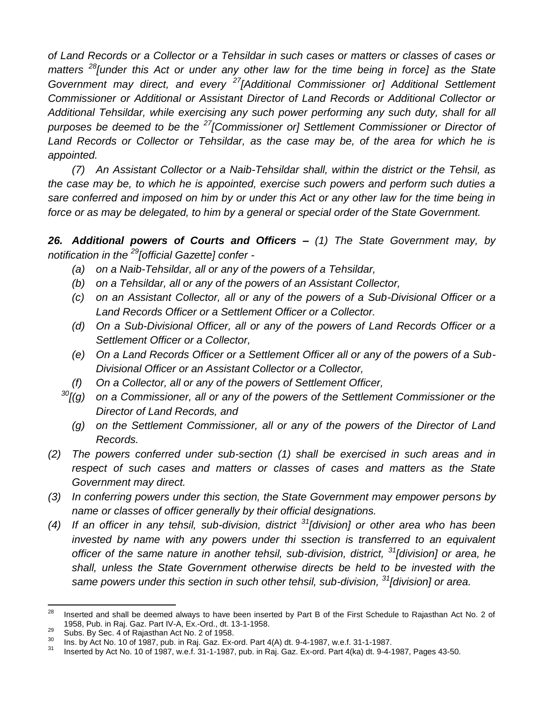*of Land Records or a Collector or a Tehsildar in such cases or matters or classes of cases or matters <sup>28</sup>[under this Act or under any other law for the time being in force] as the State Government may direct, and every <sup>27</sup>[Additional Commissioner or] Additional Settlement Commissioner or Additional or Assistant Director of Land Records or Additional Collector or Additional Tehsildar, while exercising any such power performing any such duty, shall for all purposes be deemed to be the <sup>27</sup>[Commissioner or] Settlement Commissioner or Director of Land Records or Collector or Tehsildar, as the case may be, of the area for which he is appointed.*

*(7) An Assistant Collector or a Naib-Tehsildar shall, within the district or the Tehsil, as the case may be, to which he is appointed, exercise such powers and perform such duties a sare conferred and imposed on him by or under this Act or any other law for the time being in force or as may be delegated, to him by a general or special order of the State Government.*

*26. Additional powers of Courts and Officers – (1) The State Government may, by notification in the <sup>29</sup>[official Gazette] confer -*

- *(a) on a Naib-Tehsildar, all or any of the powers of a Tehsildar,*
- *(b) on a Tehsildar, all or any of the powers of an Assistant Collector,*
- *(c) on an Assistant Collector, all or any of the powers of a Sub-Divisional Officer or a Land Records Officer or a Settlement Officer or a Collector.*
- *(d) On a Sub-Divisional Officer, all or any of the powers of Land Records Officer or a Settlement Officer or a Collector,*
- *(e) On a Land Records Officer or a Settlement Officer all or any of the powers of a Sub-Divisional Officer or an Assistant Collector or a Collector,*
- *(f) On a Collector, all or any of the powers of Settlement Officer,*
- *<sup>30</sup>[(g) on a Commissioner, all or any of the powers of the Settlement Commissioner or the Director of Land Records, and* 
	- *(g) on the Settlement Commissioner, all or any of the powers of the Director of Land Records.*
- *(2) The powers conferred under sub-section (1) shall be exercised in such areas and in*  respect of such cases and matters or classes of cases and matters as the State *Government may direct.*
- *(3) In conferring powers under this section, the State Government may empower persons by name or classes of officer generally by their official designations.*
- *(4) If an officer in any tehsil, sub-division, district <sup>31</sup>[division] or other area who has been*  invested by name with any powers under thi ssection is transferred to an equivalent *officer of the same nature in another tehsil, sub-division, district, <sup>31</sup>[division] or area, he shall, unless the State Government otherwise directs be held to be invested with the same powers under this section in such other tehsil, sub-division, <sup>31</sup>[division] or area.*

 $28$ <sup>28</sup> Inserted and shall be deemed always to have been inserted by Part B of the First Schedule to Rajasthan Act No. 2 of 1958, Pub. in Raj. Gaz. Part IV-A, Ex.-Ord., dt. 13-1-1958.

 $\frac{29}{30}$  Subs. By Sec. 4 of Rajasthan Act No. 2 of 1958.

 $\frac{30}{10}$  Ins. by Act No. 10 of 1987, pub. in Raj. Gaz. Ex-ord. Part 4(A) dt. 9-4-1987, w.e.f. 31-1-1987.

<sup>31</sup> Inserted by Act No. 10 of 1987, w.e.f. 31-1-1987, pub. in Raj. Gaz. Ex-ord. Part 4(ka) dt. 9-4-1987, Pages 43-50.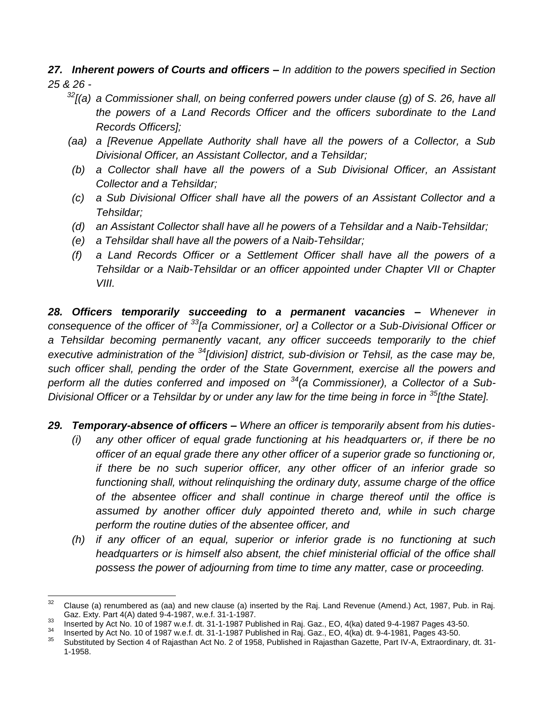*27. Inherent powers of Courts and officers – In addition to the powers specified in Section 25 & 26 -*

- *<sup>32</sup>[(a) a Commissioner shall, on being conferred powers under clause (g) of S. 26, have all the powers of a Land Records Officer and the officers subordinate to the Land Records Officers];*
- *(aa) a [Revenue Appellate Authority shall have all the powers of a Collector, a Sub Divisional Officer, an Assistant Collector, and a Tehsildar;*
- *(b) a Collector shall have all the powers of a Sub Divisional Officer, an Assistant Collector and a Tehsildar;*
- *(c) a Sub Divisional Officer shall have all the powers of an Assistant Collector and a Tehsildar;*
- *(d) an Assistant Collector shall have all he powers of a Tehsildar and a Naib-Tehsildar;*
- *(e) a Tehsildar shall have all the powers of a Naib-Tehsildar;*
- *(f) a Land Records Officer or a Settlement Officer shall have all the powers of a Tehsildar or a Naib-Tehsildar or an officer appointed under Chapter VII or Chapter VIII.*

*28. Officers temporarily succeeding to a permanent vacancies – Whenever in consequence of the officer of <sup>33</sup>[a Commissioner, or] a Collector or a Sub-Divisional Officer or a Tehsildar becoming permanently vacant, any officer succeeds temporarily to the chief executive administration of the <sup>34</sup>[division] district, sub-division or Tehsil, as the case may be, such officer shall, pending the order of the State Government, exercise all the powers and perform all the duties conferred and imposed on <sup>34</sup>(a Commissioner), a Collector of a Sub-Divisional Officer or a Tehsildar by or under any law for the time being in force in <sup>35</sup>[the State].*

- *29. Temporary-absence of officers – Where an officer is temporarily absent from his duties-*
	- *(i) any other officer of equal grade functioning at his headquarters or, if there be no officer of an equal grade there any other officer of a superior grade so functioning or, if there be no such superior officer, any other officer of an inferior grade so functioning shall, without relinquishing the ordinary duty, assume charge of the office of the absentee officer and shall continue in charge thereof until the office is assumed by another officer duly appointed thereto and, while in such charge perform the routine duties of the absentee officer, and*
	- *(h) if any officer of an equal, superior or inferior grade is no functioning at such headquarters or is himself also absent, the chief ministerial official of the office shall possess the power of adjourning from time to time any matter, case or proceeding.*

 $\overline{a}$ 

 $32$  Clause (a) renumbered as (aa) and new clause (a) inserted by the Raj. Land Revenue (Amend.) Act, 1987, Pub. in Raj. Gaz. Exty. Part 4(A) dated 9-4-1987, w.e.f. 31-1-1987.

<sup>33</sup> Inserted by Act No. 10 of 1987 w.e.f. dt. 31-1-1987 Published in Raj. Gaz., EO,  $4$ (ka) dated 9-4-1987 Pages 43-50.

<sup>34</sup> Inserted by Act No. 10 of 1987 w.e.f. dt. 31-1-1987 Published in Raj. Gaz., EO, 4(ka) dt. 9-4-1981, Pages 43-50.

<sup>35</sup> Substituted by Section 4 of Rajasthan Act No. 2 of 1958, Published in Rajasthan Gazette, Part IV-A, Extraordinary, dt. 31- 1-1958.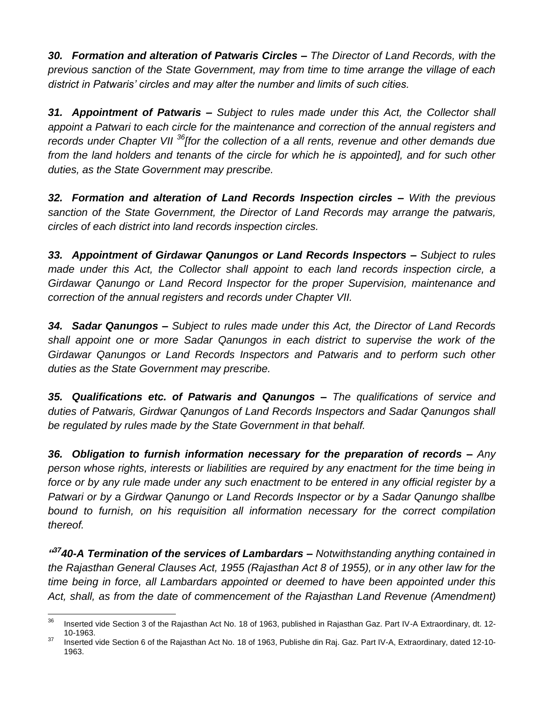*30. Formation and alteration of Patwaris Circles – The Director of Land Records, with the previous sanction of the State Government, may from time to time arrange the village of each district in Patwaris' circles and may alter the number and limits of such cities.*

*31. Appointment of Patwaris – Subject to rules made under this Act, the Collector shall appoint a Patwari to each circle for the maintenance and correction of the annual registers and records under Chapter VII <sup>36</sup>[for the collection of a all rents, revenue and other demands due from the land holders and tenants of the circle for which he is appointed], and for such other duties, as the State Government may prescribe.*

*32. Formation and alteration of Land Records Inspection circles – With the previous sanction of the State Government, the Director of Land Records may arrange the patwaris, circles of each district into land records inspection circles.*

*33. Appointment of Girdawar Qanungos or Land Records Inspectors – Subject to rules made under this Act, the Collector shall appoint to each land records inspection circle, a Girdawar Qanungo or Land Record Inspector for the proper Supervision, maintenance and correction of the annual registers and records under Chapter VII.*

*34. Sadar Qanungos – Subject to rules made under this Act, the Director of Land Records shall appoint one or more Sadar Qanungos in each district to supervise the work of the Girdawar Qanungos or Land Records Inspectors and Patwaris and to perform such other duties as the State Government may prescribe.*

*35. Qualifications etc. of Patwaris and Qanungos – The qualifications of service and duties of Patwaris, Girdwar Qanungos of Land Records Inspectors and Sadar Qanungos shall be regulated by rules made by the State Government in that behalf.*

*36. Obligation to furnish information necessary for the preparation of records – Any person whose rights, interests or liabilities are required by any enactment for the time being in force or by any rule made under any such enactment to be entered in any official register by a Patwari or by a Girdwar Qanungo or Land Records Inspector or by a Sadar Qanungo shallbe bound to furnish, on his requisition all information necessary for the correct compilation thereof.*

*" <sup>37</sup>40-A Termination of the services of Lambardars – Notwithstanding anything contained in the Rajasthan General Clauses Act, 1955 (Rajasthan Act 8 of 1955), or in any other law for the time being in force, all Lambardars appointed or deemed to have been appointed under this Act, shall, as from the date of commencement of the Rajasthan Land Revenue (Amendment)* 

 $36$ Inserted vide Section 3 of the Rajasthan Act No. 18 of 1963, published in Rajasthan Gaz. Part IV-A Extraordinary, dt. 12-10-1963.

<sup>&</sup>lt;sup>37</sup> Inserted vide Section 6 of the Rajasthan Act No. 18 of 1963, Publishe din Raj. Gaz. Part IV-A, Extraordinary, dated 12-10-1963.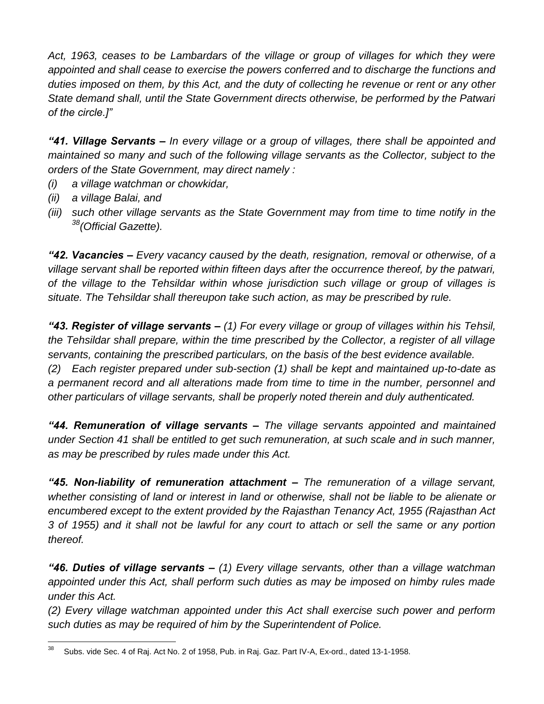Act, 1963, ceases to be Lambardars of the village or group of villages for which they were *appointed and shall cease to exercise the powers conferred and to discharge the functions and duties imposed on them, by this Act, and the duty of collecting he revenue or rent or any other State demand shall, until the State Government directs otherwise, be performed by the Patwari of the circle.]"*

*"41. Village Servants – In every village or a group of villages, there shall be appointed and maintained so many and such of the following village servants as the Collector, subject to the orders of the State Government, may direct namely :*

- *(i) a village watchman or chowkidar,*
- *(ii) a village Balai, and*
- *(iii) such other village servants as the State Government may from time to time notify in the <sup>38</sup>(Official Gazette).*

*"42. Vacancies – Every vacancy caused by the death, resignation, removal or otherwise, of a village servant shall be reported within fifteen days after the occurrence thereof, by the patwari, of the village to the Tehsildar within whose jurisdiction such village or group of villages is situate. The Tehsildar shall thereupon take such action, as may be prescribed by rule.*

*"43. Register of village servants – (1) For every village or group of villages within his Tehsil, the Tehsildar shall prepare, within the time prescribed by the Collector, a register of all village servants, containing the prescribed particulars, on the basis of the best evidence available. (2) Each register prepared under sub-section (1) shall be kept and maintained up-to-date as a permanent record and all alterations made from time to time in the number, personnel and other particulars of village servants, shall be properly noted therein and duly authenticated.*

*"44. Remuneration of village servants – The village servants appointed and maintained under Section 41 shall be entitled to get such remuneration, at such scale and in such manner, as may be prescribed by rules made under this Act.*

*"45. Non-liability of remuneration attachment – The remuneration of a village servant, whether consisting of land or interest in land or otherwise, shall not be liable to be alienate or encumbered except to the extent provided by the Rajasthan Tenancy Act, 1955 (Rajasthan Act 3 of 1955) and it shall not be lawful for any court to attach or sell the same or any portion thereof.*

*"46. Duties of village servants – (1) Every village servants, other than a village watchman appointed under this Act, shall perform such duties as may be imposed on himby rules made under this Act.*

*(2) Every village watchman appointed under this Act shall exercise such power and perform such duties as may be required of him by the Superintendent of Police.*

<sup>38</sup> Subs. vide Sec. 4 of Raj. Act No. 2 of 1958, Pub. in Raj. Gaz. Part IV-A, Ex-ord., dated 13-1-1958.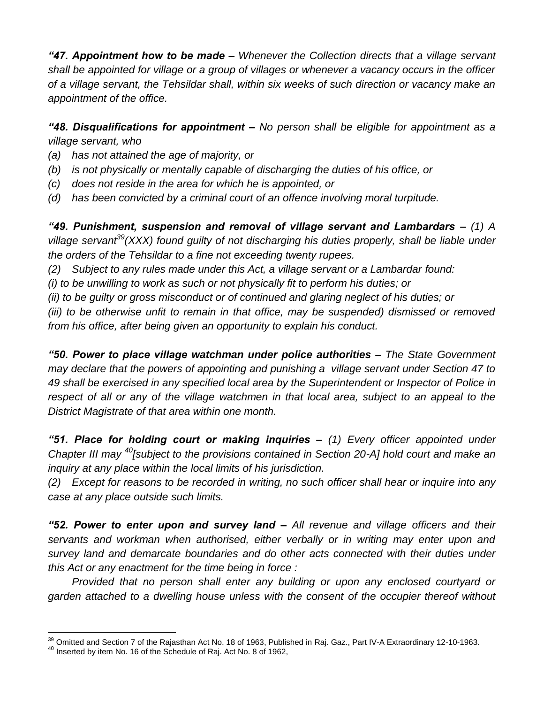*"47. Appointment how to be made – Whenever the Collection directs that a village servant shall be appointed for village or a group of villages or whenever a vacancy occurs in the officer of a village servant, the Tehsildar shall, within six weeks of such direction or vacancy make an appointment of the office.*

*"48. Disqualifications for appointment – No person shall be eligible for appointment as a village servant, who*

- *(a) has not attained the age of majority, or*
- *(b) is not physically or mentally capable of discharging the duties of his office, or*
- *(c) does not reside in the area for which he is appointed, or*
- *(d) has been convicted by a criminal court of an offence involving moral turpitude.*

*"49. Punishment, suspension and removal of village servant and Lambardars – (1) A village servant<sup>39</sup>(XXX) found guilty of not discharging his duties properly, shall be liable under the orders of the Tehsildar to a fine not exceeding twenty rupees.*

*(2) Subject to any rules made under this Act, a village servant or a Lambardar found:*

*(i) to be unwilling to work as such or not physically fit to perform his duties; or*

*(ii) to be guilty or gross misconduct or of continued and glaring neglect of his duties; or*

*(iii) to be otherwise unfit to remain in that office, may be suspended) dismissed or removed from his office, after being given an opportunity to explain his conduct.*

*"50. Power to place village watchman under police authorities – The State Government may declare that the powers of appointing and punishing a village servant under Section 47 to 49 shall be exercised in any specified local area by the Superintendent or Inspector of Police in respect of all or any of the village watchmen in that local area, subject to an appeal to the District Magistrate of that area within one month.*

*"51. Place for holding court or making inquiries – (1) Every officer appointed under Chapter III may <sup>40</sup>[subject to the provisions contained in Section 20-A] hold court and make an inquiry at any place within the local limits of his jurisdiction.*

*(2) Except for reasons to be recorded in writing, no such officer shall hear or inquire into any case at any place outside such limits.*

*"52. Power to enter upon and survey land – All revenue and village officers and their servants and workman when authorised, either verbally or in writing may enter upon and survey land and demarcate boundaries and do other acts connected with their duties under this Act or any enactment for the time being in force :*

*Provided that no person shall enter any building or upon any enclosed courtyard or garden attached to a dwelling house unless with the consent of the occupier thereof without* 

 $\overline{a}$  $\frac{39}{10}$  Omitted and Section 7 of the Rajasthan Act No. 18 of 1963, Published in Raj. Gaz., Part IV-A Extraordinary 12-10-1963.

 $40$  Inserted by item No. 16 of the Schedule of Raj. Act No. 8 of 1962,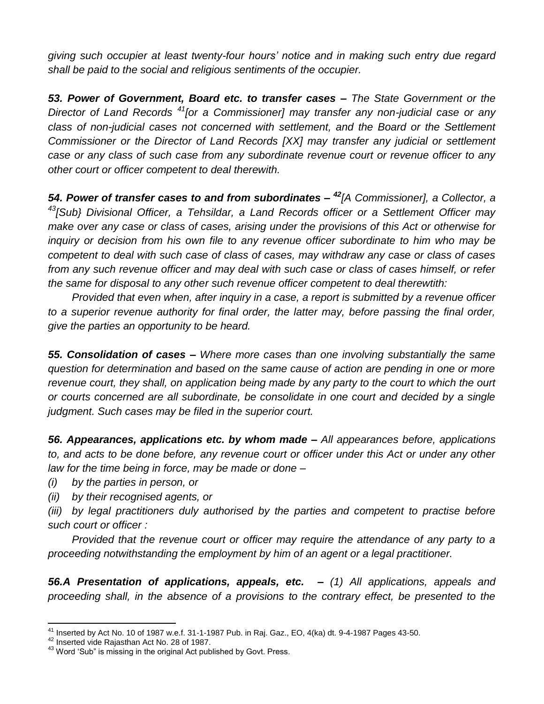*giving such occupier at least twenty-four hours' notice and in making such entry due regard shall be paid to the social and religious sentiments of the occupier.*

*53. Power of Government, Board etc. to transfer cases – The State Government or the Director of Land Records <sup>41</sup>[or a Commissioner] may transfer any non-judicial case or any class of non-judicial cases not concerned with settlement, and the Board or the Settlement Commissioner or the Director of Land Records [XX] may transfer any judicial or settlement case or any class of such case from any subordinate revenue court or revenue officer to any other court or officer competent to deal therewith.*

*54. Power of transfer cases to and from subordinates – <sup>42</sup>[A Commissioner], a Collector, a <sup>43</sup>[Sub} Divisional Officer, a Tehsildar, a Land Records officer or a Settlement Officer may make over any case or class of cases, arising under the provisions of this Act or otherwise for inquiry or decision from his own file to any revenue officer subordinate to him who may be competent to deal with such case of class of cases, may withdraw any case or class of cases from any such revenue officer and may deal with such case or class of cases himself, or refer the same for disposal to any other such revenue officer competent to deal therewtith:*

*Provided that even when, after inquiry in a case, a report is submitted by a revenue officer to a superior revenue authority for final order, the latter may, before passing the final order, give the parties an opportunity to be heard.*

*55. Consolidation of cases – Where more cases than one involving substantially the same question for determination and based on the same cause of action are pending in one or more revenue court, they shall, on application being made by any party to the court to which the ourt or courts concerned are all subordinate, be consolidate in one court and decided by a single judgment. Such cases may be filed in the superior court.*

*56. Appearances, applications etc. by whom made – All appearances before, applications*  to, and acts to be done before, any revenue court or officer under this Act or under any other *law for the time being in force, may be made or done –*

*(i) by the parties in person, or*

*(ii) by their recognised agents, or*

*(iii) by legal practitioners duly authorised by the parties and competent to practise before such court or officer :*

*Provided that the revenue court or officer may require the attendance of any party to a proceeding notwithstanding the employment by him of an agent or a legal practitioner.*

*56.A Presentation of applications, appeals, etc. – (1) All applications, appeals and proceeding shall, in the absence of a provisions to the contrary effect, be presented to the* 

 $\overline{a}$ 

 $^{41}$  Inserted by Act No. 10 of 1987 w.e.f. 31-1-1987 Pub. in Raj. Gaz., EO, 4(ka) dt. 9-4-1987 Pages 43-50.

<sup>&</sup>lt;sup>42</sup> Inserted vide Rajasthan Act No. 28 of 1987.

<sup>43</sup> Word 'Sub" is missing in the original Act published by Govt. Press.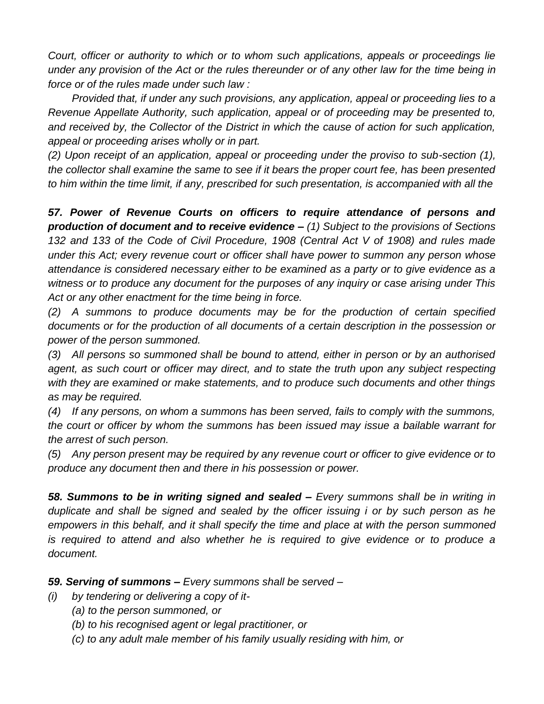*Court, officer or authority to which or to whom such applications, appeals or proceedings lie under any provision of the Act or the rules thereunder or of any other law for the time being in force or of the rules made under such law :*

*Provided that, if under any such provisions, any application, appeal or proceeding lies to a Revenue Appellate Authority, such application, appeal or of proceeding may be presented to, and received by, the Collector of the District in which the cause of action for such application, appeal or proceeding arises wholly or in part.*

*(2) Upon receipt of an application, appeal or proceeding under the proviso to sub-section (1), the collector shall examine the same to see if it bears the proper court fee, has been presented to him within the time limit, if any, prescribed for such presentation, is accompanied with all the*

*57. Power of Revenue Courts on officers to require attendance of persons and production of document and to receive evidence – (1) Subject to the provisions of Sections 132 and 133 of the Code of Civil Procedure, 1908 (Central Act V of 1908) and rules made under this Act; every revenue court or officer shall have power to summon any person whose attendance is considered necessary either to be examined as a party or to give evidence as a witness or to produce any document for the purposes of any inquiry or case arising under This Act or any other enactment for the time being in force.*

*(2) A summons to produce documents may be for the production of certain specified documents or for the production of all documents of a certain description in the possession or power of the person summoned.*

*(3) All persons so summoned shall be bound to attend, either in person or by an authorised*  agent, as such court or officer may direct, and to state the truth upon any subject respecting *with they are examined or make statements, and to produce such documents and other things as may be required.*

*(4) If any persons, on whom a summons has been served, fails to comply with the summons, the court or officer by whom the summons has been issued may issue a bailable warrant for the arrest of such person.*

*(5) Any person present may be required by any revenue court or officer to give evidence or to produce any document then and there in his possession or power.*

*58. Summons to be in writing signed and sealed – Every summons shall be in writing in duplicate and shall be signed and sealed by the officer issuing i or by such person as he empowers in this behalf, and it shall specify the time and place at with the person summoned is required to attend and also whether he is required to give evidence or to produce a document.*

### *59. Serving of summons – Every summons shall be served –*

- *(i) by tendering or delivering a copy of it-*
	- *(a) to the person summoned, or*
	- *(b) to his recognised agent or legal practitioner, or*
	- *(c) to any adult male member of his family usually residing with him, or*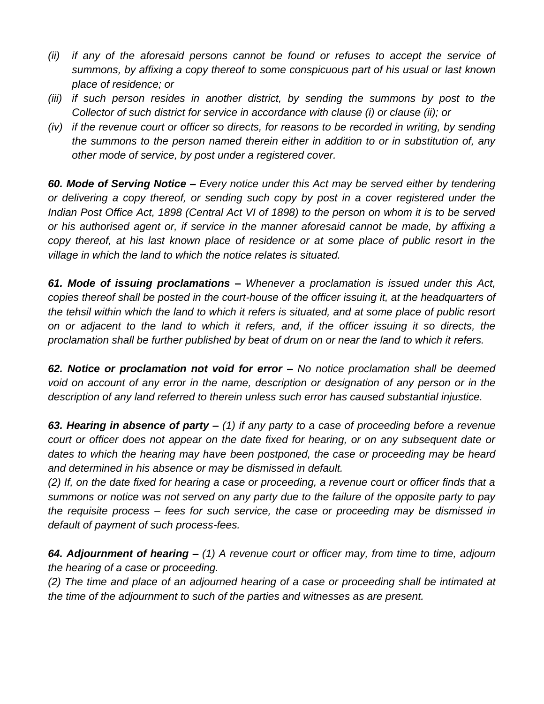- *(ii) if any of the aforesaid persons cannot be found or refuses to accept the service of summons, by affixing a copy thereof to some conspicuous part of his usual or last known place of residence; or*
- *(iii) if such person resides in another district, by sending the summons by post to the Collector of such district for service in accordance with clause (i) or clause (ii); or*
- *(iv) if the revenue court or officer so directs, for reasons to be recorded in writing, by sending the summons to the person named therein either in addition to or in substitution of, any other mode of service, by post under a registered cover.*

*60. Mode of Serving Notice – Every notice under this Act may be served either by tendering or delivering a copy thereof, or sending such copy by post in a cover registered under the Indian Post Office Act, 1898 (Central Act VI of 1898) to the person on whom it is to be served or his authorised agent or, if service in the manner aforesaid cannot be made, by affixing a copy thereof, at his last known place of residence or at some place of public resort in the village in which the land to which the notice relates is situated.*

*61. Mode of issuing proclamations – Whenever a proclamation is issued under this Act, copies thereof shall be posted in the court-house of the officer issuing it, at the headquarters of the tehsil within which the land to which it refers is situated, and at some place of public resort on or adjacent to the land to which it refers, and, if the officer issuing it so directs, the proclamation shall be further published by beat of drum on or near the land to which it refers.* 

*62. Notice or proclamation not void for error – No notice proclamation shall be deemed void on account of any error in the name, description or designation of any person or in the description of any land referred to therein unless such error has caused substantial injustice.*

*63. Hearing in absence of party – (1) if any party to a case of proceeding before a revenue court or officer does not appear on the date fixed for hearing, or on any subsequent date or dates to which the hearing may have been postponed, the case or proceeding may be heard and determined in his absence or may be dismissed in default.*

*(2) If, on the date fixed for hearing a case or proceeding, a revenue court or officer finds that a summons or notice was not served on any party due to the failure of the opposite party to pay the requisite process – fees for such service, the case or proceeding may be dismissed in default of payment of such process-fees.*

*64. Adjournment of hearing – (1) A revenue court or officer may, from time to time, adjourn the hearing of a case or proceeding.*

*(2) The time and place of an adjourned hearing of a case or proceeding shall be intimated at the time of the adjournment to such of the parties and witnesses as are present.*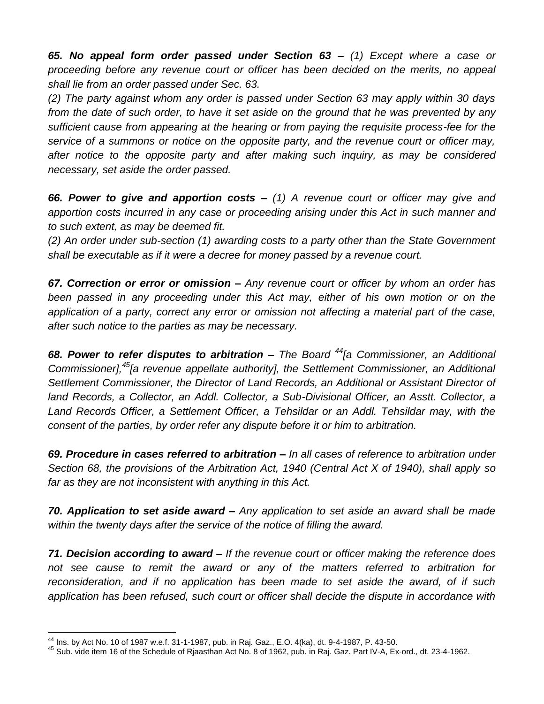*65. No appeal form order passed under Section 63 – (1) Except where a case or proceeding before any revenue court or officer has been decided on the merits, no appeal shall lie from an order passed under Sec. 63.*

*(2) The party against whom any order is passed under Section 63 may apply within 30 days from the date of such order, to have it set aside on the ground that he was prevented by any sufficient cause from appearing at the hearing or from paying the requisite process-fee for the service of a summons or notice on the opposite party, and the revenue court or officer may, after notice to the opposite party and after making such inquiry, as may be considered necessary, set aside the order passed.*

*66. Power to give and apportion costs – (1) A revenue court or officer may give and apportion costs incurred in any case or proceeding arising under this Act in such manner and to such extent, as may be deemed fit.* 

*(2) An order under sub-section (1) awarding costs to a party other than the State Government shall be executable as if it were a decree for money passed by a revenue court.*

*67. Correction or error or omission – Any revenue court or officer by whom an order has been passed in any proceeding under this Act may, either of his own motion or on the application of a party, correct any error or omission not affecting a material part of the case, after such notice to the parties as may be necessary.*

*68. Power to refer disputes to arbitration – The Board <sup>44</sup>[a Commissioner, an Additional Commissioner],<sup>45</sup>[a revenue appellate authority], the Settlement Commissioner, an Additional Settlement Commissioner, the Director of Land Records, an Additional or Assistant Director of land Records, a Collector, an Addl. Collector, a Sub-Divisional Officer, an Asstt. Collector, a Land Records Officer, a Settlement Officer, a Tehsildar or an Addl. Tehsildar may, with the consent of the parties, by order refer any dispute before it or him to arbitration.*

*69. Procedure in cases referred to arbitration – In all cases of reference to arbitration under Section 68, the provisions of the Arbitration Act, 1940 (Central Act X of 1940), shall apply so far as they are not inconsistent with anything in this Act.*

*70. Application to set aside award – Any application to set aside an award shall be made within the twenty days after the service of the notice of filling the award.*

*71. Decision according to award – If the revenue court or officer making the reference does not see cause to remit the award or any of the matters referred to arbitration for reconsideration, and if no application has been made to set aside the award, of if such application has been refused, such court or officer shall decide the dispute in accordance with* 

 $\overline{a}$ 

 $^{44}$  Ins. by Act No. 10 of 1987 w.e.f. 31-1-1987, pub. in Raj. Gaz., E.O. 4(ka), dt. 9-4-1987, P. 43-50.

<sup>&</sup>lt;sup>45</sup> Sub. vide item 16 of the Schedule of Rjaasthan Act No. 8 of 1962, pub. in Raj. Gaz. Part IV-A, Ex-ord., dt. 23-4-1962.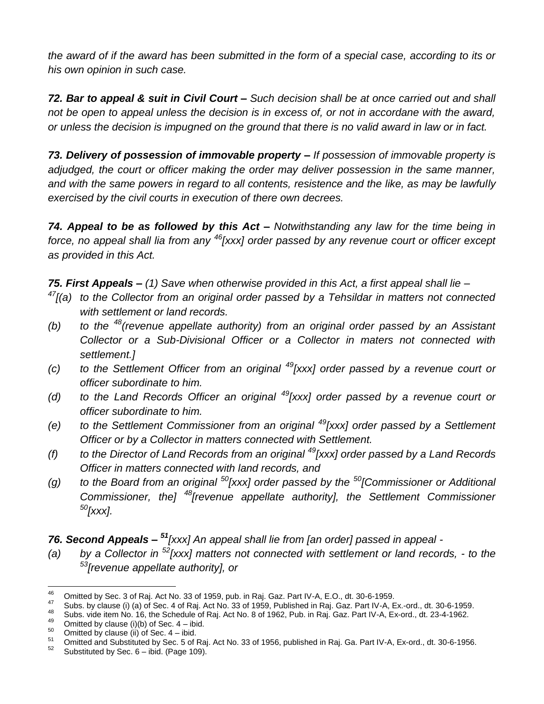*the award of if the award has been submitted in the form of a special case, according to its or his own opinion in such case.*

*72. Bar to appeal & suit in Civil Court – Such decision shall be at once carried out and shall not be open to appeal unless the decision is in excess of, or not in accordane with the award, or unless the decision is impugned on the ground that there is no valid award in law or in fact.*

*73. Delivery of possession of immovable property – If possession of immovable property is adjudged, the court or officer making the order may deliver possession in the same manner, and with the same powers in regard to all contents, resistence and the like, as may be lawfully exercised by the civil courts in execution of there own decrees.*

*74. Appeal to be as followed by this Act – Notwithstanding any law for the time being in force, no appeal shall lia from any <sup>46</sup>[xxx] order passed by any revenue court or officer except as provided in this Act.*

*75. First Appeals – (1) Save when otherwise provided in this Act, a first appeal shall lie –*

- *<sup>47</sup>[(a) to the Collector from an original order passed by a Tehsildar in matters not connected with settlement or land records.*
- *(b) to the <sup>48</sup>(revenue appellate authority) from an original order passed by an Assistant Collector or a Sub-Divisional Officer or a Collector in maters not connected with settlement.]*
- *(c) to the Settlement Officer from an original <sup>49</sup>[xxx] order passed by a revenue court or officer subordinate to him.*
- *(d) to the Land Records Officer an original <sup>49</sup>[xxx] order passed by a revenue court or officer subordinate to him.*
- *(e) to the Settlement Commissioner from an original <sup>49</sup>[xxx] order passed by a Settlement Officer or by a Collector in matters connected with Settlement.*
- *(f) to the Director of Land Records from an original <sup>49</sup>[xxx] order passed by a Land Records Officer in matters connected with land records, and*
- *(g) to the Board from an original <sup>50</sup>[xxx] order passed by the <sup>50</sup>[Commissioner or Additional Commissioner, the] <sup>48</sup>[revenue appellate authority], the Settlement Commissioner <sup>50</sup>[xxx].*

*76. Second Appeals – <sup>51</sup>[xxx] An appeal shall lie from [an order] passed in appeal -*

*(a) by a Collector in <sup>52</sup>[xxx] matters not connected with settlement or land records, - to the <sup>53</sup>[revenue appellate authority], or*

<sup>46</sup> <sup>46</sup> Omitted by Sec. 3 of Raj. Act No. 33 of 1959, pub. in Raj. Gaz. Part IV-A, E.O., dt. 30-6-1959.<br><sup>47</sup> Pube by slaves (i) (a) of Sec. 4 of Baj. Act Na. 33 of 4959. Published in Baj. Gaz. Bat IV A, F

 $^{47}$  Subs. by clause (i) (a) of Sec. 4 of Raj. Act No. 33 of 1959, Published in Raj. Gaz. Part IV-A, Ex.-ord., dt. 30-6-1959.

 $\frac{48}{49}$  Subs. vide item No. 16, the Schedule of Raj. Act No. 8 of 1962, Pub. in Raj. Gaz. Part IV-A, Ex-ord., dt. 23-4-1962.

<sup>&</sup>lt;sup>49</sup> Omitted by clause (i)(b) of Sec.  $4 - ibid$ .

 $^{50}$  Omitted by clause (ii) of Sec. 4 – ibid.

 $^{51}$  Omitted and Substituted by Sec. 5 of Raj. Act No. 33 of 1956, published in Raj. Ga. Part IV-A, Ex-ord., dt. 30-6-1956.

Substituted by Sec.  $6 -$  ibid. (Page 109).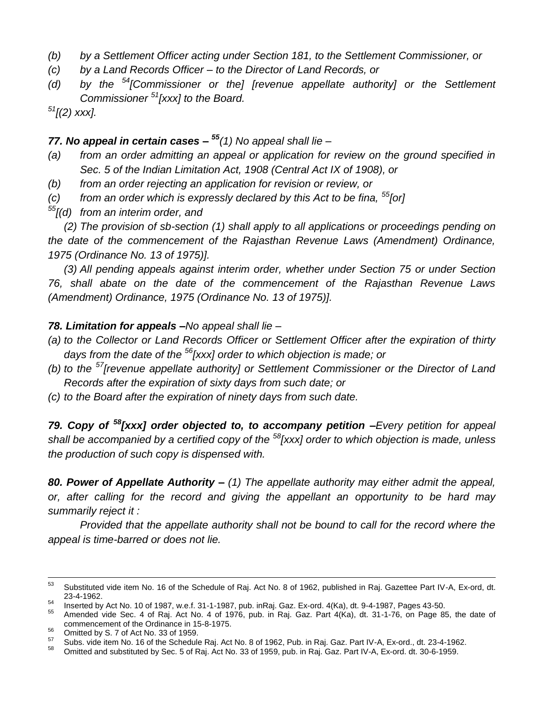- *(b) by a Settlement Officer acting under Section 181, to the Settlement Commissioner, or*
- *(c) by a Land Records Officer – to the Director of Land Records, or*
- *(d) by the <sup>54</sup>[Commissioner or the] [revenue appellate authority] or the Settlement Commissioner <sup>51</sup>[xxx] to the Board.*

*<sup>51</sup>[(2) xxx].*

#### *77. No appeal in certain cases – <sup>55</sup>(1) No appeal shall lie –*

- *(a) from an order admitting an appeal or application for review on the ground specified in Sec. 5 of the Indian Limitation Act, 1908 (Central Act IX of 1908), or*
- *(b) from an order rejecting an application for revision or review, or*
- *(c) from an order which is expressly declared by this Act to be fina, <sup>55</sup>[or]*
- *<sup>55</sup>[(d) from an interim order, and*

*(2) The provision of sb-section (1) shall apply to all applications or proceedings pending on the date of the commencement of the Rajasthan Revenue Laws (Amendment) Ordinance, 1975 (Ordinance No. 13 of 1975)].*

*(3) All pending appeals against interim order, whether under Section 75 or under Section 76, shall abate on the date of the commencement of the Rajasthan Revenue Laws (Amendment) Ordinance, 1975 (Ordinance No. 13 of 1975)].*

#### *78. Limitation for appeals –No appeal shall lie –*

- *(a) to the Collector or Land Records Officer or Settlement Officer after the expiration of thirty days from the date of the <sup>56</sup>[xxx] order to which objection is made; or*
- *(b) to the <sup>57</sup>[revenue appellate authority] or Settlement Commissioner or the Director of Land Records after the expiration of sixty days from such date; or*
- *(c) to the Board after the expiration of ninety days from such date.*

*79. Copy of <sup>58</sup>[xxx] order objected to, to accompany petition –Every petition for appeal shall be accompanied by a certified copy of the <sup>58</sup>[xxx] order to which objection is made, unless the production of such copy is dispensed with.*

*80. Power of Appellate Authority – (1) The appellate authority may either admit the appeal, or, after calling for the record and giving the appellant an opportunity to be hard may summarily reject it :*

*Provided that the appellate authority shall not be bound to call for the record where the appeal is time-barred or does not lie.*

<sup>53</sup> <sup>53</sup> Substituted vide item No. 16 of the Schedule of Raj. Act No. 8 of 1962, published in Raj. Gazettee Part IV-A, Ex-ord, dt. 23-4-1962.

 $^{54}$  Inserted by Act No. 10 of 1987, w.e.f. 31-1-1987, pub. inRaj. Gaz. Ex-ord. 4(Ka), dt. 9-4-1987, Pages 43-50.

Amended vide Sec. 4 of Raj. Act No. 4 of 1976, pub. in Raj. Gaz. Part 4(Ka), dt. 31-1-76, on Page 85, the date of commencement of the Ordinance in 15-8-1975.

<sup>&</sup>lt;sup>56</sup> Omitted by S. 7 of Act No. 33 of 1959.

 $\frac{57}{28}$  Subs. vide item No. 16 of the Schedule Raj. Act No. 8 of 1962, Pub. in Raj. Gaz. Part IV-A, Ex-ord., dt. 23-4-1962.

Omitted and substituted by Sec. 5 of Raj. Act No. 33 of 1959, pub. in Raj. Gaz. Part IV-A, Ex-ord. dt. 30-6-1959.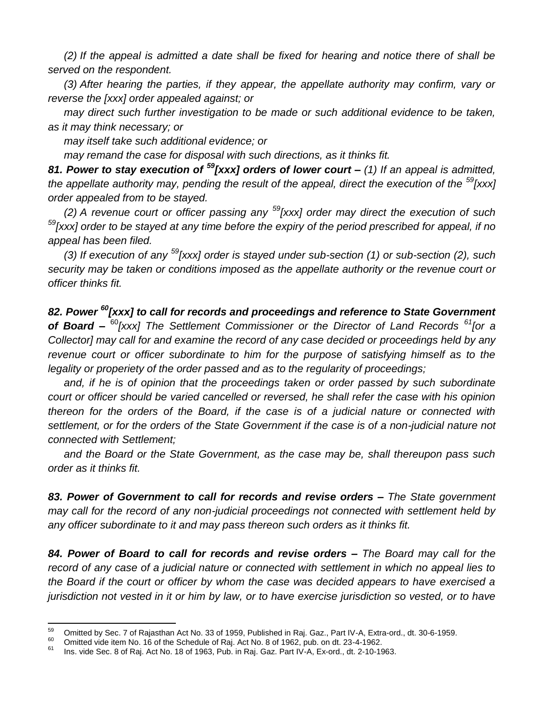*(2) If the appeal is admitted a date shall be fixed for hearing and notice there of shall be served on the respondent.*

*(3) After hearing the parties, if they appear, the appellate authority may confirm, vary or reverse the [xxx] order appealed against; or*

*may direct such further investigation to be made or such additional evidence to be taken, as it may think necessary; or*

*may itself take such additional evidence; or*

*may remand the case for disposal with such directions, as it thinks fit.*

*81. Power to stay execution of <sup>59</sup>[xxx] orders of lower court – (1) If an appeal is admitted, the appellate authority may, pending the result of the appeal, direct the execution of the <sup>59</sup><sup>[xxx]</sup> order appealed from to be stayed.*

*(2) A revenue court or officer passing any <sup>59</sup>[xxx] order may direct the execution of such <sup>59</sup>[xxx] order to be stayed at any time before the expiry of the period prescribed for appeal, if no appeal has been filed.*

*(3) If execution of any <sup>59</sup>[xxx] order is stayed under sub-section (1) or sub-section (2), such security may be taken or conditions imposed as the appellate authority or the revenue court or officer thinks fit.*

*82. Power <sup>60</sup>[xxx] to call for records and proceedings and reference to State Government of Board –* <sup>60</sup>*[xxx] The Settlement Commissioner or the Director of Land Records <sup>61</sup>[or a Collector] may call for and examine the record of any case decided or proceedings held by any revenue court or officer subordinate to him for the purpose of satisfying himself as to the legality or properiety of the order passed and as to the regularity of proceedings;*

*and, if he is of opinion that the proceedings taken or order passed by such subordinate court or officer should be varied cancelled or reversed, he shall refer the case with his opinion thereon for the orders of the Board, if the case is of a judicial nature or connected with*  settlement, or for the orders of the State Government if the case is of a non-judicial nature not *connected with Settlement;*

*and the Board or the State Government, as the case may be, shall thereupon pass such order as it thinks fit.*

*83. Power of Government to call for records and revise orders – The State government may call for the record of any non-judicial proceedings not connected with settlement held by any officer subordinate to it and may pass thereon such orders as it thinks fit.*

*84. Power of Board to call for records and revise orders – The Board may call for the record of any case of a judicial nature or connected with settlement in which no appeal lies to the Board if the court or officer by whom the case was decided appears to have exercised a jurisdiction not vested in it or him by law, or to have exercise jurisdiction so vested, or to have* 

<sup>59</sup>  $^{59}$  Omitted by Sec. 7 of Rajasthan Act No. 33 of 1959, Published in Raj. Gaz., Part IV-A, Extra-ord., dt. 30-6-1959.

<sup>&</sup>lt;sup>60</sup> Omitted vide item No. 16 of the Schedule of Raj. Act No. 8 of 1962, pub. on dt. 23-4-1962.

<sup>61</sup> Ins. vide Sec. 8 of Raj. Act No. 18 of 1963, Pub. in Raj. Gaz. Part IV-A, Ex-ord., dt. 2-10-1963.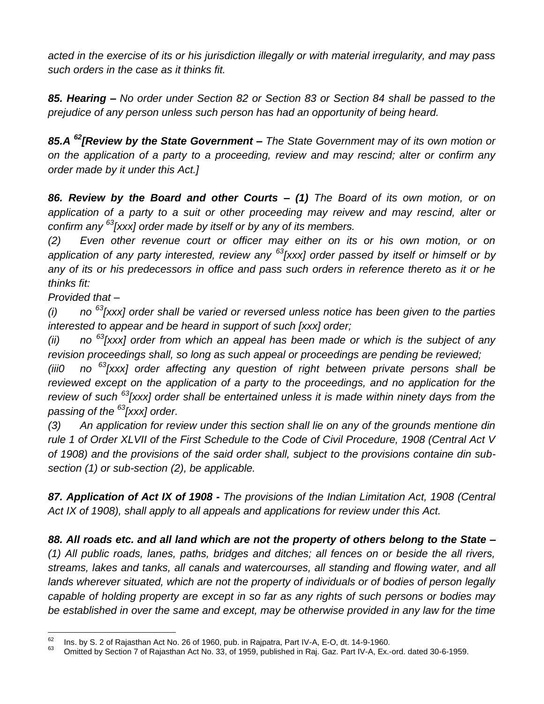*acted in the exercise of its or his jurisdiction illegally or with material irregularity, and may pass such orders in the case as it thinks fit.*

*85. Hearing – No order under Section 82 or Section 83 or Section 84 shall be passed to the prejudice of any person unless such person has had an opportunity of being heard.*

*85.A <sup>62</sup>[Review by the State Government – The State Government may of its own motion or on the application of a party to a proceeding, review and may rescind; alter or confirm any order made by it under this Act.]*

*86. Review by the Board and other Courts – (1) The Board of its own motion, or on application of a party to a suit or other proceeding may reivew and may rescind, alter or confirm any <sup>63</sup>[xxx] order made by itself or by any of its members.*

*(2) Even other revenue court or officer may either on its or his own motion, or on application of any party interested, review any <sup>63</sup>[xxx] order passed by itself or himself or by any of its or his predecessors in office and pass such orders in reference thereto as it or he thinks fit:*

*Provided that –*

*(i) no <sup>63</sup>[xxx] order shall be varied or reversed unless notice has been given to the parties interested to appear and be heard in support of such [xxx] order;*

*(ii) no <sup>63</sup>[xxx] order from which an appeal has been made or which is the subject of any revision proceedings shall, so long as such appeal or proceedings are pending be reviewed;*

*(iii0 no <sup>63</sup>[xxx] order affecting any question of right between private persons shall be*  reviewed except on the application of a party to the proceedings, and no application for the *review of such <sup>63</sup>[xxx] order shall be entertained unless it is made within ninety days from the passing of the <sup>63</sup>[xxx] order.*

*(3) An application for review under this section shall lie on any of the grounds mentione din rule 1 of Order XLVII of the First Schedule to the Code of Civil Procedure, 1908 (Central Act V of 1908) and the provisions of the said order shall, subject to the provisions containe din subsection (1) or sub-section (2), be applicable.*

*87. Application of Act IX of 1908 - The provisions of the Indian Limitation Act, 1908 (Central Act IX of 1908), shall apply to all appeals and applications for review under this Act.*

*88. All roads etc. and all land which are not the property of others belong to the State – (1) All public roads, lanes, paths, bridges and ditches; all fences on or beside the all rivers, streams, lakes and tanks, all canals and watercourses, all standing and flowing water, and all lands wherever situated, which are not the property of individuals or of bodies of person legally capable of holding property are except in so far as any rights of such persons or bodies may*  be established in over the same and except, may be otherwise provided in any law for the time

<sup>62</sup>  $^{62}$  Ins. by S. 2 of Rajasthan Act No. 26 of 1960, pub. in Rajpatra, Part IV-A, E-O, dt. 14-9-1960.

Omitted by Section 7 of Rajasthan Act No. 33, of 1959, published in Raj. Gaz. Part IV-A, Ex.-ord. dated 30-6-1959.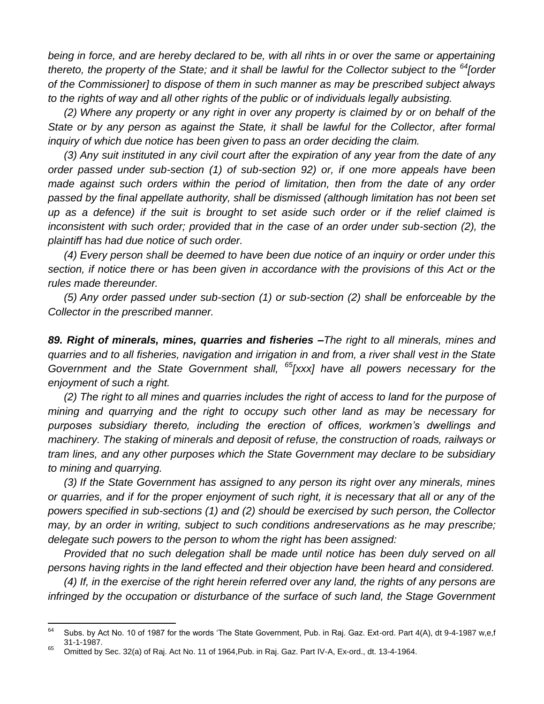*being in force, and are hereby declared to be, with all rihts in or over the same or appertaining thereto, the property of the State; and it shall be lawful for the Collector subject to the <sup>64</sup>[order of the Commissioner] to dispose of them in such manner as may be prescribed subject always to the rights of way and all other rights of the public or of individuals legally aubsisting.*

*(2) Where any property or any right in over any property is claimed by or on behalf of the State or by any person as against the State, it shall be lawful for the Collector, after formal inquiry of which due notice has been given to pass an order deciding the claim.*

*(3) Any suit instituted in any civil court after the expiration of any year from the date of any order passed under sub-section (1) of sub-section 92) or, if one more appeals have been made against such orders within the period of limitation, then from the date of any order passed by the final appellate authority, shall be dismissed (although limitation has not been set up as a defence) if the suit is brought to set aside such order or if the relief claimed is inconsistent with such order; provided that in the case of an order under sub-section (2), the plaintiff has had due notice of such order.*

*(4) Every person shall be deemed to have been due notice of an inquiry or order under this section, if notice there or has been given in accordance with the provisions of this Act or the rules made thereunder.*

*(5) Any order passed under sub-section (1) or sub-section (2) shall be enforceable by the Collector in the prescribed manner.*

*89. Right of minerals, mines, quarries and fisheries –The right to all minerals, mines and quarries and to all fisheries, navigation and irrigation in and from, a river shall vest in the State Government and the State Government shall, <sup>65</sup>[xxx] have all powers necessary for the enjoyment of such a right.*

*(2) The right to all mines and quarries includes the right of access to land for the purpose of mining and quarrying and the right to occupy such other land as may be necessary for purposes subsidiary thereto, including the erection of offices, workmen's dwellings and machinery. The staking of minerals and deposit of refuse, the construction of roads, railways or tram lines, and any other purposes which the State Government may declare to be subsidiary to mining and quarrying.*

*(3) If the State Government has assigned to any person its right over any minerals, mines or quarries, and if for the proper enjoyment of such right, it is necessary that all or any of the powers specified in sub-sections (1) and (2) should be exercised by such person, the Collector may, by an order in writing, subject to such conditions andreservations as he may prescribe; delegate such powers to the person to whom the right has been assigned:*

*Provided that no such delegation shall be made until notice has been duly served on all persons having rights in the land effected and their objection have been heard and considered.*

*(4) If, in the exercise of the right herein referred over any land, the rights of any persons are infringed by the occupation or disturbance of the surface of such land, the Stage Government* 

<sup>64</sup> Subs. by Act No. 10 of 1987 for the words 'The State Government, Pub. in Raj. Gaz. Ext-ord. Part 4(A), dt 9-4-1987 w,e,f 31-1-1987.

 $65$  Omitted by Sec. 32(a) of Raj. Act No. 11 of 1964, Pub. in Raj. Gaz. Part IV-A, Ex-ord., dt. 13-4-1964.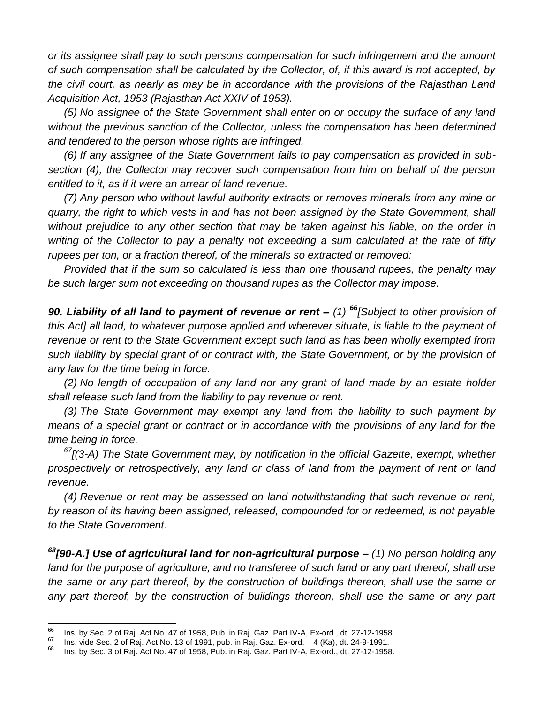*or its assignee shall pay to such persons compensation for such infringement and the amount of such compensation shall be calculated by the Collector, of, if this award is not accepted, by the civil court, as nearly as may be in accordance with the provisions of the Rajasthan Land Acquisition Act, 1953 (Rajasthan Act XXIV of 1953).*

*(5) No assignee of the State Government shall enter on or occupy the surface of any land without the previous sanction of the Collector, unless the compensation has been determined and tendered to the person whose rights are infringed.*

*(6) If any assignee of the State Government fails to pay compensation as provided in subsection (4), the Collector may recover such compensation from him on behalf of the person entitled to it, as if it were an arrear of land revenue.*

*(7) Any person who without lawful authority extracts or removes minerals from any mine or quarry, the right to which vests in and has not been assigned by the State Government, shall without prejudice to any other section that may be taken against his liable, on the order in writing of the Collector to pay a penalty not exceeding a sum calculated at the rate of fifty rupees per ton, or a fraction thereof, of the minerals so extracted or removed:*

*Provided that if the sum so calculated is less than one thousand rupees, the penalty may be such larger sum not exceeding on thousand rupes as the Collector may impose.*

*90. Liability of all land to payment of revenue or rent – (1) <sup>66</sup>[Subject to other provision of*  this Act] all land, to whatever purpose applied and wherever situate, is liable to the payment of *revenue or rent to the State Government except such land as has been wholly exempted from such liability by special grant of or contract with, the State Government, or by the provision of any law for the time being in force.*

*(2) No length of occupation of any land nor any grant of land made by an estate holder shall release such land from the liability to pay revenue or rent.*

*(3) The State Government may exempt any land from the liability to such payment by means of a special grant or contract or in accordance with the provisions of any land for the time being in force.*

*<sup>67</sup>[(3-A) The State Government may, by notification in the official Gazette, exempt, whether prospectively or retrospectively, any land or class of land from the payment of rent or land revenue.*

*(4) Revenue or rent may be assessed on land notwithstanding that such revenue or rent, by reason of its having been assigned, released, compounded for or redeemed, is not payable to the State Government.*

*<sup>68</sup>[90-A.] Use of agricultural land for non-agricultural purpose – (1) No person holding any land for the purpose of agriculture, and no transferee of such land or any part thereof, shall use the same or any part thereof, by the construction of buildings thereon, shall use the same or*  any part thereof, by the construction of buildings thereon, shall use the same or any part

<sup>66</sup>  $^{66}$  Ins. by Sec. 2 of Raj. Act No. 47 of 1958, Pub. in Raj. Gaz. Part IV-A, Ex-ord., dt. 27-12-1958.

<sup>&</sup>lt;sup>67</sup> Ins. vide Sec. 2 of Raj. Act No. 13 of 1991, pub. in Raj. Gaz. Ex-ord. – 4 (Ka), dt. 24-9-1991.

<sup>68</sup> Ins. by Sec. 3 of Raj. Act No. 47 of 1958, Pub. in Raj. Gaz. Part IV-A, Ex-ord., dt. 27-12-1958.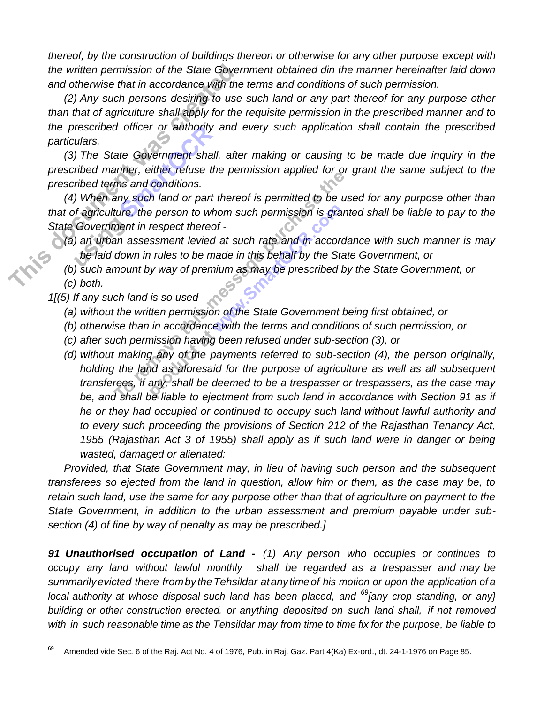*thereof, by the construction of buildings thereon or otherwise for any other purpose except with the written permission of the State Government obtained din the manner hereinafter laid down and otherwise that in accordance with the terms and conditions of such permission.*

*(2) Any such persons desiring to use such land or any part thereof for any purpose other than that of agriculture shall apply for the requisite permission in the prescribed manner and to the prescribed officer or authority and every such application shall contain the prescribed particulars.*

*(3) The State Government shall, after making or causing to be made due inquiry in the prescribed manner, either refuse the permission applied for or grant the same subject to the prescribed terms and conditions.*

*(4) When any such land or part thereof is permitted to be used for any purpose other than that of agriculture, the person to whom such permission is granted shall be liable to pay to the State Government in respect thereof -*

- *(a) an urban assessment levied at such rate and in accordance with such manner is may be laid down in rules to be made in this behalf by the State Government, or*
- *(b) such amount by way of premium as may be prescribed by the State Government, or (c) both.*
- *1[(5) If any such land is so used –*
	- *(a) without the written permission of the State Government being first obtained, or*
	- *(b) otherwise than in accordance with the terms and conditions of such permission, or*
	- *(c) after such permission having been refused under sub-section (3), or*
	- *(d) without making any of the payments referred to sub-section (4), the person originally, holding the land as aforesaid for the purpose of agriculture as well as all subsequent transferees, if any, shall be deemed to be a trespasser or trespassers, as the case may be, and shall be liable to ejectment from such land in accordance with Section 91 as if he or they had occupied or continued to occupy such land without lawful authority and to every such proceeding the provisions of Section 212 of the Rajasthan Tenancy Act, 1955 (Rajasthan Act 3 of 1955) shall apply as if such land were in danger or being wasted, damaged or alienated:*

*Provided, that State Government may, in lieu of having such person and the subsequent transferees so ejected from the land in question, allow him or them, as the case may be, to retain such land, use the same for any purpose other than that of agriculture on payment to the State Government, in addition to the urban assessment and premium payable under subsection (4) of fine by way of penalty as may be prescribed.]*

*91 Unauthorlsed occupation of Land - (1) Any person who occupies or continues to occupy any land without lawful monthly shall be regarded as a trespasser and may be summarilyevicted there frombytheTehsildar atanytimeof his motion or upon the application of a local authority at whose disposal such land has been placed, and <sup>69</sup>[any crop standing, or any} building or other construction erected. or anything deposited on such land shall, if not removed with in such reasonable time as the Tehsildar may from time to time fix for the purpose, be liable to*

<sup>69</sup> <sup>69</sup> Amended vide Sec. 6 of the Raj. Act No. 4 of 1976, Pub. in Raj. Gaz. Part 4(Ka) Ex-ord., dt. 24-1-1976 on Page 85.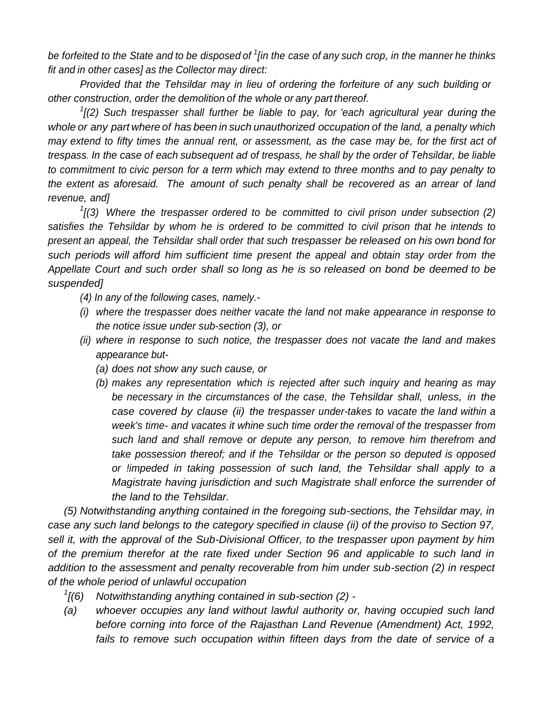*be forfeited to the State and to be disposed of <sup>1</sup> [in the case of any such crop, in the manner he thinks fit and in other cases] as the Collector may direct:*

*Provided that the Tehsildar may in lieu of ordering the forfeiture of any such building or other construction, order the demolition of the whole or any part thereof.*

*1 [(2) Such trespasser shall further be liable to pay, for 'each agricultural year during the whole or any part where of has been in such unauthorized occupation of the land, a penalty which may extend to fifty times the annual rent, or assessment, as the case may be, for the first act of trespass. In the case of each subsequent ad of trespass, he shall by the order of Tehsildar, be liable to commitment to civic person for a term which may extend to three months and to pay penalty to the extent as aforesaid. The amount of such penalty shall be recovered as an arrear of land revenue, and]*

*1 [(3) Where the trespasser ordered to be committed to civil prison under subsection (2) satisfies the Tehsildar by whom he is ordered to be committed to civil prison that he intends to present an appeal, the Tehsildar shall order that such trespasser be released on his own bond for such periods will afford him sufficient time present the appeal and obtain stay order from the Appellate Court and such order shall so long as he is so released on bond be deemed to be suspended]*

- *(4) In any of the following cases, namely.-*
- *(i) where the trespasser does neither vacate the land not make appearance in response to the notice issue under sub-section (3), or*
- *(ii) where in response to such notice, the trespasser does not vacate the land and makes appearance but-*
	- *(a) does not show any such cause, or*
	- *(b) makes any representation which is rejected after such inquiry and hearing as may be necessary in the circumstances of the case, the Tehsildar shall, unless, in the case covered by clause (ii) the trespasser under-takes to vacate the land within a week's time- and vacates it whine such time order the removal of the trespasser from such land and shall remove or depute any person, to remove him therefrom and take possession thereof; and if the Tehsildar or the person so deputed is opposed or !impeded in taking possession of such land, the Tehsildar shall apply to a Magistrate having jurisdiction and such Magistrate shall enforce the surrender of the land to the Tehsildar.*

*(5) Notwithstanding anything contained in the foregoing sub-sections, the Tehsildar may, in case any such land belongs to the category specified in clause (ii) of the proviso to Section 97, sell it, with the approval of the Sub-Divisional Officer, to the trespasser upon payment by him of the premium therefor at the rate fixed under Section 96 and applicable to such land in addition to the assessment and penalty recoverable from him under sub-section (2) in respect of the whole period of unlawful occupation*

- $\frac{1}{6}$ *[(6) Notwithstanding anything contained in sub-section (2) -*
- *(a) whoever occupies any land without lawful authority or, having occupied such land before corning into force of the Rajasthan Land Revenue (Amendment) Act, 1992,*  fails to remove such occupation within fifteen days from the date of service of a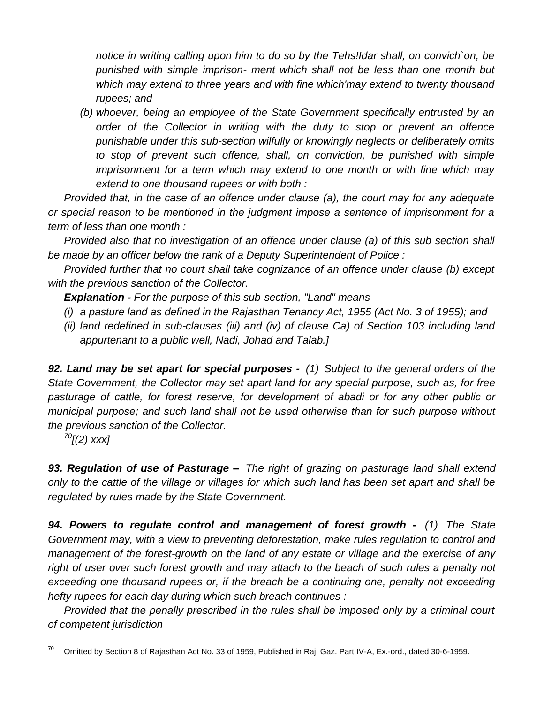*notice in writing calling upon him to do so by the Tehs!Idar shall, on convich`on, be punished with simple imprison- ment which shall not be less than one month but which may extend to three years and with fine which'may extend to twenty thousand rupees; and*

*(b) whoever, being an employee of the State Government specifically entrusted by an order of the Collector in writing with the duty to stop or prevent an offence punishable under this sub-section wilfully or knowingly neglects or deliberately omits to stop of prevent such offence, shall, on conviction, be punished with simple imprisonment for a term which may extend to one month or with fine which may extend to one thousand rupees or with both :*

*Provided that, in the case of an offence under clause (a), the court may for any adequate or special reason to be mentioned in the judgment impose a sentence of imprisonment for a term of less than one month :*

*Provided also that no investigation of an offence under clause (a) of this sub section shall be made by an officer below the rank of a Deputy Superintendent of Police :*

*Provided further that no court shall take cognizance of an offence under clause (b) except with the previous sanction of the Collector.*

*Explanation - For the purpose of this sub-section, "Land" means -*

- *(i) a pasture land as defined in the Rajasthan Tenancy Act, 1955 (Act No. 3 of 1955); and*
- *(ii) land redefined in sub-clauses (iii) and (iv) of clause Ca) of Section 103 including land appurtenant to a public well, Nadi, Johad and Talab.]*

*92. Land may be set apart for special purposes - (1) Subject to the general orders of the State Government, the Collector may set apart land for any special purpose, such as, for free pasturage of cattle, for forest reserve, for development of abadi or for any other public or municipal purpose; and such land shall not be used otherwise than for such purpose without the previous sanction of the Collector.*

*<sup>70</sup>[(2) xxx]*

*93. Regulation of use of Pasturage – The right of grazing on pasturage land shall extend only to the cattle of the village or villages for which such land has been set apart and shall be regulated by rules made by the State Government.*

*94. Powers to regulate control and management of forest growth - (1) The State Government may, with a view to preventing deforestation, make rules regulation to control and management of the forest-growth on the land of any estate or village and the exercise of any*  right of user over such forest growth and may attach to the beach of such rules a penalty not exceeding one thousand rupees or, if the breach be a continuing one, penalty not exceeding *hefty rupees for each day during which such breach continues :*

*Provided that the penally prescribed in the rules shall be imposed only by a criminal court of competent jurisdiction*

 $70$ <sup>70</sup> Omitted by Section 8 of Rajasthan Act No. 33 of 1959, Published in Raj. Gaz. Part IV-A, Ex.-ord., dated 30-6-1959.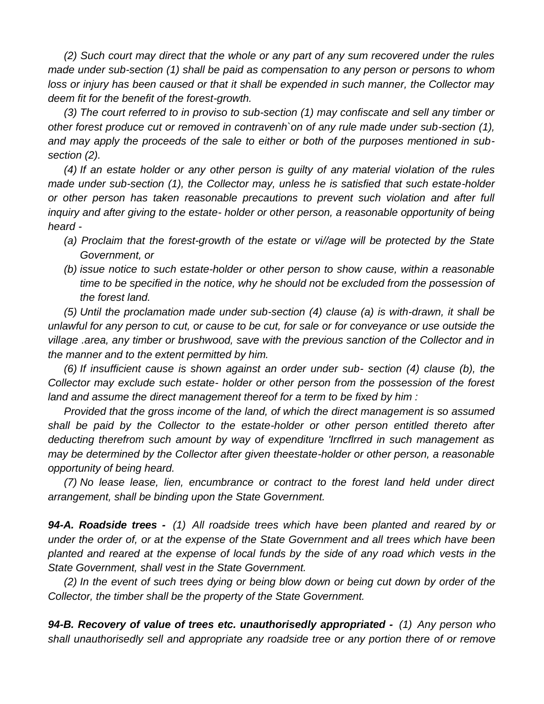*(2) Such court may direct that the whole or any part of any sum recovered under the rules made under sub-section (1) shall be paid as compensation to any person or persons to whom loss or injury has been caused or that it shall be expended in such manner, the Collector may deem fit for the benefit of the forest-growth.*

*(3) The court referred to in proviso to sub-section (1) may confiscate and sell any timber or other forest produce cut or removed in contravenh`on of any rule made under sub-section (1), and may apply the proceeds of the sale to either or both of the purposes mentioned in subsection (2).*

*(4) If an estate holder or any other person is guilty of any material violation of the rules made under sub-section (1), the Collector may, unless he is satisfied that such estate-holder or other person has taken reasonable precautions to prevent such violation and after full inquiry and after giving to the estate- holder or other person, a reasonable opportunity of being heard -*

- *(a) Proclaim that the forest-growth of the estate or vi//age will be protected by the State Government, or*
- *(b) issue notice to such estate-holder or other person to show cause, within a reasonable time to be specified in the notice, why he should not be excluded from the possession of the forest land.*

*(5) Until the proclamation made under sub-section (4) clause (a) is with-drawn, it shall be unlawful for any person to cut, or cause to be cut, for sale or for conveyance or use outside the village .area, any timber or brushwood, save with the previous sanction of the Collector and in the manner and to the extent permitted by him.*

*(6) If insufficient cause is shown against an order under sub- section (4) clause (b), the Collector may exclude such estate- holder or other person from the possession of the forest land and assume the direct management thereof for a term to be fixed by him :*

*Provided that the gross income of the land, of which the direct management is so assumed*  shall be paid by the Collector to the estate-holder or other person entitled thereto after *deducting therefrom such amount by way of expenditure 'Irncflrred in such management as may be determined by the Collector after given theestate-holder or other person, a reasonable opportunity of being heard.*

*(7) No lease lease, lien, encumbrance or contract to the forest land held under direct arrangement, shall be binding upon the State Government.*

*94-A. Roadside trees - (1) All roadside trees which have been planted and reared by or under the order of, or at the expense of the State Government and all trees which have been planted and reared at the expense of local funds by the side of any road which vests in the State Government, shall vest in the State Government.*

*(2) In the event of such trees dying or being blow down or being cut down by order of the Collector, the timber shall be the property of the State Government.*

*94-B. Recovery of value of trees etc. unauthorisedly appropriated - (1) Any person who shall unauthorisedly sell and appropriate any roadside tree or any portion there of or remove*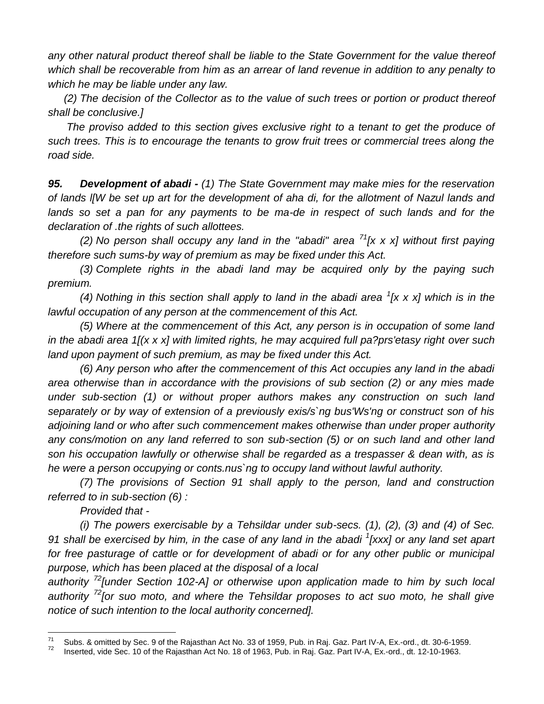*any other natural product thereof shall be liable to the State Government for the value thereof which shall be recoverable from him as an arrear of land revenue in addition to any penalty to which he may be liable under any law.*

*(2) The decision of the Collector as to the value of such trees or portion or product thereof shall be conclusive.]*

*The proviso added to this section gives exclusive right to a tenant to get the produce of such trees. This is to encourage the tenants to grow fruit trees or commercial trees along the road side.*

*95. Development of abadi - (1) The State Government may make mies for the reservation of lands l[W be set up art for the development of aha di, for the allotment of Nazul lands and*  lands so set a pan for any payments to be ma-de in respect of such lands and for the *declaration of .the rights of such allottees.*

*(2) No person shall occupy any land in the "abadi" area <sup>71</sup>[x x x] without first paying therefore such sums-by way of premium as may be fixed under this Act.*

*(3) Complete rights in the abadi land may be acquired only by the paying such premium.*

*(4) Nothing in this section shall apply to land in the abadi area <sup>1</sup> [x x x] which is in the lawful occupation of any person at the commencement of this Act.*

*(5) Where at the commencement of this Act, any person is in occupation of some land in the abadi area 1[(x x x] with limited rights, he may acquired full pa?prs'etasy right over such land upon payment of such premium, as may be fixed under this Act.*

*(6) Any person who after the commencement of this Act occupies any land in the abadi area otherwise than in accordance with the provisions of sub section (2) or any mies made under sub-section (1) or without proper authors makes any construction on such land separately or by way of extension of a previously exis/s`ng bus'Ws'ng or construct son of his adjoining land or who after such commencement makes otherwise than under proper authority any cons/motion on any land referred to son sub-section (5) or on such land and other land son his occupation lawfully or otherwise shall be regarded as a trespasser & dean with, as is he were a person occupying or conts.nus`ng to occupy land without lawful authority.*

*(7) The provisions of Section 91 shall apply to the person, land and construction referred to in sub-section (6) :*

*Provided that -*

*(i) The powers exercisable by a Tehsildar under sub-secs. (1), (2), (3) and (4) of Sec. 91 shall be exercised by him, in the case of any land in the abadi <sup>1</sup> [xxx] or any land set apart*  for free pasturage of cattle or for development of abadi or for any other public or municipal *purpose, which has been placed at the disposal of a local*

*authority <sup>72</sup>[under Section 102-A] or otherwise upon application made to him by such local authority <sup>72</sup>[or suo moto, and where the Tehsildar proposes to act suo moto, he shall give notice of such intention to the local authority concerned].*

<sup>71</sup> <sup>71</sup> Subs. & omitted by Sec. 9 of the Rajasthan Act No. 33 of 1959, Pub. in Raj. Gaz. Part IV-A, Ex.-ord., dt. 30-6-1959.

<sup>72</sup> Inserted, vide Sec. 10 of the Rajasthan Act No. 18 of 1963, Pub. in Raj. Gaz. Part IV-A, Ex.-ord., dt. 12-10-1963.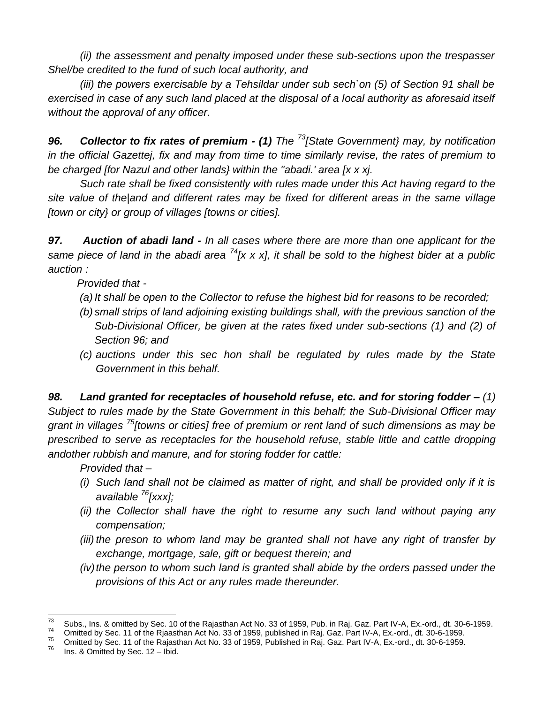*(ii) the assessment and penalty imposed under these sub-sections upon the trespasser Shel/be credited to the fund of such local authority, and*

*(iii) the powers exercisable by a Tehsildar under sub sech`on (5) of Section 91 shall be*  exercised in case of any such land placed at the disposal of a local authority as aforesaid itself *without the approval of any officer.*

*96. Collector to fix rates of premium - (1) The <sup>73</sup>[State Government} may, by notification in the official Gazettej, fix and may from time to time similarly revise, the rates of premium to be charged [for Nazul and other lands} within the "abadi.' area [x x xj.*

*Such rate shall be fixed consistently with rules made under this Act having regard to the site value of the|and and different rates may be fixed for different areas in the same village [town or city} or group of villages [towns or cities].*

*97. Auction of abadi land - In all cases where there are more than one applicant for the same piece of land in the abadi area <sup>74</sup>[x x x], it shall be sold to the highest bider at a public auction :*

*Provided that -*

- *(a) It shall be open to the Collector to refuse the highest bid for reasons to be recorded;*
- *(b) small strips of land adjoining existing buildings shall, with the previous sanction of the Sub-Divisional Officer, be given at the rates fixed under sub-sections (1) and (2) of Section 96; and*
- *(c) auctions under this sec hon shall be regulated by rules made by the State Government in this behalf.*

*98. Land granted for receptacles of household refuse, etc. and for storing fodder – (1) Subject to rules made by the State Government in this behalf; the Sub-Divisional Officer may grant in villages <sup>75</sup>[towns or cities] free of premium or rent land of such dimensions as may be prescribed to serve as receptacles for the household refuse, stable little and cattle dropping andother rubbish and manure, and for storing fodder for cattle:*

*Provided that –*

- *(i) Such land shall not be claimed as matter of right, and shall be provided only if it is available <sup>76</sup>[xxx];*
- *(ii) the Collector shall have the right to resume any such land without paying any compensation;*
- *(iii) the preson to whom land may be granted shall not have any right of transfer by exchange, mortgage, sale, gift or bequest therein; and*
- *(iv)* the person to whom such land is granted shall abide by the orders passed under the *provisions of this Act or any rules made thereunder.*

<sup>73</sup>  $\frac{73}{74}$  Subs., Ins. & omitted by Sec. 10 of the Rajasthan Act No. 33 of 1959, Pub. in Raj. Gaz. Part IV-A, Ex.-ord., dt. 30-6-1959.

<sup>&</sup>lt;sup>74</sup> Omitted by Sec. 11 of the Rjaasthan Act No. 33 of 1959, published in Raj. Gaz. Part IV-A, Ex.-ord., dt. 30-6-1959.

 $^{75}$  Omitted by Sec. 11 of the Rajasthan Act No. 33 of 1959, Published in Raj. Gaz. Part IV-A, Ex.-ord., dt. 30-6-1959.

Ins. & Omitted by Sec. 12 – Ibid.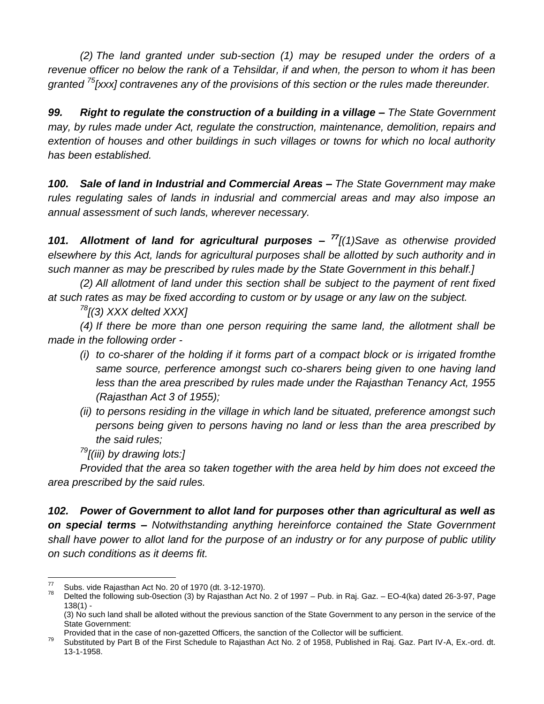*(2) The land granted under sub-section (1) may be resuped under the orders of a revenue officer no below the rank of a Tehsildar, if and when, the person to whom it has been granted <sup>75</sup>[xxx] contravenes any of the provisions of this section or the rules made thereunder.*

*99. Right to regulate the construction of a building in a village – The State Government may, by rules made under Act, regulate the construction, maintenance, demolition, repairs and extention of houses and other buildings in such villages or towns for which no local authority has been established.*

*100. Sale of land in Industrial and Commercial Areas – The State Government may make rules regulating sales of lands in indusrial and commercial areas and may also impose an annual assessment of such lands, wherever necessary.*

*101. Allotment of land for agricultural purposes – <sup>77</sup>[(1)Save as otherwise provided elsewhere by this Act, lands for agricultural purposes shall be allotted by such authority and in such manner as may be prescribed by rules made by the State Government in this behalf.]*

*(2) All allotment of land under this section shall be subject to the payment of rent fixed at such rates as may be fixed according to custom or by usage or any law on the subject.*

*<sup>78</sup>[(3) XXX delted XXX]*

*(4) If there be more than one person requiring the same land, the allotment shall be made in the following order -*

- *(i) to co-sharer of the holding if it forms part of a compact block or is irrigated fromthe same source, perference amongst such co-sharers being given to one having land less than the area prescribed by rules made under the Rajasthan Tenancy Act, 1955 (Rajasthan Act 3 of 1955);*
- *(ii) to persons residing in the village in which land be situated, preference amongst such persons being given to persons having no land or less than the area prescribed by the said rules;*

*<sup>79</sup>[(iii) by drawing lots:]*

*Provided that the area so taken together with the area held by him does not exceed the area prescribed by the said rules.*

*102. Power of Government to allot land for purposes other than agricultural as well as on special terms – Notwithstanding anything hereinforce contained the State Government shall have power to allot land for the purpose of an industry or for any purpose of public utility on such conditions as it deems fit.*

<sup>77</sup>  $^{77}$  Subs. vide Rajasthan Act No. 20 of 1970 (dt. 3-12-1970).<br> $^{78}$  Delted the following sub Osection (2) by Rejection Act No.

Delted the following sub-0section (3) by Rajasthan Act No. 2 of 1997 – Pub. in Raj. Gaz. – EO-4(ka) dated 26-3-97, Page 138(1) -

<sup>(3)</sup> No such land shall be alloted without the previous sanction of the State Government to any person in the service of the State Government:

Provided that in the case of non-gazetted Officers, the sanction of the Collector will be sufficient.

<sup>&</sup>lt;sup>79</sup> Substituted by Part B of the First Schedule to Rajasthan Act No. 2 of 1958, Published in Raj. Gaz. Part IV-A, Ex.-ord. dt. 13-1-1958.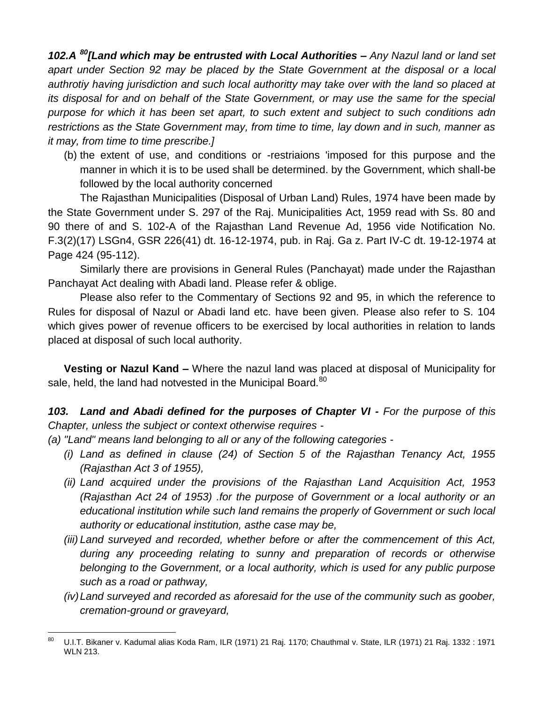*102.A <sup>80</sup>[Land which may be entrusted with Local Authorities – Any Nazul land or land set apart under Section 92 may be placed by the State Government at the disposal or a local authrotiy having jurisdiction and such local authoritty may take over with the land so placed at its disposal for and on behalf of the State Government, or may use the same for the special purpose for which it has been set apart, to such extent and subject to such conditions adn restrictions as the State Government may, from time to time, lay down and in such, manner as it may, from time to time prescribe.]*

(b) the extent of use, and conditions or -restriaions 'imposed for this purpose and the manner in which it is to be used shall be determined. by the Government, which shall-be followed by the local authority concerned

The Rajasthan Municipalities (Disposal of Urban Land) Rules, 1974 have been made by the State Government under S. 297 of the Raj. Municipalities Act, 1959 read with Ss. 80 and 90 there of and S. 102-A of the Rajasthan Land Revenue Ad, 1956 vide Notification No. F.3(2)(17) LSGn4, GSR 226(41) dt. 16-12-1974, pub. in Raj. Ga z. Part IV-C dt. 19-12-1974 at Page 424 (95-112).

Similarly there are provisions in General Rules (Panchayat) made under the Rajasthan Panchayat Act dealing with Abadi land. Please refer & oblige.

Please also refer to the Commentary of Sections 92 and 95, in which the reference to Rules for disposal of Nazul or Abadi land etc. have been given. Please also refer to S. 104 which gives power of revenue officers to be exercised by local authorities in relation to lands placed at disposal of such local authority.

**Vesting or Nazul Kand –** Where the nazul land was placed at disposal of Municipality for sale, held, the land had notvested in the Municipal Board.<sup>80</sup>

*103. Land and Abadi defined for the purposes of Chapter VI - For the purpose of this Chapter, unless the subject or context otherwise requires -*

*(a) "Land" means land belonging to all or any of the following categories -*

- *(i) Land as defined in clause (24) of Section 5 of the Rajasthan Tenancy Act, 1955 (Rajasthan Act 3 of 1955),*
- *(ii) Land acquired under the provisions of the Rajasthan Land Acquisition Act, 1953 (Rajasthan Act 24 of 1953) .for the purpose of Government or a local authority or an educational institution while such land remains the properly of Government or such local authority or educational institution, asthe case may be,*
- *(iii) Land surveyed and recorded, whether before or after the commencement of this Act, during any proceeding relating to sunny and preparation of records or otherwise belonging to the Government, or a local authority, which is used for any public purpose such as a road or pathway,*
- *(iv)Land surveyed and recorded as aforesaid for the use of the community such as goober, cremation-ground or graveyard,*

<sup>80</sup> <sup>80</sup> U.I.T. Bikaner v. Kadumal alias Koda Ram, ILR (1971) 21 Raj. 1170; Chauthmal v. State, ILR (1971) 21 Raj. 1332 : 1971 WLN 213.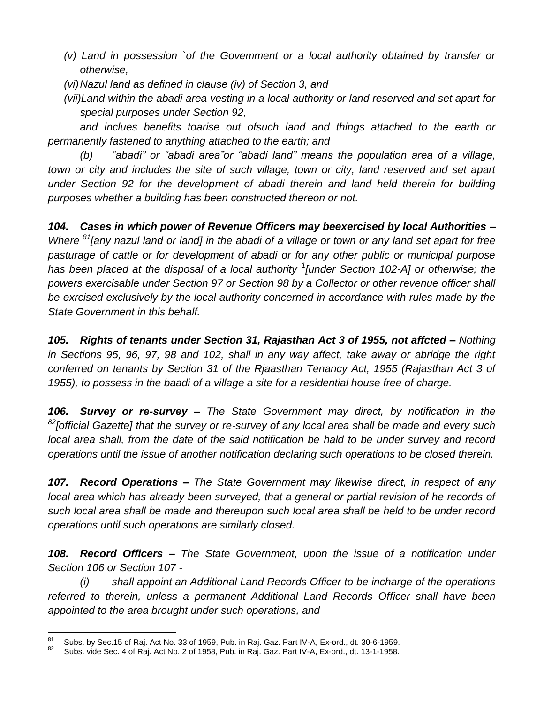- *(v) Land in possession `of the Govemment or a local authority obtained by transfer or otherwise,*
- *(vi)Nazul land as defined in clause (iv) of Section 3, and*
- *(vii)Land within the abadi area vesting in a local authority or land reserved and set apart for special purposes under Section 92,*

*and inclues benefits toarise out ofsuch land and things attached to the earth or permanently fastened to anything attached to the earth; and*

*(b) "abadi" or "abadi area"or "abadi land" means the population area of a village,*  town or city and includes the site of such village, town or city, land reserved and set apart *under Section 92 for the development of abadi therein and land held therein for building purposes whether a building has been constructed thereon or not.*

*104. Cases in which power of Revenue Officers may beexercised by local Authorities – Where <sup>81</sup>[any nazul land or land] in the abadi of a village or town or any land set apart for free pasturage of cattle or for development of abadi or for any other public or municipal purpose has been placed at the disposal of a local authority <sup>1</sup> [under Section 102-A] or otherwise; the powers exercisable under Section 97 or Section 98 by a Collector or other revenue officer shall be exrcised exclusively by the local authority concerned in accordance with rules made by the State Government in this behalf.*

*105. Rights of tenants under Section 31, Rajasthan Act 3 of 1955, not affcted – Nothing in Sections 95, 96, 97, 98 and 102, shall in any way affect, take away or abridge the right conferred on tenants by Section 31 of the Rjaasthan Tenancy Act, 1955 (Rajasthan Act 3 of 1955), to possess in the baadi of a village a site for a residential house free of charge.*

*106. Survey or re-survey – The State Government may direct, by notification in the <sup>82</sup>[official Gazette] that the survey or re-survey of any local area shall be made and every such*  local area shall, from the date of the said notification be hald to be under survey and record *operations until the issue of another notification declaring such operations to be closed therein.*

*107. Record Operations – The State Government may likewise direct, in respect of any* local area which has already been surveyed, that a general or partial revision of he records of *such local area shall be made and thereupon such local area shall be held to be under record operations until such operations are similarly closed.*

*108. Record Officers – The State Government, upon the issue of a notification under Section 106 or Section 107 -*

*(i) shall appoint an Additional Land Records Officer to be incharge of the operations referred to therein, unless a permanent Additional Land Records Officer shall have been appointed to the area brought under such operations, and*

<sup>81</sup> <sup>81</sup> Subs. by Sec.15 of Raj. Act No. 33 of 1959, Pub. in Raj. Gaz. Part IV-A, Ex-ord., dt. 30-6-1959.

Subs. vide Sec. 4 of Raj. Act No. 2 of 1958, Pub. in Raj. Gaz. Part IV-A, Ex-ord., dt. 13-1-1958.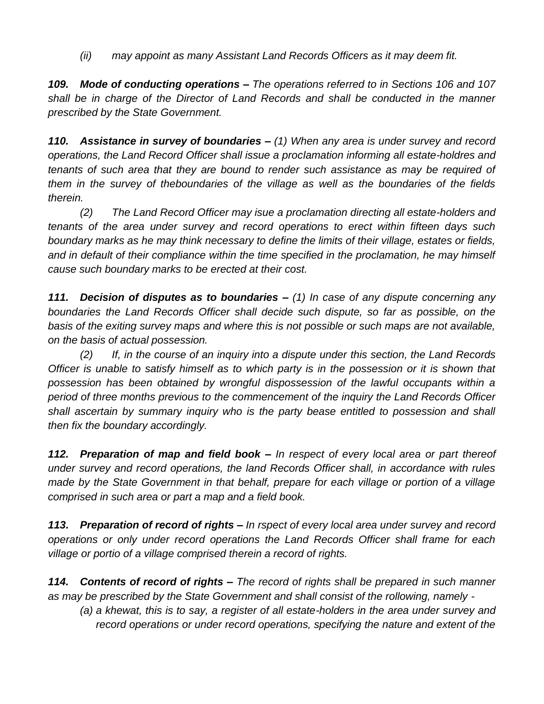*(ii) may appoint as many Assistant Land Records Officers as it may deem fit.*

*109. Mode of conducting operations – The operations referred to in Sections 106 and 107 shall be in charge of the Director of Land Records and shall be conducted in the manner prescribed by the State Government.*

*110. Assistance in survey of boundaries – (1) When any area is under survey and record operations, the Land Record Officer shall issue a proclamation informing all estate-holdres and tenants of such area that they are bound to render such assistance as may be required of them in the survey of theboundaries of the village as well as the boundaries of the fields therein.*

*(2) The Land Record Officer may isue a proclamation directing all estate-holders and tenants of the area under survey and record operations to erect within fifteen days such boundary marks as he may think necessary to define the limits of their village, estates or fields, and in default of their compliance within the time specified in the proclamation, he may himself cause such boundary marks to be erected at their cost.*

*111. Decision of disputes as to boundaries – (1) In case of any dispute concerning any boundaries the Land Records Officer shall decide such dispute, so far as possible, on the basis of the exiting survey maps and where this is not possible or such maps are not available, on the basis of actual possession.*

*(2) If, in the course of an inquiry into a dispute under this section, the Land Records Officer is unable to satisfy himself as to which party is in the possession or it is shown that possession has been obtained by wrongful dispossession of the lawful occupants within a period of three months previous to the commencement of the inquiry the Land Records Officer*  shall ascertain by summary inquiry who is the party bease entitled to possession and shall *then fix the boundary accordingly.*

*112. Preparation of map and field book – In respect of every local area or part thereof under survey and record operations, the land Records Officer shall, in accordance with rules made by the State Government in that behalf, prepare for each village or portion of a village comprised in such area or part a map and a field book.*

*113. Preparation of record of rights – In rspect of every local area under survey and record operations or only under record operations the Land Records Officer shall frame for each village or portio of a village comprised therein a record of rights.*

*114. Contents of record of rights – The record of rights shall be prepared in such manner as may be prescribed by the State Government and shall consist of the rollowing, namely -*

*(a) a khewat, this is to say, a register of all estate-holders in the area under survey and record operations or under record operations, specifying the nature and extent of the*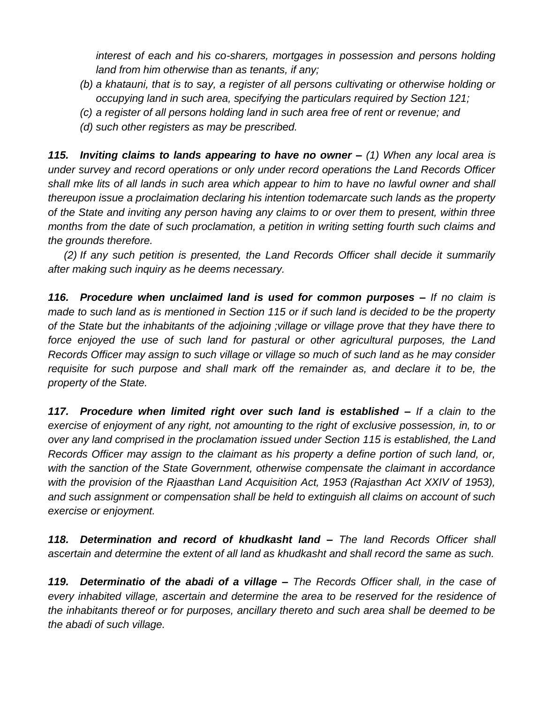*interest of each and his co-sharers, mortgages in possession and persons holding land from him otherwise than as tenants, if any;*

- *(b) a khatauni, that is to say, a register of all persons cultivating or otherwise holding or occupying land in such area, specifying the particulars required by Section 121;*
- *(c) a register of all persons holding land in such area free of rent or revenue; and*
- *(d) such other registers as may be prescribed.*

*115. Inviting claims to lands appearing to have no owner – (1) When any local area is under survey and record operations or only under record operations the Land Records Officer shall mke lits of all lands in such area which appear to him to have no lawful owner and shall thereupon issue a proclaimation declaring his intention todemarcate such lands as the property of the State and inviting any person having any claims to or over them to present, within three months from the date of such proclamation, a petition in writing setting fourth such claims and the grounds therefore.*

*(2) If any such petition is presented, the Land Records Officer shall decide it summarily after making such inquiry as he deems necessary.*

*116. Procedure when unclaimed land is used for common purposes – If no claim is made to such land as is mentioned in Section 115 or if such land is decided to be the property of the State but the inhabitants of the adjoining ;village or village prove that they have there to force enjoyed the use of such land for pastural or other agricultural purposes, the Land Records Officer may assign to such village or village so much of such land as he may consider requisite for such purpose and shall mark off the remainder as, and declare it to be, the property of the State.*

*117. Procedure when limited right over such land is established – If a clain to the*  exercise of enjoyment of any right, not amounting to the right of exclusive possession, in, to or *over any land comprised in the proclamation issued under Section 115 is established, the Land Records Officer may assign to the claimant as his property a define portion of such land, or, with the sanction of the State Government, otherwise compensate the claimant in accordance with the provision of the Rjaasthan Land Acquisition Act, 1953 (Rajasthan Act XXIV of 1953), and such assignment or compensation shall be held to extinguish all claims on account of such exercise or enjoyment.*

*118. Determination and record of khudkasht land – The land Records Officer shall ascertain and determine the extent of all land as khudkasht and shall record the same as such.*

*119. Determinatio of the abadi of a village – The Records Officer shall, in the case of every inhabited village, ascertain and determine the area to be reserved for the residence of the inhabitants thereof or for purposes, ancillary thereto and such area shall be deemed to be the abadi of such village.*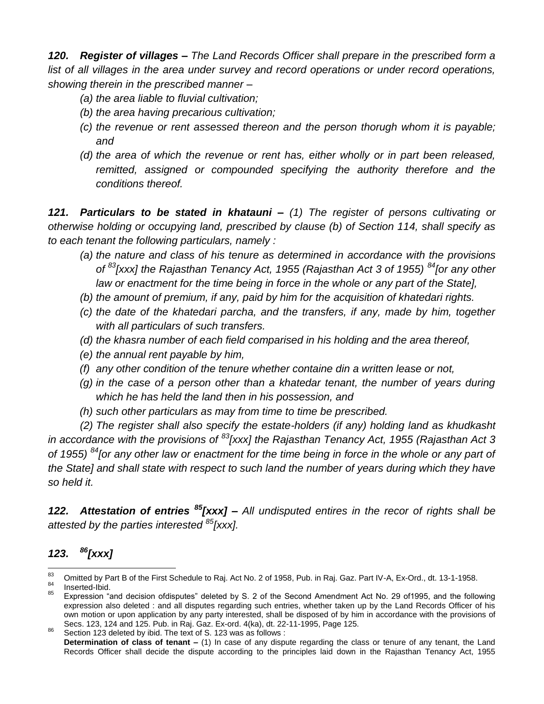*120. Register of villages – The Land Records Officer shall prepare in the prescribed form a list of all villages in the area under survey and record operations or under record operations, showing therein in the prescribed manner –*

- *(a) the area liable to fluvial cultivation;*
- *(b) the area having precarious cultivation;*
- *(c) the revenue or rent assessed thereon and the person thorugh whom it is payable; and*
- *(d) the area of which the revenue or rent has, either wholly or in part been released, remitted, assigned or compounded specifying the authority therefore and the conditions thereof.*

*121. Particulars to be stated in khatauni – (1) The register of persons cultivating or otherwise holding or occupying land, prescribed by clause (b) of Section 114, shall specify as to each tenant the following particulars, namely :*

- *(a) the nature and class of his tenure as determined in accordance with the provisions of <sup>83</sup>[xxx] the Rajasthan Tenancy Act, 1955 (Rajasthan Act 3 of 1955) <sup>84</sup>[or any other law or enactment for the time being in force in the whole or any part of the State],*
- *(b) the amount of premium, if any, paid by him for the acquisition of khatedari rights.*
- *(c) the date of the khatedari parcha, and the transfers, if any, made by him, together with all particulars of such transfers.*
- *(d) the khasra number of each field comparised in his holding and the area thereof,*
- *(e) the annual rent payable by him,*
- *(f) any other condition of the tenure whether containe din a written lease or not,*
- *(g) in the case of a person other than a khatedar tenant, the number of years during which he has held the land then in his possession, and*
- *(h) such other particulars as may from time to time be prescribed.*

*(2) The register shall also specify the estate-holders (if any) holding land as khudkasht in accordance with the provisions of <sup>83</sup>[xxx] the Rajasthan Tenancy Act, 1955 (Rajasthan Act 3 of 1955) <sup>84</sup> [or any other law or enactment for the time being in force in the whole or any part of the State] and shall state with respect to such land the number of years during which they have so held it.*

*122. Attestation of entries <sup>85</sup>[xxx] – All undisputed entires in the recor of rights shall be attested by the parties interested <sup>85</sup>[xxx].*

#### *123. <sup>86</sup>[xxx]*

<sup>83</sup>  $\frac{83}{64}$  Omitted by Part B of the First Schedule to Raj. Act No. 2 of 1958, Pub. in Raj. Gaz. Part IV-A, Ex-Ord., dt. 13-1-1958.  $rac{84}{85}$  Inserted-Ibid.

Expression "and decision ofdisputes" deleted by S. 2 of the Second Amendment Act No. 29 of1995, and the following expression also deleted : and all disputes regarding such entries, whether taken up by the Land Records Officer of his own motion or upon application by any party interested, shall be disposed of by him in accordance with the provisions of Secs. 123, 124 and 125. Pub. in Raj. Gaz. Ex-ord. 4(ka), dt. 22-11-1995, Page 125.

<sup>86</sup> Section 123 deleted by ibid. The text of S. 123 was as follows :

**Determination of class of tenant –** (1) In case of any dispute regarding the class or tenure of any tenant, the Land Records Officer shall decide the dispute according to the principles laid down in the Rajasthan Tenancy Act, 1955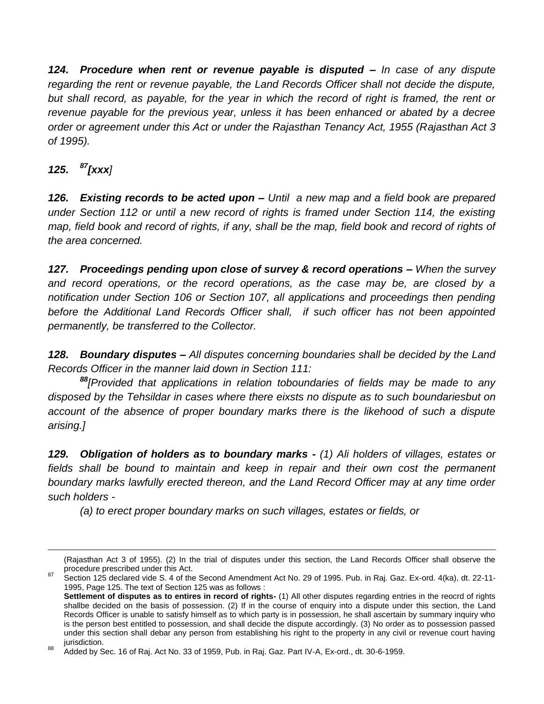*124. Procedure when rent or revenue payable is disputed – In case of any dispute regarding the rent or revenue payable, the Land Records Officer shall not decide the dispute, but shall record, as payable, for the year in which the record of right is framed, the rent or revenue payable for the previous year, unless it has been enhanced or abated by a decree order or agreement under this Act or under the Rajasthan Tenancy Act, 1955 (Rajasthan Act 3 of 1995).*

## *125. <sup>87</sup>[xxx]*

 $\overline{a}$ 

*126. Existing records to be acted upon – Until a new map and a field book are prepared under Section 112 or until a new record of rights is framed under Section 114, the existing*  map, field book and record of rights, if any, shall be the map, field book and record of rights of *the area concerned.*

*127. Proceedings pending upon close of survey & record operations – When the survey and record operations, or the record operations, as the case may be, are closed by a notification under Section 106 or Section 107, all applications and proceedings then pending before the Additional Land Records Officer shall, if such officer has not been appointed permanently, be transferred to the Collector.*

*128. Boundary disputes – All disputes concerning boundaries shall be decided by the Land Records Officer in the manner laid down in Section 111:*

*<sup>88</sup>[Provided that applications in relation toboundaries of fields may be made to any disposed by the Tehsildar in cases where there eixsts no dispute as to such boundariesbut on account of the absence of proper boundary marks there is the likehood of such a dispute arising.]*

*129. Obligation of holders as to boundary marks - (1) Ali holders of villages, estates or fields shall be bound to maintain and keep in repair and their own cost the permanent boundary marks lawfully erected thereon, and the Land Record Officer may at any time order such holders -*

*(a) to erect proper boundary marks on such villages, estates or fields, or*

<sup>(</sup>Rajasthan Act 3 of 1955). (2) In the trial of disputes under this section, the Land Records Officer shall observe the procedure prescribed under this Act.

<sup>87</sup> Section 125 declared vide S. 4 of the Second Amendment Act No. 29 of 1995. Pub. in Raj. Gaz. Ex-ord. 4(ka), dt. 22-11-1995, Page 125. The text of Section 125 was as follows :

**Settlement of disputes as to entires in record of rights-** (1) All other disputes regarding entries in the reocrd of rights shallbe decided on the basis of possession. (2) If in the course of enquiry into a dispute under this section, the Land Records Officer is unable to satisfy himself as to which party is in possession, he shall ascertain by summary inquiry who is the person best entitled to possession, and shall decide the dispute accordingly. (3) No order as to possession passed under this section shall debar any person from establishing his right to the property in any civil or revenue court having jurisdiction.

<sup>88</sup> Added by Sec. 16 of Raj. Act No. 33 of 1959, Pub. in Raj. Gaz. Part IV-A, Ex-ord., dt. 30-6-1959.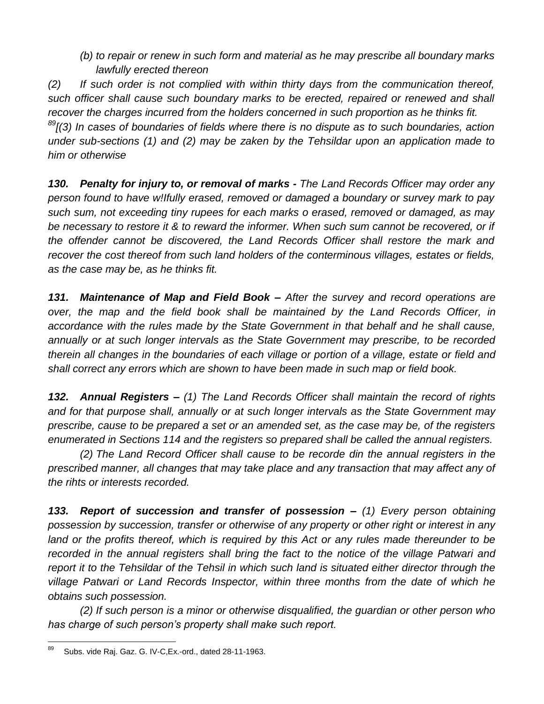*(b) to repair or renew in such form and material as he may prescribe all boundary marks lawfully erected thereon*

*(2) If such order is not complied with within thirty days from the communication thereof, such officer shall cause such boundary marks to be erected, repaired or renewed and shall recover the charges incurred from the holders concerned in such proportion as he thinks fit. <sup>89</sup>[(3) In cases of boundaries of fields where there is no dispute as to such boundaries, action under sub-sections (1) and (2) may be zaken by the Tehsildar upon an application made to him or otherwise*

*130. Penalty for injury to, or removal of marks - The Land Records Officer may order any person found to have w!Ifully erased, removed or damaged a boundary or survey mark to pay such sum, not exceeding tiny rupees for each marks o erased, removed or damaged, as may be necessary to restore it & to reward the informer. When such sum cannot be recovered, or if the offender cannot be discovered, the Land Records Officer shall restore the mark and recover the cost thereof from such land holders of the conterminous villages, estates or fields, as the case may be, as he thinks fit.*

*131. Maintenance of Map and Field Book – After the survey and record operations are over, the map and the field book shall be maintained by the Land Records Officer, in accordance with the rules made by the State Government in that behalf and he shall cause, annually or at such longer intervals as the State Government may prescribe, to be recorded therein all changes in the boundaries of each village or portion of a village, estate or field and shall correct any errors which are shown to have been made in such map or field book.*

*132. Annual Registers – (1) The Land Records Officer shall maintain the record of rights and for that purpose shall, annually or at such longer intervals as the State Government may prescribe, cause to be prepared a set or an amended set, as the case may be, of the registers enumerated in Sections 114 and the registers so prepared shall be called the annual registers.*

*(2) The Land Record Officer shall cause to be recorde din the annual registers in the prescribed manner, all changes that may take place and any transaction that may affect any of the rihts or interests recorded.*

*133. Report of succession and transfer of possession – (1) Every person obtaining possession by succession, transfer or otherwise of any property or other right or interest in any*  land or the profits thereof, which is required by this Act or any rules made thereunder to be *recorded in the annual registers shall bring the fact to the notice of the village Patwari and report it to the Tehsildar of the Tehsil in which such land is situated either director through the village Patwari or Land Records Inspector, within three months from the date of which he obtains such possession.*

*(2) If such person is a minor or otherwise disqualified, the guardian or other person who has charge of such person's property shall make such report.*

<sup>89</sup> Subs. vide Raj. Gaz. G. IV-C,Ex.-ord., dated 28-11-1963.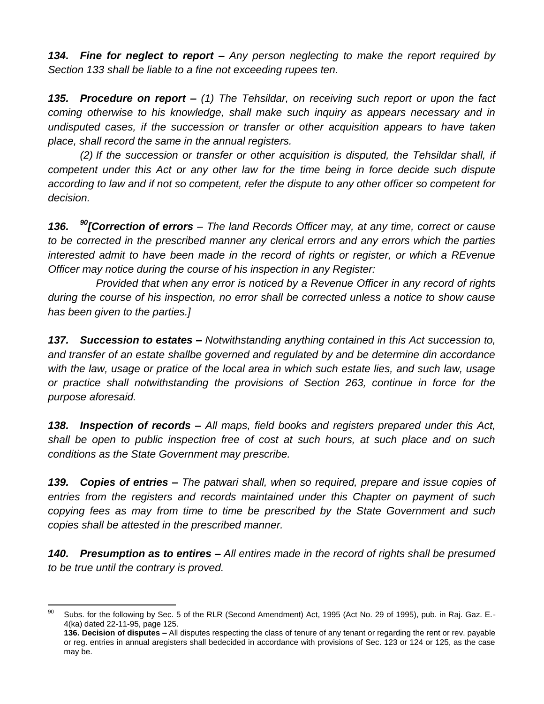*134. Fine for neglect to report – Any person neglecting to make the report required by Section 133 shall be liable to a fine not exceeding rupees ten.*

*135. Procedure on report – (1) The Tehsildar, on receiving such report or upon the fact coming otherwise to his knowledge, shall make such inquiry as appears necessary and in undisputed cases, if the succession or transfer or other acquisition appears to have taken place, shall record the same in the annual registers.*

*(2) If the succession or transfer or other acquisition is disputed, the Tehsildar shall, if competent under this Act or any other law for the time being in force decide such dispute according to law and if not so competent, refer the dispute to any other officer so competent for decision.*

136. <sup>90</sup>**[Correction of errors** – The land Records Officer may, at any time, correct or cause *to be corrected in the prescribed manner any clerical errors and any errors which the parties interested admit to have been made in the record of rights or register, or which a REvenue Officer may notice during the course of his inspection in any Register:*

*Provided that when any error is noticed by a Revenue Officer in any record of rights during the course of his inspection, no error shall be corrected unless a notice to show cause has been given to the parties.]*

*137. Succession to estates – Notwithstanding anything contained in this Act succession to, and transfer of an estate shallbe governed and regulated by and be determine din accordance with the law, usage or pratice of the local area in which such estate lies, and such law, usage or practice shall notwithstanding the provisions of Section 263, continue in force for the purpose aforesaid.*

*138. Inspection of records – All maps, field books and registers prepared under this Act, shall be open to public inspection free of cost at such hours, at such place and on such conditions as the State Government may prescribe.*

*139. Copies of entries – The patwari shall, when so required, prepare and issue copies of entries from the registers and records maintained under this Chapter on payment of such copying fees as may from time to time be prescribed by the State Government and such copies shall be attested in the prescribed manner.*

*140. Presumption as to entires – All entires made in the record of rights shall be presumed to be true until the contrary is proved.*

 $90^{\circ}$ Subs. for the following by Sec. 5 of the RLR (Second Amendment) Act, 1995 (Act No. 29 of 1995), pub. in Raj. Gaz. E.-4(ka) dated 22-11-95, page 125.

**<sup>136.</sup> Decision of disputes –** All disputes respecting the class of tenure of any tenant or regarding the rent or rev. payable or reg. entries in annual aregisters shall bedecided in accordance with provisions of Sec. 123 or 124 or 125, as the case may be.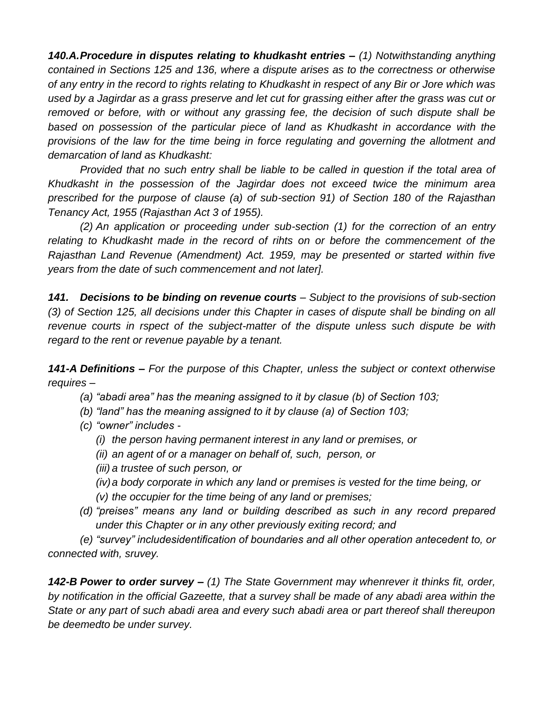*140.A.Procedure in disputes relating to khudkasht entries – (1) Notwithstanding anything contained in Sections 125 and 136, where a dispute arises as to the correctness or otherwise of any entry in the record to rights relating to Khudkasht in respect of any Bir or Jore which was used by a Jagirdar as a grass preserve and let cut for grassing either after the grass was cut or removed or before, with or without any grassing fee, the decision of such dispute shall be based on possession of the particular piece of land as Khudkasht in accordance with the provisions of the law for the time being in force regulating and governing the allotment and demarcation of land as Khudkasht:*

*Provided that no such entry shall be liable to be called in question if the total area of Khudkasht in the possession of the Jagirdar does not exceed twice the minimum area prescribed for the purpose of clause (a) of sub-section 91) of Section 180 of the Rajasthan Tenancy Act, 1955 (Rajasthan Act 3 of 1955).*

*(2) An application or proceeding under sub-section (1) for the correction of an entry relating to Khudkasht made in the record of rihts on or before the commencement of the Rajasthan Land Revenue (Amendment) Act. 1959, may be presented or started within five years from the date of such commencement and not later].*

*141. Decisions to be binding on revenue courts – Subject to the provisions of sub-section (3) of Section 125, all decisions under this Chapter in cases of dispute shall be binding on all revenue courts in rspect of the subject-matter of the dispute unless such dispute be with regard to the rent or revenue payable by a tenant.*

*141-A Definitions – For the purpose of this Chapter, unless the subject or context otherwise requires –*

- *(a) "abadi area" has the meaning assigned to it by clasue (b) of Section 103;*
- *(b) "land" has the meaning assigned to it by clause (a) of Section 103;*
- *(c) "owner" includes -*
	- *(i) the person having permanent interest in any land or premises, or*
	- *(ii) an agent of or a manager on behalf of, such, person, or*
	- *(iii) a trustee of such person, or*
	- *(iv)a body corporate in which any land or premises is vested for the time being, or*
	- *(v) the occupier for the time being of any land or premises;*
- *(d) "preises" means any land or building described as such in any record prepared under this Chapter or in any other previously exiting record; and*

*(e) "survey" includesidentification of boundaries and all other operation antecedent to, or connected with, sruvey.*

*142-B Power to order survey – (1) The State Government may whenrever it thinks fit, order, by notification in the official Gazeette, that a survey shall be made of any abadi area within the State or any part of such abadi area and every such abadi area or part thereof shall thereupon be deemedto be under survey.*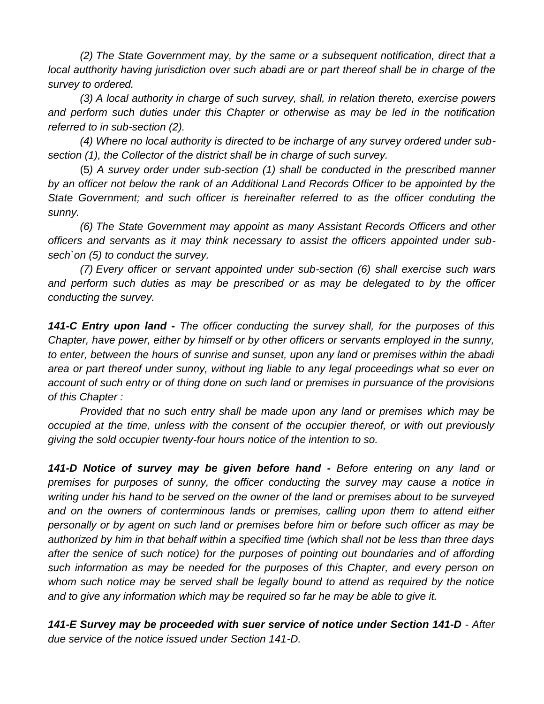*(2) The State Government may, by the same or a subsequent notification, direct that a local autthority having jurisdiction over such abadi are or part thereof shall be in charge of the survey to ordered.*

*(3) A local authority in charge of such survey, shall, in relation thereto, exercise powers and perform such duties under this Chapter or otherwise as may be led in the notification referred to in sub-section (2).*

*(4) Where no local authority is directed to be incharge of any survey ordered under subsection (1), the Collector of the district shall be in charge of such survey.*

(5*) A survey order under sub-section (1) shall be conducted in the prescribed manner by an officer not below the rank of an Additional Land Records Officer to be appointed by the State Government; and such officer is hereinafter referred to as the officer conduting the sunny.*

*(6) The State Government may appoint as many Assistant Records Officers and other officers and servants as it may think necessary to assist the officers appointed under subsech`on (5) to conduct the survey.*

*(7) Every officer or servant appointed under sub-section (6) shall exercise such wars and perform such duties as may be prescribed or as may be delegated to by the officer conducting the survey.*

*141-C Entry upon land - The officer conducting the survey shall, for the purposes of this Chapter, have power, either by himself or by other officers or servants employed in the sunny, to enter, between the hours of sunrise and sunset, upon any land or premises within the abadi area or part thereof under sunny, without ing liable to any legal proceedings what so ever on account of such entry or of thing done on such land or premises in pursuance of the provisions of this Chapter :*

*Provided that no such entry shall be made upon any land or premises which may be occupied at the time, unless with the consent of the occupier thereof, or with out previously giving the sold occupier twenty-four hours notice of the intention to so.*

*141-D Notice of survey may be given before hand - Before entering on any land or premises for purposes of sunny, the officer conducting the survey may cause a notice in writing under his hand to be served on the owner of the land or premises about to be surveyed and on the owners of conterminous lands or premises, calling upon them to attend either personally or by agent on such land or premises before him or before such officer as may be authorized by him in that behalf within a specified time (which shall not be less than three days after the senice of such notice) for the purposes of pointing out boundaries and of affording such information as may be needed for the purposes of this Chapter, and every person on whom such notice may be served shall be legally bound to attend as required by the notice and to give any information which may be required so far he may be able to give it.*

*141-E Survey may be proceeded with suer service of notice under Section 141-D - After due service of the notice issued under Section 141-D.*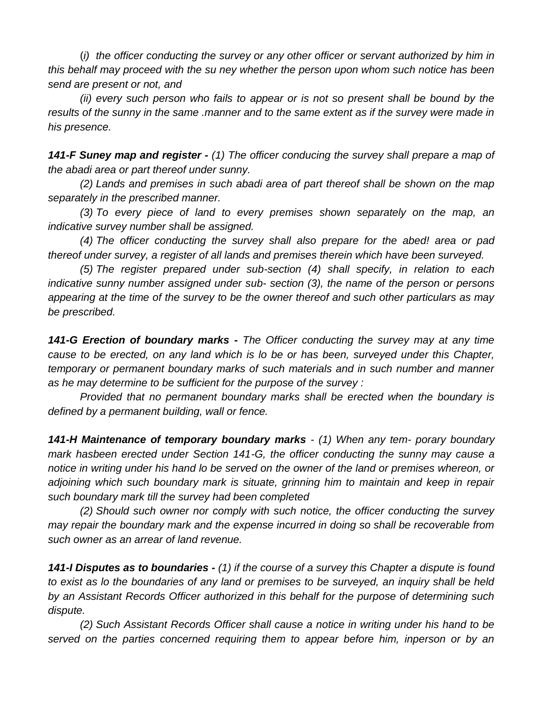(*i) the officer conducting the survey or any other officer or servant authorized by him in this behalf may proceed with the su ney whether the person upon whom such notice has been send are present or not, and*

*(ii) every such person who fails to appear or is not so present shall be bound by the results of the sunny in the same .manner and to the same extent as if the survey were made in his presence.*

*141-F Suney map and register - (1) The officer conducing the survey shall prepare a map of the abadi area or part thereof under sunny.*

*(2) Lands and premises in such abadi area of part thereof shall be shown on the map separately in the prescribed manner.*

*(3) To every piece of land to every premises shown separately on the map, an indicative survey number shall be assigned.*

*(4) The officer conducting the survey shall also prepare for the abed! area or pad thereof under survey, a register of all lands and premises therein which have been surveyed.*

*(5) The register prepared under sub-section (4) shall specify, in relation to each indicative sunny number assigned under sub- section (3), the name of the person or persons appearing at the time of the survey to be the owner thereof and such other particulars as may be prescribed.*

*141-G Erection of boundary marks - The Officer conducting the survey may at any time cause to be erected, on any land which is lo be or has been, surveyed under this Chapter, temporary or permanent boundary marks of such materials and in such number and manner as he may determine to be sufficient for the purpose of the survey :*

*Provided that no permanent boundary marks shall be erected when the boundary is defined by a permanent building, wall or fence.*

*141-H Maintenance of temporary boundary marks - (1) When any tem- porary boundary mark hasbeen erected under Section 141-G, the officer conducting the sunny may cause a notice in writing under his hand lo be served on the owner of the land or premises whereon, or adjoining which such boundary mark is situate, grinning him to maintain and keep in repair such boundary mark till the survey had been completed*

*(2) Should such owner nor comply with such notice, the officer conducting the survey may repair the boundary mark and the expense incurred in doing so shall be recoverable from such owner as an arrear of land revenue.*

*141-I Disputes as to boundaries - (1) if the course of a survey this Chapter a dispute is found to exist as lo the boundaries of any land or premises to be surveyed, an inquiry shall be held by an Assistant Records Officer authorized in this behalf for the purpose of determining such dispute.*

*(2) Such Assistant Records Officer shall cause a notice in writing under his hand to be served on the parties concerned requiring them to appear before him, inperson or by an*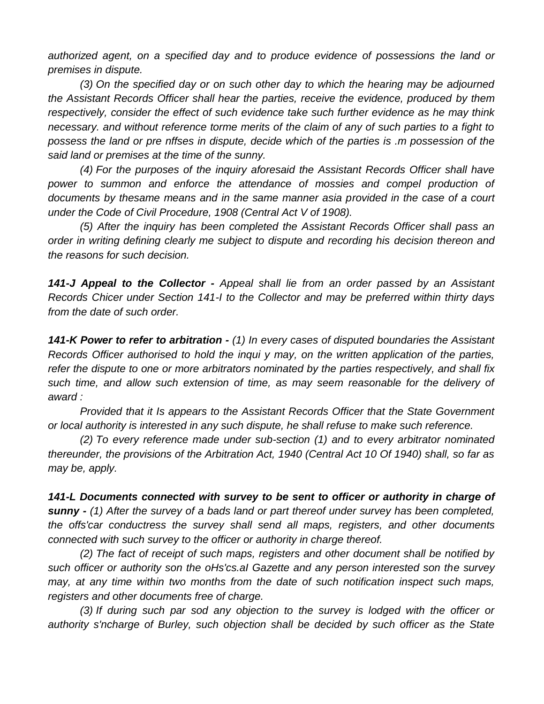*authorized agent, on a specified day and to produce evidence of possessions the land or premises in dispute.*

*(3) On the specified day or on such other day to which the hearing may be adjourned the Assistant Records Officer shall hear the parties, receive the evidence, produced by them respectively, consider the effect of such evidence take such further evidence as he may think necessary. and without reference torme merits of the claim of any of such parties to a fight to possess the land or pre nffses in dispute, decide which of the parties is .m possession of the said land or premises at the time of the sunny.*

*(4) For the purposes of the inquiry aforesaid the Assistant Records Officer shall have*  power to summon and enforce the attendance of mossies and compel production of *documents by thesame means and in the same manner asia provided in the case of a court under the Code of Civil Procedure, 1908 (Central Act V of 1908).*

*(5) After the inquiry has been completed the Assistant Records Officer shall pass an order in writing defining clearly me subject to dispute and recording his decision thereon and the reasons for such decision.*

*141-J Appeal to the Collector - Appeal shall lie from an order passed by an Assistant Records Chicer under Section 141-I to the Collector and may be preferred within thirty days from the date of such order.*

*141-K Power to refer to arbitration - (1) In every cases of disputed boundaries the Assistant Records Officer authorised to hold the inqui y may, on the written application of the parties, refer the dispute to one or more arbitrators nominated by the parties respectively, and shall fix such time, and allow such extension of time, as may seem reasonable for the delivery of award :*

*Provided that it Is appears to the Assistant Records Officer that the State Government or local authority is interested in any such dispute, he shall refuse to make such reference.*

*(2) To every reference made under sub-section (1) and to every arbitrator nominated thereunder, the provisions of the Arbitration Act, 1940 (Central Act 10 Of 1940) shall, so far as may be, apply.*

*141-L Documents connected with survey to be sent to officer or authority in charge of sunny - (1) After the survey of a bads land or part thereof under survey has been completed, the offs'car conductress the survey shall send all maps, registers, and other documents connected with such survey to the officer or authority in charge thereof.*

*(2) The fact of receipt of such maps, registers and other document shall be notified by such officer or authority son the oHs'cs.aI Gazette and any person interested son the survey may, at any time within two months from the date of such notification inspect such maps, registers and other documents free of charge.*

*(3) If during such par sod any objection to the survey is lodged with the officer or authority s'ncharge of Burley, such objection shall be decided by such officer as the State*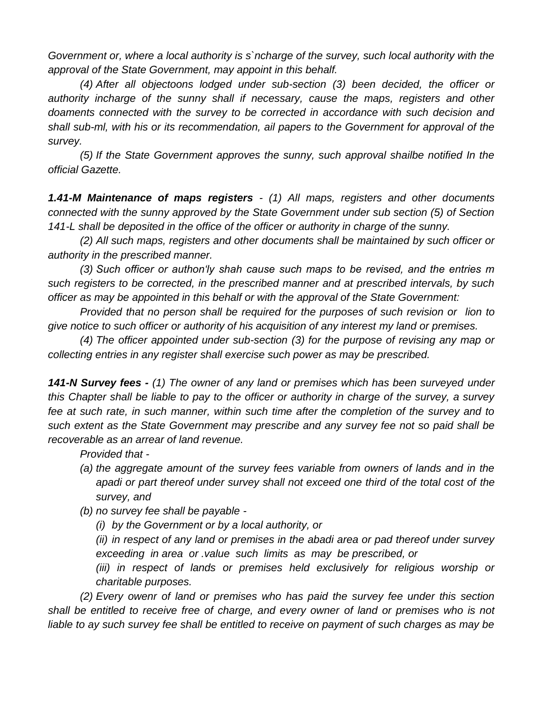*Government or, where a local authority is s`ncharge of the survey, such local authority with the approval of the State Government, may appoint in this behalf.*

*(4) After all objectoons lodged under sub-section (3) been decided, the officer or authority incharge of the sunny shall if necessary, cause the maps, registers and other doaments connected with the survey to be corrected in accordance with such decision and shall sub-ml, with his or its recommendation, ail papers to the Government for approval of the survey.*

*(5) If the State Government approves the sunny, such approval shailbe notified In the official Gazette.*

*1.41-M Maintenance of maps registers - (1) All maps, registers and other documents connected with the sunny approved by the State Government under sub section (5) of Section 141-L shall be deposited in the office of the officer or authority in charge of the sunny.*

*(2) All such maps, registers and other documents shall be maintained by such officer or authority in the prescribed manner.*

*(3) Such officer or authon'ly shah cause such maps to be revised, and the entries m such registers to be corrected, in the prescribed manner and at prescribed intervals, by such officer as may be appointed in this behalf or with the approval of the State Government:*

*Provided that no person shall be required for the purposes of such revision or lion to give notice to such officer or authority of his acquisition of any interest my land or premises.*

*(4) The officer appointed under sub-section (3) for the purpose of revising any map or collecting entries in any register shall exercise such power as may be prescribed.*

*141-N Survey fees - (1) The owner of any land or premises which has been surveyed under this Chapter shall be liable to pay to the officer or authority in charge of the survey, a survey fee at such rate, in such manner, within such time after the completion of the survey and to such extent as the State Government may prescribe and any survey fee not so paid shall be recoverable as an arrear of land revenue.*

*Provided that -*

- *(a) the aggregate amount of the survey fees variable from owners of lands and in the apadi or part thereof under survey shall not exceed one third of the total cost of the survey, and*
- *(b) no survey fee shall be payable -*
	- *(i) by the Government or by a local authority, or*

*(ii) in respect of any land or premises in the abadi area or pad thereof under survey exceeding in area or .value such limits as may be prescribed, or* 

*(iii) in respect of lands or premises held exclusively for religious worship or charitable purposes.*

*(2) Every owenr of land or premises who has paid the survey fee under this section*  shall be entitled to receive free of charge, and every owner of land or premises who is not *liable to ay such survey fee shall be entitled to receive on payment of such charges as may be*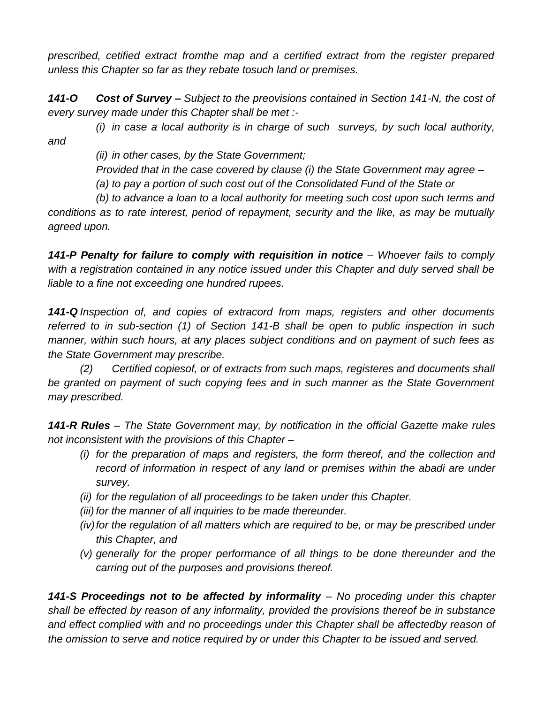*prescribed, cetified extract fromthe map and a certified extract from the register prepared unless this Chapter so far as they rebate tosuch land or premises.*

*141-O Cost of Survey – Subject to the preovisions contained in Section 141-N, the cost of every survey made under this Chapter shall be met :-*

*(i) in case a local authority is in charge of such surveys, by such local authority, and*

*(ii) in other cases, by the State Government;*

*Provided that in the case covered by clause (i) the State Government may agree –*

*(a) to pay a portion of such cost out of the Consolidated Fund of the State or*

*(b) to advance a loan to a local authority for meeting such cost upon such terms and conditions as to rate interest, period of repayment, security and the like, as may be mutually agreed upon.*

**141-P Penalty for failure to comply with requisition in notice –** Whoever fails to comply *with a registration contained in any notice issued under this Chapter and duly served shall be liable to a fine not exceeding one hundred rupees.*

*141-Q Inspection of, and copies of extracord from maps, registers and other documents referred to in sub-section (1) of Section 141-B shall be open to public inspection in such manner, within such hours, at any places subject conditions and on payment of such fees as the State Government may prescribe.*

*(2) Certified copiesof, or of extracts from such maps, registeres and documents shall be granted on payment of such copying fees and in such manner as the State Government may prescribed.*

141-R Rules – The State Government may, by notification in the official Gazette make rules *not inconsistent with the provisions of this Chapter –*

- *(i) for the preparation of maps and registers, the form thereof, and the collection and record of information in respect of any land or premises within the abadi are under survey.*
- *(ii) for the regulation of all proceedings to be taken under this Chapter.*
- *(iii) for the manner of all inquiries to be made thereunder.*
- *(iv)for the regulation of all matters which are required to be, or may be prescribed under this Chapter, and*
- *(v) generally for the proper performance of all things to be done thereunder and the carring out of the purposes and provisions thereof.*

**141-S Proceedings not to be affected by informality** – No proceding under this chapter *shall be effected by reason of any informality, provided the provisions thereof be in substance and effect complied with and no proceedings under this Chapter shall be affectedby reason of the omission to serve and notice required by or under this Chapter to be issued and served.*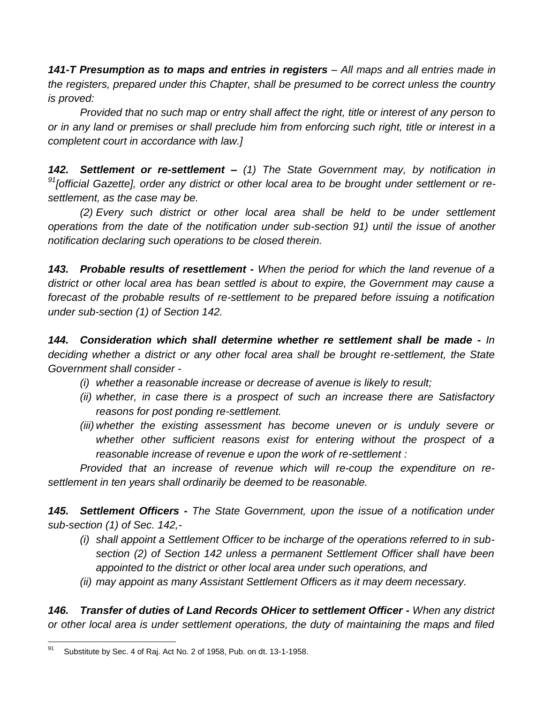*141-T Presumption as to maps and entries in registers – All maps and all entries made in the registers, prepared under this Chapter, shall be presumed to be correct unless the country is proved:*

*Provided that no such map or entry shall affect the right, title or interest of any person to or in any land or premises or shall preclude him from enforcing such right, title or interest in a completent court in accordance with law.]*

*142. Settlement or re-settlement – (1) The State Government may, by notification in <sup>91</sup>[official Gazette], order any district or other local area to be brought under settlement or resettlement, as the case may be.*

*(2) Every such district or other local area shall be held to be under settlement operations from the date of the notification under sub-section 91) until the issue of another notification declaring such operations to be closed therein.*

*143. Probable results of resettlement - When the period for which the land revenue of a*  district or other local area has bean settled is about to expire, the Government may cause a forecast of the probable results of re-settlement to be prepared before issuing a notification *under sub-section (1) of Section 142.*

*144. Consideration which shall determine whether re settlement shall be made - In deciding whether a district or any other focal area shall be brought re-settlement, the State Government shall consider -*

- *(i) whether a reasonable increase or decrease of avenue is likely to result;*
- *(ii) whether, in case there is a prospect of such an increase there are Satisfactory reasons for post ponding re-settlement.*
- *(iii) whether the existing assessment has become uneven or is unduly severe or whether other sufficient reasons exist for entering without the prospect of a reasonable increase of revenue e upon the work of re-settlement :*

*Provided that an increase of revenue which will re-coup the expenditure on resettlement in ten years shall ordinarily be deemed to be reasonable.*

*145. Settlement Officers - The State Government, upon the issue of a notification under sub-section (1) of Sec. 142,-*

- *(i) shall appoint a Settlement Officer to be incharge of the operations referred to in subsection (2) of Section 142 unless a permanent Settlement Officer shall have been appointed to the district or other local area under such operations, and*
- *(ii) may appoint as many Assistant Settlement Officers as it may deem necessary.*

*146. Transfer of duties of Land Records OHicer to settlement Officer - When any district or other local area is under settlement operations, the duty of maintaining the maps and filed* 

<sup>91</sup> Substitute by Sec. 4 of Raj. Act No. 2 of 1958, Pub. on dt. 13-1-1958.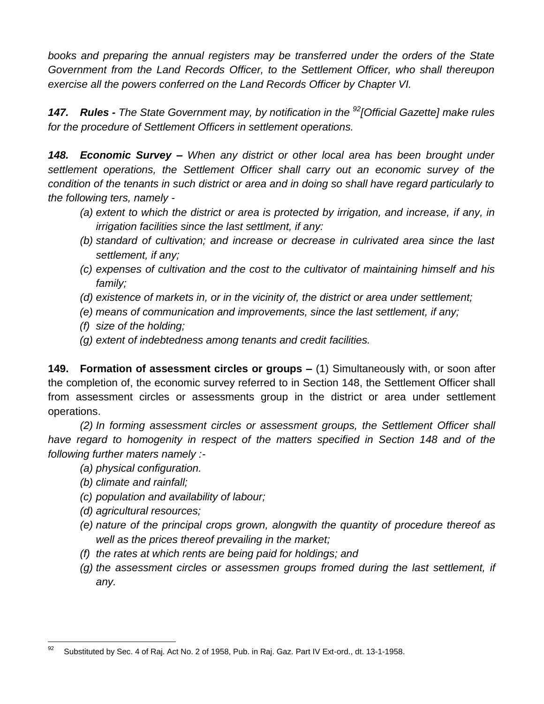*books and preparing the annual registers may be transferred under the orders of the State Government from the Land Records Officer, to the Settlement Officer, who shall thereupon exercise all the powers conferred on the Land Records Officer by Chapter VI.*

*147. Rules - The State Government may, by notification in the <sup>92</sup>[Official Gazette] make rules for the procedure of Settlement Officers in settlement operations.*

*148. Economic Survey – When any district or other local area has been brought under settlement operations, the Settlement Officer shall carry out an economic survey of the condition of the tenants in such district or area and in doing so shall have regard particularly to the following ters, namely -*

- *(a) extent to which the district or area is protected by irrigation, and increase, if any, in irrigation facilities since the last settlment, if any:*
- *(b) standard of cultivation; and increase or decrease in culrivated area since the last settlement, if any;*
- *(c) expenses of cultivation and the cost to the cultivator of maintaining himself and his family;*
- *(d) existence of markets in, or in the vicinity of, the district or area under settlement;*
- *(e) means of communication and improvements, since the last settlement, if any;*
- *(f) size of the holding;*
- *(g) extent of indebtedness among tenants and credit facilities.*

**149. Formation of assessment circles or groups –** (1) Simultaneously with, or soon after the completion of, the economic survey referred to in Section 148, the Settlement Officer shall from assessment circles or assessments group in the district or area under settlement operations.

*(2) In forming assessment circles or assessment groups, the Settlement Officer shall have regard to homogenity in respect of the matters specified in Section 148 and of the following further maters namely :-*

- *(a) physical configuration.*
- *(b) climate and rainfall;*
- *(c) population and availability of labour;*
- *(d) agricultural resources;*
- *(e) nature of the principal crops grown, alongwith the quantity of procedure thereof as well as the prices thereof prevailing in the market;*
- *(f) the rates at which rents are being paid for holdings; and*
- *(g) the assessment circles or assessmen groups fromed during the last settlement, if any.*

<sup>92</sup> Substituted by Sec. 4 of Raj. Act No. 2 of 1958, Pub. in Raj. Gaz. Part IV Ext-ord., dt. 13-1-1958.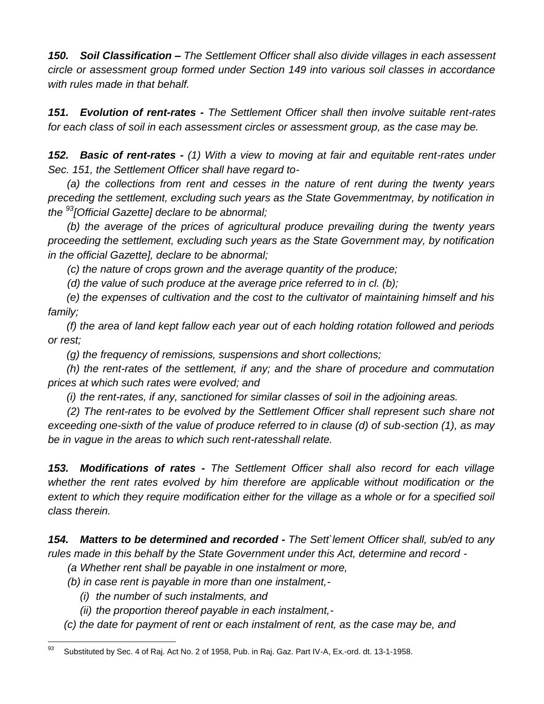*150. Soil Classification – The Settlement Officer shall also divide villages in each assessent circle or assessment group formed under Section 149 into various soil classes in accordance with rules made in that behalf.*

*151. Evolution of rent-rates - The Settlement Officer shall then involve suitable rent-rates for each class of soil in each assessment circles or assessment group, as the case may be.*

*152. Basic of rent-rates - (1) With a view to moving at fair and equitable rent-rates under Sec. 151, the Settlement Officer shall have regard to-*

*(a) the collections from rent and cesses in the nature of rent during the twenty years preceding the settlement, excluding such years as the State Govemmentmay, by notification in the <sup>93</sup>[Official Gazette] declare to be abnormal;*

*(b) the average of the prices of agricultural produce prevailing during the twenty years proceeding the settlement, excluding such years as the State Government may, by notification in the official Gazette], declare to be abnormal;*

*(c) the nature of crops grown and the average quantity of the produce;*

*(d) the value of such produce at the average price referred to in cl. (b);*

*(e) the expenses of cultivation and the cost to the cultivator of maintaining himself and his family;*

*(f) the area of land kept fallow each year out of each holding rotation followed and periods or rest;*

*(g) the frequency of remissions, suspensions and short collections;*

*(h) the rent-rates of the settlement, if any; and the share of procedure and commutation prices at which such rates were evolved; and*

*(i) the rent-rates, if any, sanctioned for similar classes of soil in the adjoining areas.*

*(2) The rent-rates to be evolved by the Settlement Officer shall represent such share not exceeding one-sixth of the value of produce referred to in clause (d) of sub-section (1), as may be in vague in the areas to which such rent-ratesshall relate.*

*153. Modifications of rates - The Settlement Officer shall also record for each village whether the rent rates evolved by him therefore are applicable without modification or the extent to which they require modification either for the village as a whole or for a specified soil class therein.*

*154. Matters to be determined and recorded - The Sett`lement Officer shall, sub/ed to any rules made in this behalf by the State Government under this Act, determine and record -*

*(a Whether rent shall be payable in one instalment or more,*

- *(b) in case rent is payable in more than one instalment,-*
	- *(i) the number of such instalments, and*
	- *(ii) the proportion thereof payable in each instalment,-*
- *(c) the date for payment of rent or each instalment of rent, as the case may be, and*

<sup>93</sup> Substituted by Sec. 4 of Raj. Act No. 2 of 1958, Pub. in Raj. Gaz. Part IV-A, Ex.-ord. dt. 13-1-1958.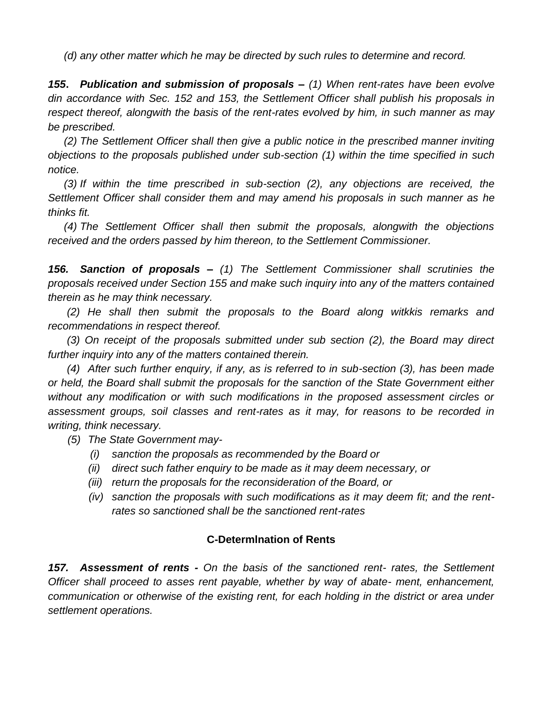*(d) any other matter which he may be directed by such rules to determine and record.*

*155***.** *Publication and submission of proposals – (1) When rent-rates have been evolve din accordance with Sec. 152 and 153, the Settlement Officer shall publish his proposals in respect thereof, alongwith the basis of the rent-rates evolved by him, in such manner as may be prescribed.*

*(2) The Settlement Officer shall then give a public notice in the prescribed manner inviting objections to the proposals published under sub-section (1) within the time specified in such notice.*

*(3) If within the time prescribed in sub-section (2), any objections are received, the Settlement Officer shall consider them and may amend his proposals in such manner as he thinks fit.*

*(4) The Settlement Officer shall then submit the proposals, alongwith the objections received and the orders passed by him thereon, to the Settlement Commissioner.*

*156. Sanction of proposals – (1) The Settlement Commissioner shall scrutinies the proposals received under Section 155 and make such inquiry into any of the matters contained therein as he may think necessary.*

*(2) He shall then submit the proposals to the Board along witkkis remarks and recommendations in respect thereof.*

*(3) On receipt of the proposals submitted under sub section (2), the Board may direct further inquiry into any of the matters contained therein.*

*(4) After such further enquiry, if any, as is referred to in sub-section (3), has been made or held, the Board shall submit the proposals for the sanction of the State Government either without any modification or with such modifications in the proposed assessment circles or assessment groups, soil classes and rent-rates as it may, for reasons to be recorded in writing, think necessary.*

- *(5) The State Government may-*
	- *(i) sanction the proposals as recommended by the Board or*
	- *(ii) direct such father enquiry to be made as it may deem necessary, or*
	- *(iii) return the proposals for the reconsideration of the Board, or*
	- *(iv) sanction the proposals with such modifications as it may deem fit; and the rentrates so sanctioned shall be the sanctioned rent-rates*

## **C-Determlnation of Rents**

*157. Assessment of rents - On the basis of the sanctioned rent- rates, the Settlement Officer shall proceed to asses rent payable, whether by way of abate- ment, enhancement, communication or otherwise of the existing rent, for each holding in the district or area under settlement operations.*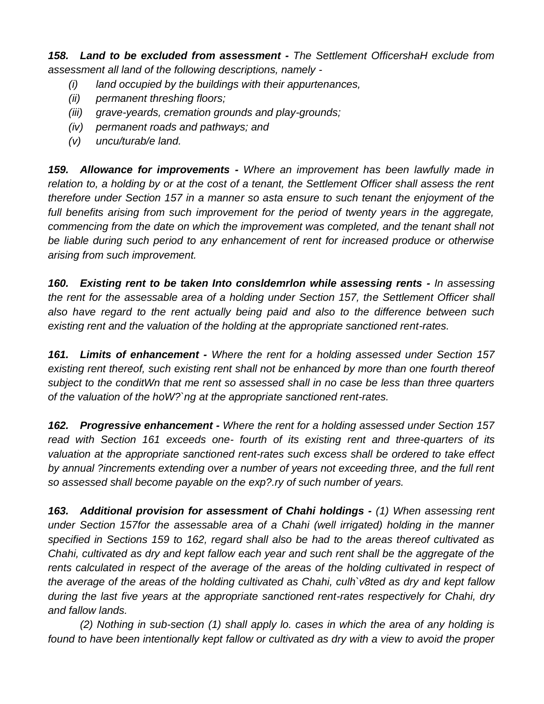*158. Land to be excluded from assessment - The Settlement OfficershaH exclude from assessment all land of the following descriptions, namely -*

- *(i) land occupied by the buildings with their appurtenances,*
- *(ii) permanent threshing floors;*
- *(iii) grave-yeards, cremation grounds and play-grounds;*
- *(iv) permanent roads and pathways; and*
- *(v) uncu/turab/e land.*

*159. Allowance for improvements - Where an improvement has been lawfully made in relation to, a holding by or at the cost of a tenant, the Settlement Officer shall assess the rent therefore under Section 157 in a manner so asta ensure to such tenant the enjoyment of the*  full benefits arising from such improvement for the period of twenty years in the aggregate, *commencing from the date on which the improvement was completed, and the tenant shall not be liable during such period to any enhancement of rent for increased produce or otherwise arising from such improvement.*

*160. Existing rent to be taken Into consldemrlon while assessing rents - In assessing the rent for the assessable area of a holding under Section 157, the Settlement Officer shall also have regard to the rent actually being paid and also to the difference between such existing rent and the valuation of the holding at the appropriate sanctioned rent-rates.*

*161. Limits of enhancement - Where the rent for a holding assessed under Section 157 existing rent thereof, such existing rent shall not be enhanced by more than one fourth thereof subject to the conditWn that me rent so assessed shall in no case be less than three quarters of the valuation of the hoW?`ng at the appropriate sanctioned rent-rates.*

*162. Progressive enhancement - Where the rent for a holding assessed under Section 157 read with Section 161 exceeds one- fourth of its existing rent and three-quarters of its valuation at the appropriate sanctioned rent-rates such excess shall be ordered to take effect by annual ?increments extending over a number of years not exceeding three, and the full rent so assessed shall become payable on the exp?.ry of such number of years.*

*163. Additional provision for assessment of Chahi holdings - (1) When assessing rent under Section 157for the assessable area of a Chahi (well irrigated) holding in the manner specified in Sections 159 to 162, regard shall also be had to the areas thereof cultivated as Chahi, cultivated as dry and kept fallow each year and such rent shall be the aggregate of the*  rents calculated in respect of the average of the areas of the holding cultivated in respect of *the average of the areas of the holding cultivated as Chahi, culh`v8ted as dry and kept fallow during the last five years at the appropriate sanctioned rent-rates respectively for Chahi, dry and fallow lands.*

*(2) Nothing in sub-section (1) shall apply lo. cases in which the area of any holding is*  found to have been intentionally kept fallow or cultivated as dry with a view to avoid the proper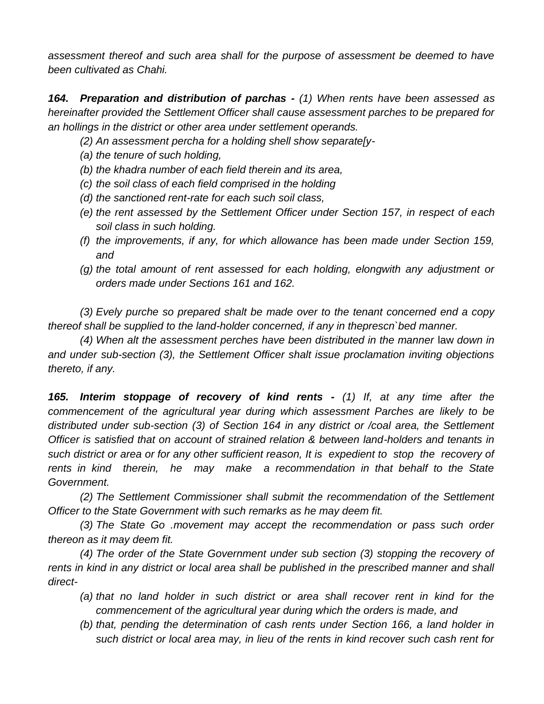*assessment thereof and such area shall for the purpose of assessment be deemed to have been cultivated as Chahi.*

*164. Preparation and distribution of parchas - (1) When rents have been assessed as hereinafter provided the Settlement Officer shall cause assessment parches to be prepared for an hollings in the district or other area under settlement operands.*

*(2) An assessment percha for a holding shell show separate[y-*

- *(a) the tenure of such holding,*
- *(b) the khadra number of each field therein and its area,*
- *(c) the soil class of each field comprised in the holding*
- *(d) the sanctioned rent-rate for each such soil class,*
- *(e) the rent assessed by the Settlement Officer under Section 157, in respect of each soil class in such holding.*
- *(f) the improvements, if any, for which allowance has been made under Section 159, and*
- *(g) the total amount of rent assessed for each holding, elongwith any adjustment or orders made under Sections 161 and 162.*

*(3) Evely purche so prepared shalt be made over to the tenant concerned end a copy thereof shall be supplied to the land-holder concerned, if any in theprescn`bed manner.*

*(4) When alt the assessment perches have been distributed in the manner* law *down in and under sub-section (3), the Settlement Officer shalt issue proclamation inviting objections thereto, if any.*

*165. Interim stoppage of recovery of kind rents - (1) If, at any time after the commencement of the agricultural year during which assessment Parches are likely to be distributed under sub-section (3) of Section 164 in any district or /coal area, the Settlement Officer is satisfied that on account of strained relation & between land-holders and tenants in such district or area or for any other sufficient reason, It is expedient to stop the recovery of rents in kind therein, he may make a recommendation in that behalf to the State Government.*

*(2) The Settlement Commissioner shall submit the recommendation of the Settlement Officer to the State Government with such remarks as he may deem fit.*

*(3) The State Go .movement may accept the recommendation or pass such order thereon as it may deem fit.*

*(4) The order of the State Government under sub section (3) stopping the recovery of rents in kind in any district or local area shall be published in the prescribed manner and shall direct-*

- *(a) that no land holder in such district or area shall recover rent in kind for the commencement of the agricultural year during which the orders is made, and*
- *(b) that, pending the determination of cash rents under Section 166, a land holder in such district or local area may, in lieu of the rents in kind recover such cash rent for*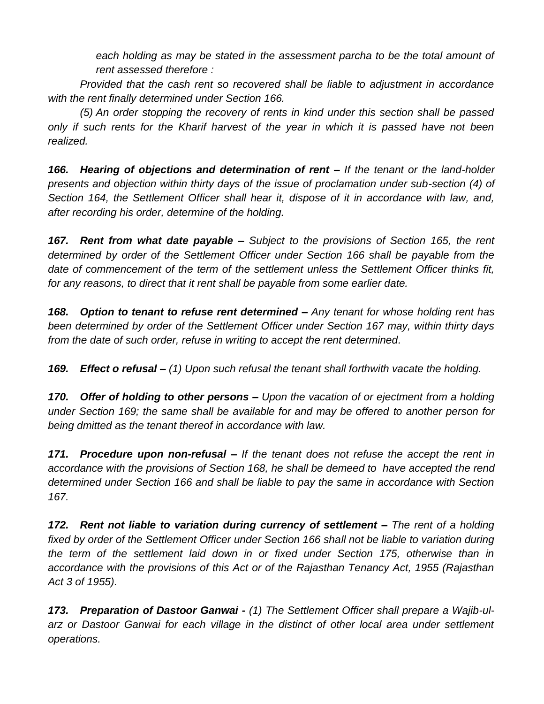*each holding as may be stated in the assessment parcha to be the total amount of rent assessed therefore :*

*Provided that the cash rent so recovered shall be liable to adjustment in accordance with the rent finally determined under Section 166.*

*(5) An order stopping the recovery of rents in kind under this section shall be passed only if such rents for the Kharif harvest of the year in which it is passed have not been realized.*

*166. Hearing of objections and determination of rent – If the tenant or the land-holder presents and objection within thirty days of the issue of proclamation under sub-section (4) of Section 164, the Settlement Officer shall hear it, dispose of it in accordance with law, and, after recording his order, determine of the holding.*

*167. Rent from what date payable – Subject to the provisions of Section 165, the rent determined by order of the Settlement Officer under Section 166 shall be payable from the date of commencement of the term of the settlement unless the Settlement Officer thinks fit, for any reasons, to direct that it rent shall be payable from some earlier date.*

*168. Option to tenant to refuse rent determined – Any tenant for whose holding rent has been determined by order of the Settlement Officer under Section 167 may, within thirty days from the date of such order, refuse in writing to accept the rent determined.*

*169. Effect o refusal – (1) Upon such refusal the tenant shall forthwith vacate the holding.*

*170. Offer of holding to other persons – Upon the vacation of or ejectment from a holding under Section 169; the same shall be available for and may be offered to another person for being dmitted as the tenant thereof in accordance with law.*

*171. Procedure upon non-refusal – If the tenant does not refuse the accept the rent in accordance with the provisions of Section 168, he shall be demeed to have accepted the rend determined under Section 166 and shall be liable to pay the same in accordance with Section 167.*

*172. Rent not liable to variation during currency of settlement – The rent of a holding fixed by order of the Settlement Officer under Section 166 shall not be liable to variation during the term of the settlement laid down in or fixed under Section 175, otherwise than in accordance with the provisions of this Act or of the Rajasthan Tenancy Act, 1955 (Rajasthan Act 3 of 1955).*

*173. Preparation of Dastoor Ganwai - (1) The Settlement Officer shall prepare a Wajib-ularz or Dastoor Ganwai for each village in the distinct of other local area under settlement operations.*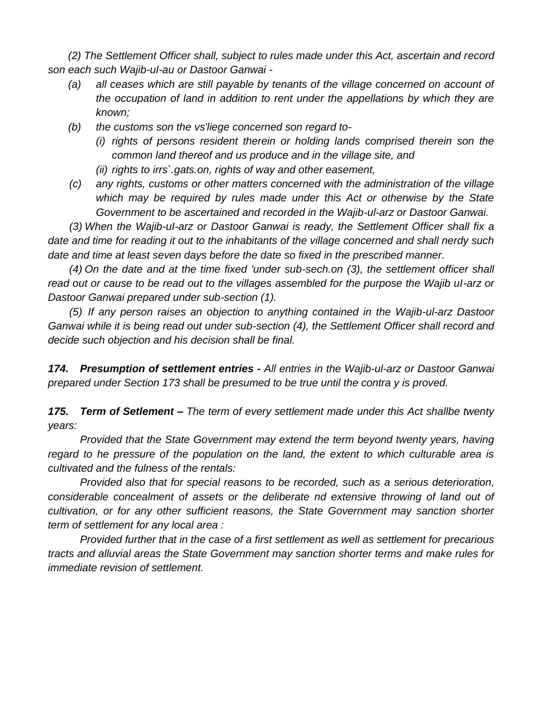*(2) The Settlement Officer shall, subject to rules made under this Act, ascertain and record son each such Wajib-uI-au or Dastoor Ganwai -*

- *(a) all ceases which are still payable by tenants of the village concerned on account of the occupation of land in addition to rent under the appellations by which they are known;*
- *(b) the customs son the vs'liege concerned son regard to-*
	- *(i) rights of persons resident therein or holding lands comprised therein son the common land thereof and us produce and in the village site, and*
	- *(ii) rights to irrs`.gats.on, rights of way and other easement,*
- *(c) any rights, customs or other matters concerned with the administration of the village which may be required by rules made under this Act or otherwise by the State Government to be ascertained and recorded in the Wajib-ul-arz or Dastoor Ganwai.*

*(3) When the Wajib-uI-arz or Dastoor Ganwai is ready, the Settlement Officer shall fix a date and time for reading it out to the inhabitants of the village concerned and shall nerdy such date and time at least seven days before the date so fixed in the prescribed manner.*

*(4) On the date and at the time fixed 'under sub-sech.on (3), the settlement officer shall read out or cause to be read out to the villages assembled for the purpose the Wajib uI-arz or Dastoor Ganwai prepared under sub-section (1).*

*(5) If any person raises an objection to anything contained in the Wajib-ul-arz Dastoor Ganwai while it is being read out under sub-section (4), the Settlement Officer shall record and decide such objection and his decision shall be final.*

*174. Presumption of settlement entries - All entries in the Wajib-ul-arz or Dastoor Ganwai prepared under Section 173 shall be presumed to be true until the contra y is proved.*

*175. Term of Setlement – The term of every settlement made under this Act shallbe twenty years:*

*Provided that the State Government may extend the term beyond twenty years, having regard to he pressure of the population on the land, the extent to which culturable area is cultivated and the fulness of the rentals:*

*Provided also that for special reasons to be recorded, such as a serious deterioration, considerable concealment of assets or the deliberate nd extensive throwing of land out of cultivation, or for any other sufficient reasons, the State Government may sanction shorter term of settlement for any local area :*

*Provided further that in the case of a first settlement as well as settlement for precarious tracts and alluvial areas the State Government may sanction shorter terms and make rules for immediate revision of settlement.*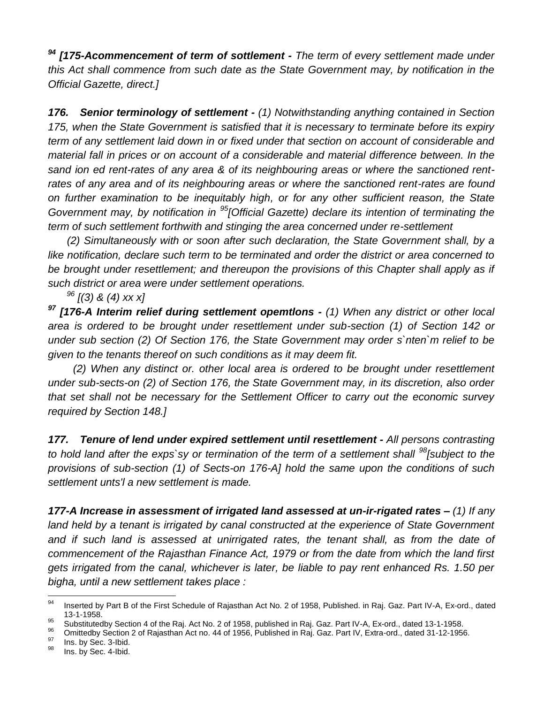*<sup>94</sup> [175-Acommencement of term of sottlement - The term of every settlement made under this Act shall commence from such date as the State Government may, by notification in the Official Gazette, direct.]*

*176. Senior terminology of settlement - (1) Notwithstanding anything contained in Section 175, when the State Government is satisfied that it is necessary to terminate before its expiry term of any settlement laid down in or fixed under that section on account of considerable and material fall in prices or on account of a considerable and material difference between. In the sand ion ed rent-rates of any area & of its neighbouring areas or where the sanctioned rent*rates of any area and of its neighbouring areas or where the sanctioned rent-rates are found *on further examination to be inequitably high, or for any other sufficient reason, the State Government may, by notification in <sup>95</sup>[Official Gazette) declare its intention of terminating the term of such settlement forthwith and stinging the area concerned under re-settlement*

*(2) Simultaneously with or soon after such declaration, the State Government shall, by a like notification, declare such term to be terminated and order the district or area concerned to*  be brought under resettlement; and thereupon the provisions of this Chapter shall apply as if *such district or area were under settlement operations.*

*<sup>96</sup> [(3) & (4) xx x]*

*<sup>97</sup> [176-A Interim relief during settlement opemtlons - (1) When any district or other local area is ordered to be brought under resettlement under sub-section (1) of Section 142 or under sub section (2) Of Section 176, the State Government may order s`nten`m relief to be given to the tenants thereof on such conditions as it may deem fit.*

*(2) When any distinct or. other local area is ordered to be brought under resettlement under sub-sects-on (2) of Section 176, the State Government may, in its discretion, also order that set shall not be necessary for the Settlement Officer to carry out the economic survey required by Section 148.]*

*177. Tenure of lend under expired settlement until resettlement - All persons contrasting to hold land after the exps`sy or termination of the term of a settlement shall <sup>98</sup><sup>[subject</sup> to the provisions of sub-section (1) of Sects-on 176-A] hold the same upon the conditions of such settlement unts'l a new settlement is made.*

*177-A Increase in assessment of irrigated land assessed at un-ir-rigated rates – (1) If any*  land held by a tenant is irrigated by canal constructed at the experience of State Government *and if such land is assessed at unirrigated rates, the tenant shall, as from the date of commencement of the Rajasthan Finance Act, 1979 or from the date from which the land first gets irrigated from the canal, whichever is later, be liable to pay rent enhanced Rs. 1.50 per bigha, until a new settlement takes place :*

<sup>94</sup> Inserted by Part B of the First Schedule of Rajasthan Act No. 2 of 1958, Published. in Raj. Gaz. Part IV-A, Ex-ord., dated 13-1-1958.

<sup>&</sup>lt;sup>95</sup> Substitutedby Section 4 of the Raj. Act No. 2 of 1958, published in Raj. Gaz. Part IV-A, Ex-ord., dated 13-1-1958.

<sup>&</sup>lt;sup>96</sup> Omittedby Section 2 of Rajasthan Act no. 44 of 1956, Published in Raj. Gaz. Part IV, Extra-ord., dated 31-12-1956.

 $\frac{97}{98}$  Ins. by Sec. 3-Ibid.

Ins. by Sec. 4-Ibid.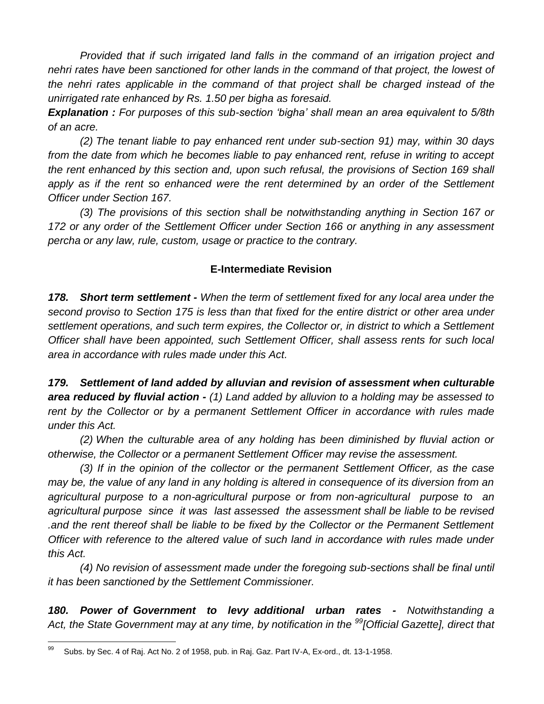*Provided that if such irrigated land falls in the command of an irrigation project and nehri rates have been sanctioned for other lands in the command of that project, the lowest of the nehri rates applicable in the command of that project shall be charged instead of the unirrigated rate enhanced by Rs. 1.50 per bigha as foresaid.*

*Explanation : For purposes of this sub-section 'bigha' shall mean an area equivalent to 5/8th of an acre.*

*(2) The tenant liable to pay enhanced rent under sub-section 91) may, within 30 days from the date from which he becomes liable to pay enhanced rent, refuse in writing to accept the rent enhanced by this section and, upon such refusal, the provisions of Section 169 shall*  apply as if the rent so enhanced were the rent determined by an order of the Settlement *Officer under Section 167.*

*(3) The provisions of this section shall be notwithstanding anything in Section 167 or 172 or any order of the Settlement Officer under Section 166 or anything in any assessment percha or any law, rule, custom, usage or practice to the contrary.*

## **E-Intermediate Revision**

*178. Short term settlement - When the term of settlement fixed for any local area under the second proviso to Section 175 is less than that fixed for the entire district or other area under settlement operations, and such term expires, the Collector or, in district to which a Settlement Officer shall have been appointed, such Settlement Officer, shall assess rents for such local area in accordance with rules made under this Act.*

*179. Settlement of land added by alluvian and revision of assessment when culturable area reduced by fluvial action - (1) Land added by alluvion to a holding may be assessed to*  rent by the Collector or by a permanent Settlement Officer in accordance with rules made *under this Act.*

*(2) When the culturable area of any holding has been diminished by fluvial action or otherwise, the Collector or a permanent Settlement Officer may revise the assessment.*

*(3) If in the opinion of the collector or the permanent Settlement Officer, as the case may be, the value of any land in any holding is altered in consequence of its diversion from an agricultural purpose to a non-agricultural purpose or from non-agricultural purpose to an agricultural purpose since it was last assessed the assessment shall be liable to be revised .and the rent thereof shall be liable to be fixed by the Collector or the Permanent Settlement Officer with reference to the altered value of such land in accordance with rules made under this Act.*

*(4) No revision of assessment made under the foregoing sub-sections shall be final until it has been sanctioned by the Settlement Commissioner.*

*180. Power of Government to levy additional urban rates - Notwithstanding a Act, the State Government may at any time, by notification in the <sup>99</sup>[Official Gazette], direct that* 

<sup>99</sup> Subs. by Sec. 4 of Raj. Act No. 2 of 1958, pub. in Raj. Gaz. Part IV-A, Ex-ord., dt. 13-1-1958.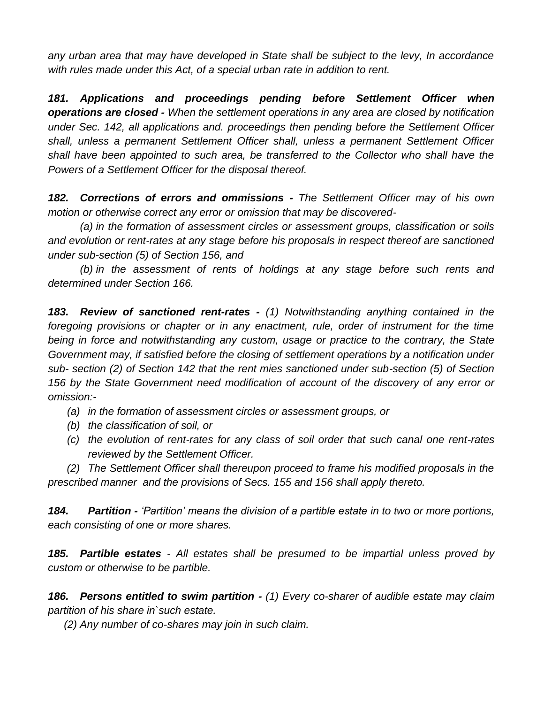*any urban area that may have developed in State shall be subject to the levy, In accordance with rules made under this Act, of a special urban rate in addition to rent.*

*181. Applications and proceedings pending before Settlement Officer when operations are closed - When the settlement operations in any area are closed by notification under Sec. 142, all applications and. proceedings then pending before the Settlement Officer shall, unless a permanent Settlement Officer shall, unless a permanent Settlement Officer shall have been appointed to such area, be transferred to the Collector who shall have the Powers of a Settlement Officer for the disposal thereof.*

*182. Corrections of errors and ommissions - The Settlement Officer may of his own motion or otherwise correct any error or omission that may be discovered-*

*(a) in the formation of assessment circles or assessment groups, classification or soils and evolution or rent-rates at any stage before his proposals in respect thereof are sanctioned under sub-section (5) of Section 156, and* 

*(b) in the assessment of rents of holdings at any stage before such rents and determined under Section 166.*

*183. Review of sanctioned rent-rates - (1) Notwithstanding anything contained in the*  foregoing provisions or chapter or in any enactment, rule, order of instrument for the time *being in force and notwithstanding any custom, usage or practice to the contrary, the State Government may, if satisfied before the closing of settlement operations by a notification under sub- section (2) of Section 142 that the rent mies sanctioned under sub-section (5) of Section 156 by the State Government need modification of account of the discovery of any error or omission:-*

- *(a) in the formation of assessment circles or assessment groups, or*
- *(b) the classification of soil, or*
- *(c) the evolution of rent-rates for any class of soil order that such canal one rent-rates reviewed by the Settlement Officer.*

*(2) The Settlement Officer shall thereupon proceed to frame his modified proposals in the prescribed manner and the provisions of Secs. 155 and 156 shall apply thereto.*

*184. Partition - 'Partition' means the division of a partible estate in to two or more portions, each consisting of one or more shares.*

*185. Partible estates - All estates shall be presumed to be impartial unless proved by custom or otherwise to be partible.*

*186. Persons entitled to swim partition - (1) Every co-sharer of audible estate may claim partition of his share in`such estate.*

*(2) Any number of co-shares may join in such claim.*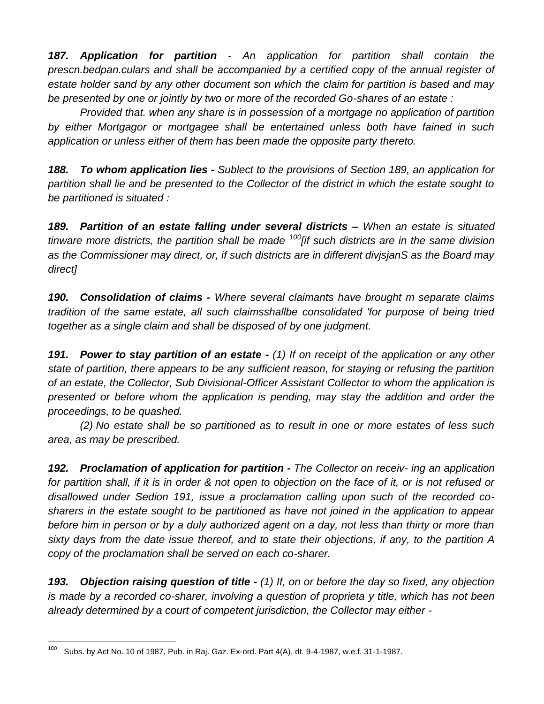*187. Application for partition - An application for partition shall contain the prescn.bedpan.culars and shall be accompanied by a certified copy of the annual register of estate holder sand by any other document son which the claim for partition is based and may be presented by one or jointly by two or more of the recorded Go-shares of an estate :*

*Provided that. when any share is in possession of a mortgage no application of partition by either Mortgagor or mortgagee shall be entertained unless both have fained in such application or unless either of them has been made the opposite party thereto.*

*188. To whom application lies - Sublect to the provisions of Section 189, an application for partition shall lie and be presented to the Collector of the district in which the estate sought to be partitioned is situated :*

*189. Partition of an estate falling under several districts – When an estate is situated tinware more districts, the partition shall be made <sup>100</sup>[if such districts are in the same division as the Commissioner may direct, or, if such districts are in different divjsjanS as the Board may direct]*

*190. Consolidation of claims - Where several claimants have brought m separate claims tradition of the same estate, all such claimsshallbe consolidated 'for purpose of being tried together as a single claim and shall be disposed of by one judgment.*

*191. Power to stay partition of an estate - (1) If on receipt of the application or any other state of partition, there appears to be any sufficient reason, for staying or refusing the partition of an estate, the Collector, Sub Divisional-Officer Assistant Collector to whom the application is presented or before whom the application is pending, may stay the addition and order the proceedings, to be quashed.*

*(2) No estate shall be so partitioned as to result in one or more estates of less such area, as may be prescribed.*

*192. Proclamation of application for partition - The Collector on receiv- ing an application*  for partition shall, if it is in order & not open to objection on the face of it, or is not refused or *disallowed under Sedion 191, issue a proclamation calling upon such of the recorded cosharers in the estate sought to be partitioned as have not joined in the application to appear before him in person or by a duly authorized agent on a day, not less than thirty or more than sixty days from the date issue thereof, and to state their objections, if any, to the partition A copy of the proclamation shall be served on each co-sharer.*

*193. Objection raising question of title - (1) If, on or before the day so fixed, any objection is made by a recorded co-sharer, involving a question of proprieta y title, which has not been already determined by a court of competent jurisdiction, the Collector may either -*

<sup>100</sup> Subs. by Act No. 10 of 1987, Pub. in Raj. Gaz. Ex-ord. Part 4(A), dt. 9-4-1987, w.e.f. 31-1-1987.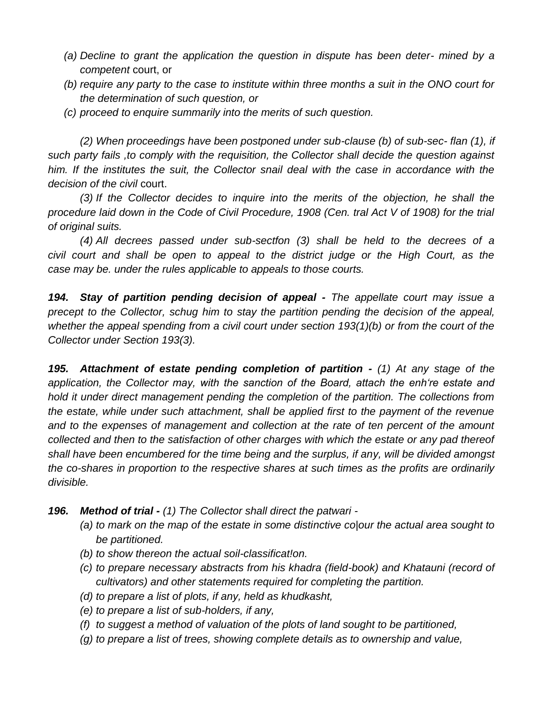- *(a) Decline to grant the application the question in dispute has been deter- mined by a competent* court, or
- *(b) require any party to the case to institute within three months a suit in the ONO court for the determination of such question, or*
- *(c) proceed to enquire summarily into the merits of such question.*

*(2) When proceedings have been postponed under sub-clause (b) of sub-sec- flan (1), if such party fails ,to comply with the requisition, the Collector shall decide the question against him. If the institutes the suit, the Collector snail deal with the case in accordance with the decision of the civil* court.

*(3) If the Collector decides to inquire into the merits of the objection, he shall the procedure laid down in the Code of Civil Procedure, 1908 (Cen. tral Act V of 1908) for the trial of original suits.*

*(4) All decrees passed under sub-sectfon (3) shall be held to the decrees of a civil court and shall be open to appeal to the district judge or the High Court, as the case may be. under the rules applicable to appeals to those courts.*

*194. Stay of partition pending decision of appeal - The appellate court may issue a precept to the Collector, schug him to stay the partition pending the decision of the appeal, whether the appeal spending from a civil court under section 193(1)(b) or from the court of the Collector under Section 193(3).*

*195. Attachment of estate pending completion of partition - (1) At any stage of the application, the Collector may, with the sanction of the Board, attach the enh're estate and hold it under direct management pending the completion of the partition. The collections from the estate, while under such attachment, shall be applied first to the payment of the revenue and to the expenses of management and collection at the rate of ten percent of the amount collected and then to the satisfaction of other charges with which the estate or any pad thereof shall have been encumbered for the time being and the surplus, if any, will be divided amongst the co-shares in proportion to the respective shares at such times as the profits are ordinarily divisible.*

- *196. Method of trial - (1) The Collector shall direct the patwari -*
	- *(a) to mark on the map of the estate in some distinctive co|our the actual area sought to be partitioned.*
	- *(b) to show thereon the actual soil-classificat!on.*
	- *(c) to prepare necessary abstracts from his khadra (field-book) and Khatauni (record of cultivators) and other statements required for completing the partition.*
	- *(d) to prepare a list of plots, if any, held as khudkasht,*
	- *(e) to prepare a list of sub-holders, if any,*
	- *(f) to suggest a method of valuation of the plots of land sought to be partitioned,*
	- *(g) to prepare a list of trees, showing complete details as to ownership and value,*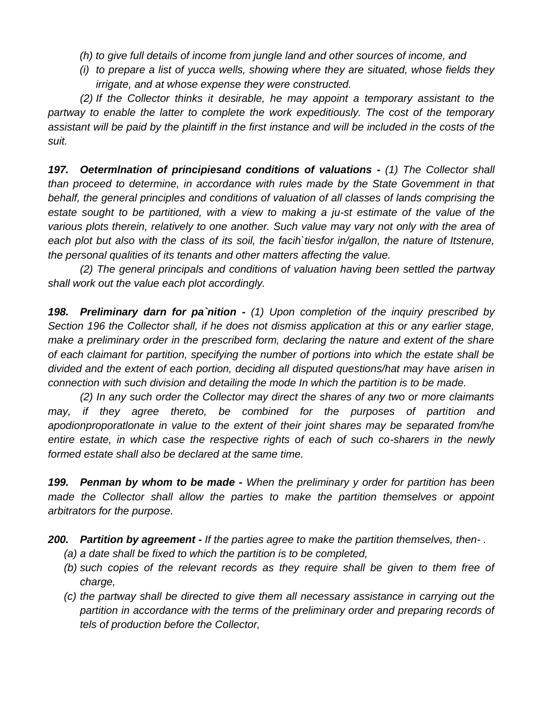- *(h) to give full details of income from jungle land and other sources of income, and*
- *(i) to prepare a list of yucca wells, showing where they are situated, whose fields they irrigate, and at whose expense they were constructed.*

*(2) If the Collector thinks it desirable, he may appoint a temporary assistant to the partway to enable the latter to complete the work expeditiously. The cost of the temporary assistant will be paid by the plaintiff in the first instance and will be included in the costs of the suit.*

*197. Oetermlnation of principiesand conditions of valuations - (1) The Collector shall than proceed to determine, in accordance with rules made by the State Govemment in that behalf, the general principles and conditions of valuation of all classes of lands comprising the estate sought to be partitioned, with a view to making a ju-st estimate of the value of the various plots therein, relatively to one another. Such value may vary not only with the area of each plot but also with the class of its soil, the facih`tiesfor in/gallon, the nature of Itstenure, the personal qualities of its tenants and other matters affecting the value.*

*(2) The general principals and conditions of valuation having been settled the partway shall work out the value each plot accordingly.*

*198. Preliminary darn for pa`nition - (1) Upon completion of the inquiry prescribed by Section 196 the Collector shall, if he does not dismiss application at this or any earlier stage, make a preliminary order in the prescribed form, declaring the nature and extent of the share of each claimant for partition, specifying the number of portions into which the estate shall be divided and the extent of each portion, deciding all disputed questions/hat may have arisen in connection with such division and detailing the mode In which the partition is to be made.*

*(2) In any such order the Collector may direct the shares of any two or more claimants may, if they agree thereto, be combined for the purposes of partition and apodionproporatlonate in value to the extent of their joint shares may be separated from/he entire estate, in which case the respective rights of each of such co-sharers in the newly formed estate shall also be declared at the same time.*

*199. Penman by whom to be made - When the preliminary y order for partition has been made the Collector shall allow the parties to make the partition themselves or appoint arbitrators for the purpose.*

*200. Partition by agreement - If the parties agree to make the partition themselves, then- .*

- *(a) a date shall be fixed to which the partition is to be completed,*
- *(b) such copies of the relevant records as they require shall be given to them free of charge,*
- *(c) the partway shall be directed to give them all necessary assistance in carrying out the partition in accordance with the terms of the preliminary order and preparing records of tels of production before the Collector,*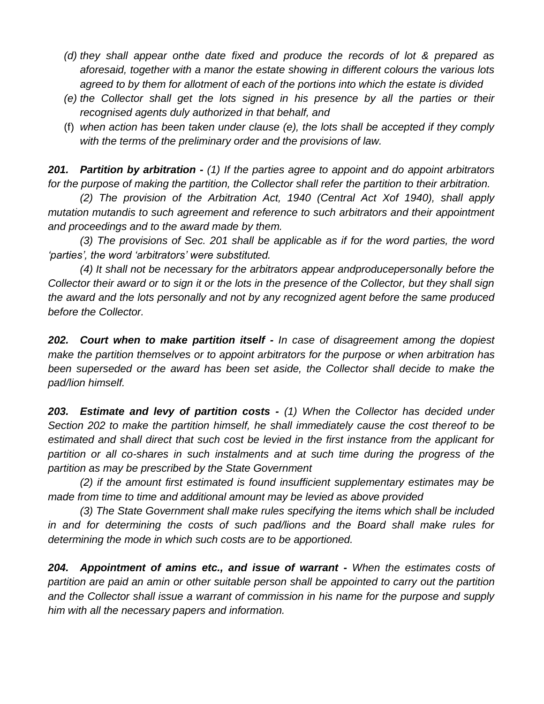- *(d) they shall appear onthe date fixed and produce the records of lot & prepared as aforesaid, together with a manor the estate showing in different colours the various lots agreed to by them for allotment of each of the portions into which the estate is divided*
- *(e) the Collector shall get the lots signed in his presence by all the parties or their recognised agents duly authorized in that behalf, and*
- (f) *when action has been taken under clause (e), the lots shall be accepted if they comply with the terms of the preliminary order and the provisions of law.*

*201. Partition by arbitration - (1) If the parties agree to appoint and do appoint arbitrators for the purpose of making the partition, the Collector shall refer the partition to their arbitration.*

*(2) The provision of the Arbitration Act, 1940 (Central Act Xof 1940), shall apply mutation mutandis to such agreement and reference to such arbitrators and their appointment and proceedings and to the award made by them.*

*(3) The provisions of Sec. 201 shall be applicable as if for the word parties, the word 'parties', the word 'arbitrators' were substituted.*

*(4) It shall not be necessary for the arbitrators appear andproducepersonally before the Collector their award or to sign it or the lots in the presence of the Collector, but they shall sign the award and the lots personally and not by any recognized agent before the same produced before the Collector.*

*202. Court when to make partition itself - In case of disagreement among the dopiest make the partition themselves or to appoint arbitrators for the purpose or when arbitration has been superseded or the award has been set aside, the Collector shall decide to make the pad/lion himself.*

*203. Estimate and levy of partition costs - (1) When the Collector has decided under Section 202 to make the partition himself, he shall immediately cause the cost thereof to be*  estimated and shall direct that such cost be levied in the first instance from the applicant for partition or all co-shares in such instalments and at such time during the progress of the *partition as may be prescribed by the State Government*

*(2) if the amount first estimated is found insufficient supplementary estimates may be made from time to time and additional amount may be levied as above provided*

*(3) The State Government shall make rules specifying the items which shall be included in and for determining the costs of such pad/lions and the Board shall make rules for determining the mode in which such costs are to be apportioned.*

*204. Appointment of amins etc., and issue of warrant - When the estimates costs of partition are paid an amin or other suitable person shall be appointed to carry out the partition and the Collector shall issue a warrant of commission in his name for the purpose and supply him with all the necessary papers and information.*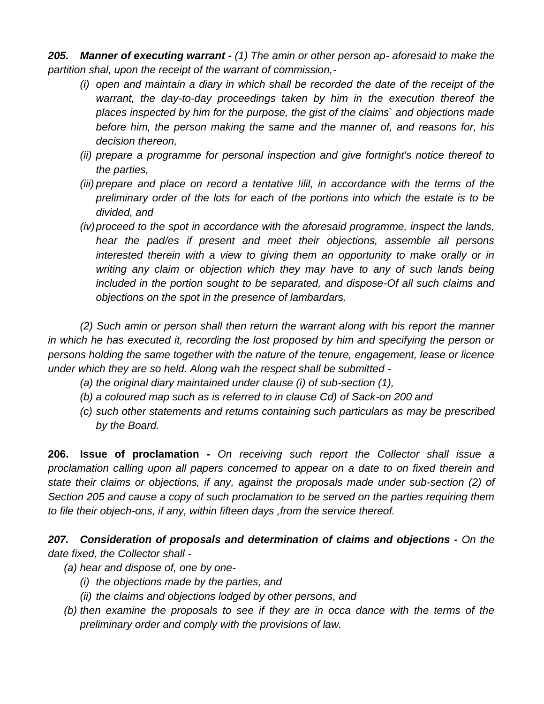*205. Manner of executing warrant - (1) The amin or other person ap- aforesaid to make the partition shal, upon the receipt of the warrant of commission,-*

- *(i) open and maintain a diary in which shall be recorded the date of the receipt of the warrant, the day-to-day proceedings taken by him in the execution thereof the places inspected by him for the purpose, the gist of the claims` and objections made before him, the person making the same and the manner of, and reasons for, his decision thereon,*
- *(ii) prepare a programme for personal inspection and give fortnight's notice thereof to the parties,*
- *(iii) prepare and place on record a tentative !ilil, in accordance with the terms of the preliminary order of the lots for each of the portions into which the estate is to be divided, and*
- *(iv)proceed to the spot in accordance with the aforesaid programme, inspect the lands, hear the pad/es if present and meet their objections, assemble all persons interested therein with a view to giving them an opportunity to make orally or in writing any claim or objection which they may have to any of such lands being included in the portion sought to be separated, and dispose-Of all such claims and objections on the spot in the presence of lambardars.*

*(2) Such amin or person shall then return the warrant along with his report the manner in which he has executed it, recording the lost proposed by him and specifying the person or persons holding the same together with the nature of the tenure, engagement, lease or licence under which they are so held. Along wah the respect shall be submitted -*

- *(a) the original diary maintained under clause (i) of sub-section (1),*
- *(b) a coloured map such as is referred to in clause Cd) of Sack-on 200 and*
- *(c) such other statements and returns containing such particulars as may be prescribed by the Board.*

**206. Issue of proclamation -** *On receiving such report the Collector shall issue a proclamation calling upon all papers concerned to appear on a date to on fixed therein and state their claims or objections, if any, against the proposals made under sub-section (2) of Section 205 and cause a copy of such proclamation to be served on the parties requiring them to file their objech-ons, if any, within fifteen days ,from the service thereof.*

*207. Consideration of proposals and determination of claims and objections - On the date fixed, the Collector shall -*

- *(a) hear and dispose of, one by one-*
	- *(i) the objections made by the parties, and*
	- *(ii) the claims and objections lodged by other persons, and*
- *(b) then examine the proposals to see if they are in occa dance with the terms of the preliminary order and comply with the provisions of law.*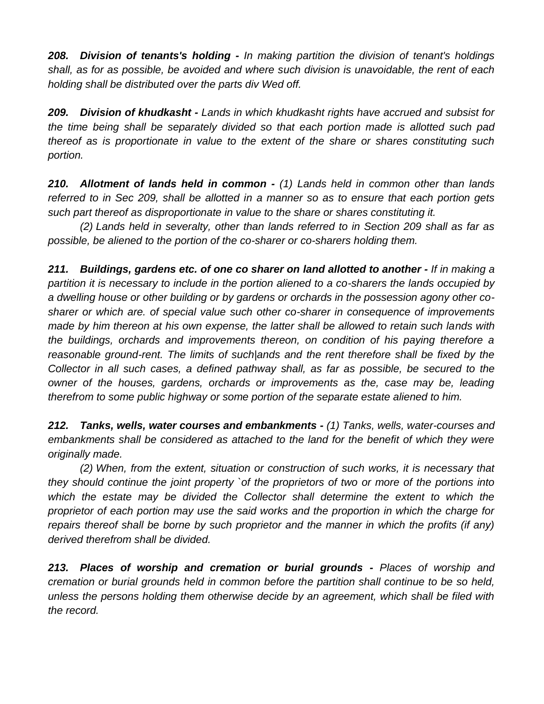*208. Division of tenants's holding - In making partition the division of tenant's holdings shall, as for as possible, be avoided and where such division is unavoidable, the rent of each holding shall be distributed over the parts div Wed off.*

*209. Division of khudkasht - Lands in which khudkasht rights have accrued and subsist for the time being shall be separately divided so that each portion made is allotted such pad thereof as is proportionate in value to the extent of the share or shares constituting such portion.*

*210. Allotment of lands held in common - (1) Lands held in common other than lands referred to in Sec 209, shall be allotted in a manner so as to ensure that each portion gets such part thereof as disproportionate in value to the share or shares constituting it.*

*(2) Lands held in severalty, other than lands referred to in Section 209 shall as far as possible, be aliened to the portion of the co-sharer or co-sharers holding them.*

*211. Buildings, gardens etc. of one co sharer on land allotted to another - If in making a partition it is necessary to include in the portion aliened to a co-sharers the lands occupied by a dwelling house or other building or by gardens or orchards in the possession agony other cosharer or which are. of special value such other co-sharer in consequence of improvements made by him thereon at his own expense, the latter shall be allowed to retain such lands with the buildings, orchards and improvements thereon, on condition of his paying therefore a reasonable ground-rent. The limits of such|ands and the rent therefore shall be fixed by the Collector in all such cases, a defined pathway shall, as far as possible, be secured to the owner of the houses, gardens, orchards or improvements as the, case may be, leading therefrom to some public highway or some portion of the separate estate aliened to him.*

*212. Tanks, wells, water courses and embankments - (1) Tanks, wells, water-courses and*  embankments shall be considered as attached to the land for the benefit of which they were *originally made.*

*(2) When, from the extent, situation or construction of such works, it is necessary that they should continue the joint property `of the proprietors of two or more of the portions into*  which the estate may be divided the Collector shall determine the extent to which the *proprietor of each portion may use the said works and the proportion in which the charge for repairs thereof shall be borne by such proprietor and the manner in which the profits (if any) derived therefrom shall be divided.*

*213. Places of worship and cremation or burial grounds - Places of worship and cremation or burial grounds held in common before the partition shall continue to be so held, unless the persons holding them otherwise decide by an agreement, which shall be filed with the record.*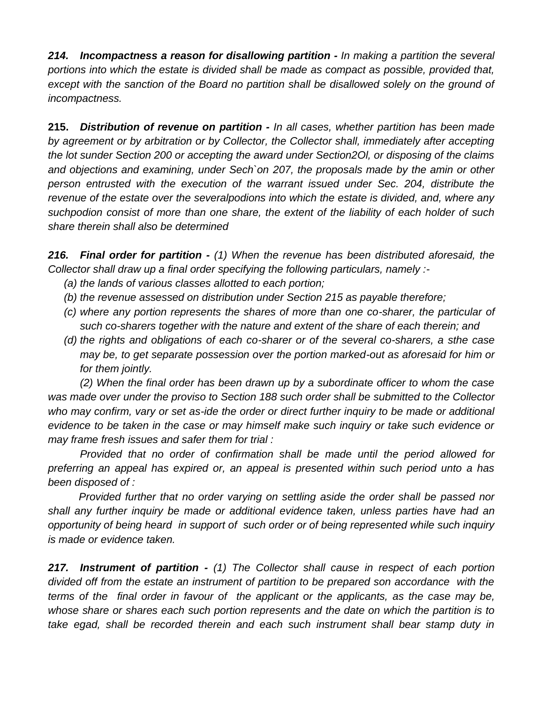*214. Incompactness a reason for disallowing partition - In making a partition the several portions into which the estate is divided shall be made as compact as possible, provided that,*  except with the sanction of the Board no partition shall be disallowed solely on the ground of *incompactness.*

**215.** *Distribution of revenue on partition - In all cases, whether partition has been made by agreement or by arbitration or by Collector, the Collector shall, immediately after accepting the lot sunder Section 200 or accepting the award under Section2Ol, or disposing of the claims and objections and examining, under Sech`on 207, the proposals made by the amin or other person entrusted with the execution of the warrant issued under Sec. 204, distribute the revenue of the estate over the severalpodions into which the estate is divided, and, where any suchpodion consist of more than one share, the extent of the liability of each holder of such share therein shall also be determined*

*216. Final order for partition - (1) When the revenue has been distributed aforesaid, the Collector shall draw up a final order specifying the following particulars, namely :-*

- *(a) the lands of various classes allotted to each portion;*
- *(b) the revenue assessed on distribution under Section 215 as payable therefore;*
- *(c) where any portion represents the shares of more than one co-sharer, the particular of such co-sharers together with the nature and extent of the share of each therein; and*
- *(d) the rights and obligations of each co-sharer or of the several co-sharers, a sthe case may be, to get separate possession over the portion marked-out as aforesaid for him or for them jointly.*

*(2) When the final order has been drawn up by a subordinate officer to whom the case was made over under the proviso to Section 188 such order shall be submitted to the Collector*  who may confirm, vary or set as-ide the order or direct further inquiry to be made or additional *evidence to be taken in the case or may himself make such inquiry or take such evidence or may frame fresh issues and safer them for trial :*

*Provided that no order of confirmation shall be made until the period allowed for preferring an appeal has expired or, an appeal is presented within such period unto a has been disposed of :*

 *Provided further that no order varying on settling aside the order shall be passed nor shall any further inquiry be made or additional evidence taken, unless parties have had an opportunity of being heard in support of such order or of being represented while such inquiry is made or evidence taken.*

*217. Instrument of partition - (1) The Collector shall cause in respect of each portion divided off from the estate an instrument of partition to be prepared son accordance with the terms of the final order in favour of the applicant or the applicants, as the case may be, whose share or shares each such portion represents and the date on which the partition is to*  take egad, shall be recorded therein and each such instrument shall bear stamp duty in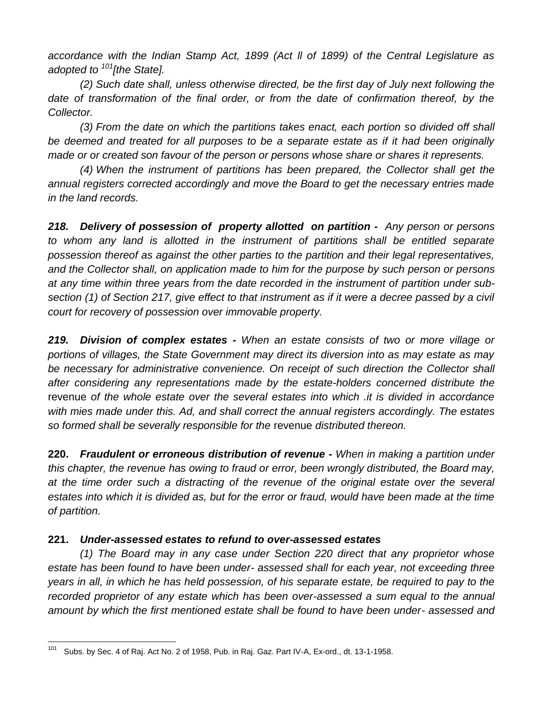*accordance with the Indian Stamp Act, 1899 (Act ll of 1899) of the Central Legislature as adopted to <sup>101</sup>[the State].*

*(2) Such date shall, unless otherwise directed, be the first day of July next following the*  date of transformation of the final order, or from the date of confirmation thereof, by the *Collector.*

*(3) From the date on which the partitions takes enact, each portion so divided off shall be deemed and treated for all purposes to be a separate estate as if it had been originally made or or created son favour of the person or persons whose share or shares it represents.*

*(4) When the instrument of partitions has been prepared, the Collector shall get the annual registers corrected accordingly and move the Board to get the necessary entries made in the land records.*

*218. Delivery of possession of property allotted on partition - Any person or persons to whom any land is allotted in the instrument of partitions shall be entitled separate possession thereof as against the other parties to the partition and their legal representatives, and the Collector shall, on application made to him for the purpose by such person or persons at any time within three years from the date recorded in the instrument of partition under subsection (1) of Section 217, give effect to that instrument as if it were a decree passed by a civil court for recovery of possession over immovable property.*

*219. Division of complex estates - When an estate consists of two or more village or portions of villages, the State Government may direct its diversion into as may estate as may be necessary for administrative convenience. On receipt of such direction the Collector shall after considering any representations made by the estate-holders concerned distribute the*  revenue *of the whole estate over the several estates into which .it is divided in accordance with mies made under this. Ad, and shall correct the annual registers accordingly. The estates so formed shall be severally responsible for the* revenue *distributed thereon.*

**220.** *Fraudulent or erroneous distribution of revenue - When in making a partition under this chapter, the revenue has owing to fraud or error, been wrongly distributed, the Board may, at the time order such a distracting of the revenue of the original estate over the several estates into which it is divided as, but for the error or fraud, would have been made at the time of partition.*

## **221.** *Under-assessed estates to refund to over-assessed estates*

*(1) The Board may in any case under Section 220 direct that any proprietor whose estate has been found to have been under- assessed shall for each year, not exceeding three years in all, in which he has held possession, of his separate estate, be required to pay to the recorded proprietor of any estate which has been over-assessed a sum equal to the annual amount by which the first mentioned estate shall be found to have been under- assessed and* 

<sup>101</sup> Subs. by Sec. 4 of Raj. Act No. 2 of 1958, Pub. in Raj. Gaz. Part IV-A, Ex-ord., dt. 13-1-1958.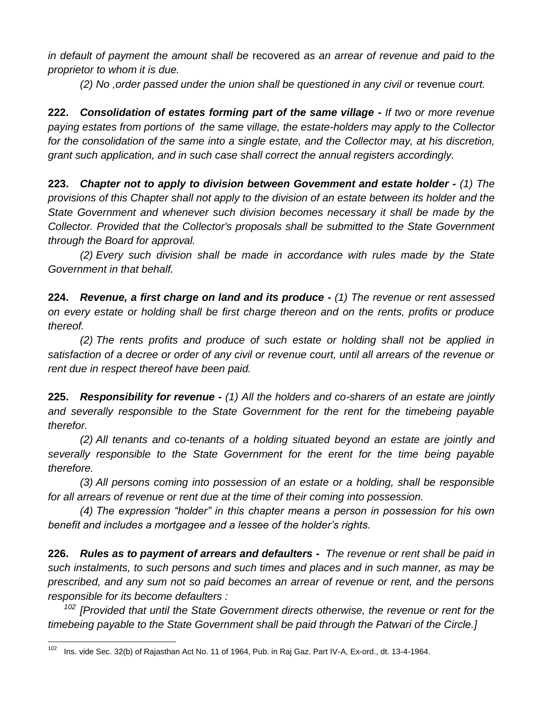*in default of payment the amount shall be* recovered *as an arrear of revenue and paid to the proprietor to whom it is due.*

*(2) No ,order passed under the union shall be questioned in any civil or* revenue *court.*

**222.** *Consolidation of estates forming part of the same village - If two or more revenue paying estates from portions of the same village, the estate-holders may apply to the Collector for the consolidation of the same into a single estate, and the Collector may, at his discretion, grant such application, and in such case shall correct the annual registers accordingly.*

**223.** *Chapter not to apply to division between Govemment and estate holder - (1) The provisions of this Chapter shall not apply to the division of an estate between its holder and the State Government and whenever such division becomes necessary it shall be made by the Collector. Provided that the Collector's proposals shall be submitted to the State Government through the Board for approval.*

*(2) Every such division shall be made in accordance with rules made by the State Government in that behalf.*

**224.** *Revenue, a first charge on land and its produce - (1) The revenue or rent assessed on every estate or holding shall be first charge thereon and on the rents, profits or produce thereof.*

*(2) The rents profits and produce of such estate or holding shall not be applied in satisfaction of a decree or order of any civil or revenue court, until all arrears of the revenue or rent due in respect thereof have been paid.*

**225.** *Responsibility for revenue - (1) All the holders and co-sharers of an estate are jointly and severally responsible to the State Government for the rent for the timebeing payable therefor.*

*(2) All tenants and co-tenants of a holding situated beyond an estate are jointly and severally responsible to the State Government for the erent for the time being payable therefore.*

*(3) All persons coming into possession of an estate or a holding, shall be responsible for all arrears of revenue or rent due at the time of their coming into possession.*

*(4) The expression "holder" in this chapter means a person in possession for his own benefit and includes a mortgagee and a lessee of the holder's rights.*

**226.** *Rules as to payment of arrears and defaulters - The revenue or rent shall be paid in such instalments, to such persons and such times and places and in such manner, as may be prescribed, and any sum not so paid becomes an arrear of revenue or rent, and the persons responsible for its become defaulters :*

<sup>102</sup> *[Provided that until the State Government directs otherwise, the revenue or rent for the timebeing payable to the State Government shall be paid through the Patwari of the Circle.]*

<sup>102</sup> Ins. vide Sec. 32(b) of Rajasthan Act No. 11 of 1964, Pub. in Raj Gaz. Part IV-A, Ex-ord., dt. 13-4-1964.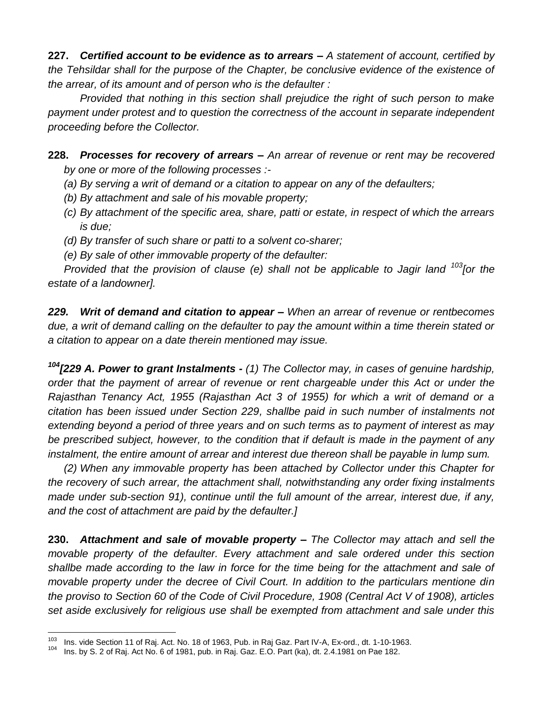**227.** *Certified account to be evidence as to arrears – A statement of account, certified by the Tehsildar shall for the purpose of the Chapter, be conclusive evidence of the existence of the arrear, of its amount and of person who is the defaulter :*

*Provided that nothing in this section shall prejudice the right of such person to make payment under protest and to question the correctness of the account in separate independent proceeding before the Collector.*

**228.** *Processes for recovery of arrears – An arrear of revenue or rent may be recovered by one or more of the following processes :-*

- *(a) By serving a writ of demand or a citation to appear on any of the defaulters;*
- *(b) By attachment and sale of his movable property;*
- *(c) By attachment of the specific area, share, patti or estate, in respect of which the arrears is due;*
- *(d) By transfer of such share or patti to a solvent co-sharer;*
- *(e) By sale of other immovable property of the defaulter:*

*Provided that the provision of clause (e) shall not be applicable to Jagir land <sup>103</sup><sup>[or the</sup> estate of a landowner].*

*229. Writ of demand and citation to appear – When an arrear of revenue or rentbecomes due, a writ of demand calling on the defaulter to pay the amount within a time therein stated or a citation to appear on a date therein mentioned may issue.*

*<sup>104</sup>[229 A. Power to grant Instalments - (1) The Collector may, in cases of genuine hardship, order that the payment of arrear of revenue or rent chargeable under this Act or under the Rajasthan Tenancy Act, 1955 (Rajasthan Act 3 of 1955) for which a writ of demand or a citation has been issued under Section 229, shallbe paid in such number of instalments not extending beyond a period of three years and on such terms as to payment of interest as may be prescribed subject, however, to the condition that if default is made in the payment of any instalment, the entire amount of arrear and interest due thereon shall be payable in lump sum.*

*(2) When any immovable property has been attached by Collector under this Chapter for the recovery of such arrear, the attachment shall, notwithstanding any order fixing instalments made under sub-section 91), continue until the full amount of the arrear, interest due, if any, and the cost of attachment are paid by the defaulter.]*

**230.** *Attachment and sale of movable property – The Collector may attach and sell the movable property of the defaulter. Every attachment and sale ordered under this section shallbe made according to the law in force for the time being for the attachment and sale of movable property under the decree of Civil Court. In addition to the particulars mentione din the proviso to Section 60 of the Code of Civil Procedure, 1908 (Central Act V of 1908), articles set aside exclusively for religious use shall be exempted from attachment and sale under this* 

<sup>103</sup> <sup>103</sup> Ins. vide Section 11 of Raj. Act. No. 18 of 1963, Pub. in Raj Gaz. Part IV-A, Ex-ord., dt. 1-10-1963.

<sup>104</sup> Ins. by S. 2 of Raj. Act No. 6 of 1981, pub. in Raj. Gaz. E.O. Part (ka), dt. 2.4.1981 on Pae 182.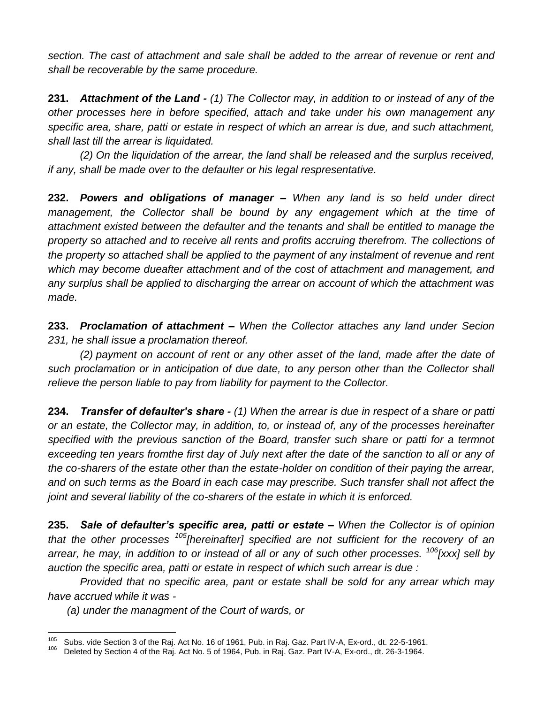*section. The cast of attachment and sale shall be added to the arrear of revenue or rent and shall be recoverable by the same procedure.*

**231.** *Attachment of the Land - (1) The Collector may, in addition to or instead of any of the other processes here in before specified, attach and take under his own management any specific area, share, patti or estate in respect of which an arrear is due, and such attachment, shall last till the arrear is liquidated.*

*(2) On the liquidation of the arrear, the land shall be released and the surplus received, if any, shall be made over to the defaulter or his legal respresentative.*

**232.** *Powers and obligations of manager – When any land is so held under direct*  management, the Collector shall be bound by any engagement which at the time of *attachment existed between the defaulter and the tenants and shall be entitled to manage the property so attached and to receive all rents and profits accruing therefrom. The collections of the property so attached shall be applied to the payment of any instalment of revenue and rent which may become dueafter attachment and of the cost of attachment and management, and any surplus shall be applied to discharging the arrear on account of which the attachment was made.*

**233.** *Proclamation of attachment – When the Collector attaches any land under Secion 231, he shall issue a proclamation thereof.*

*(2) payment on account of rent or any other asset of the land, made after the date of such proclamation or in anticipation of due date, to any person other than the Collector shall relieve the person liable to pay from liability for payment to the Collector.*

**234.** *Transfer of defaulter's share - (1) When the arrear is due in respect of a share or patti or an estate, the Collector may, in addition, to, or instead of, any of the processes hereinafter*  specified with the previous sanction of the Board, transfer such share or patti for a termnot exceeding ten years fromthe first day of July next after the date of the sanction to all or any of *the co-sharers of the estate other than the estate-holder on condition of their paying the arrear, and on such terms as the Board in each case may prescribe. Such transfer shall not affect the joint and several liability of the co-sharers of the estate in which it is enforced.*

**235.** *Sale of defaulter's specific area, patti or estate – When the Collector is of opinion that the other processes <sup>105</sup>[hereinafter] specified are not sufficient for the recovery of an arrear, he may, in addition to or instead of all or any of such other processes. <sup>106</sup>[xxx] sell by auction the specific area, patti or estate in respect of which such arrear is due :*

*Provided that no specific area, pant or estate shall be sold for any arrear which may have accrued while it was -*

*(a) under the managment of the Court of wards, or*

<sup>105</sup> <sup>105</sup> Subs. vide Section 3 of the Raj. Act No. 16 of 1961, Pub. in Raj. Gaz. Part IV-A, Ex-ord., dt. 22-5-1961.

<sup>106</sup> Deleted by Section 4 of the Raj. Act No. 5 of 1964, Pub. in Raj. Gaz. Part IV-A, Ex-ord., dt. 26-3-1964.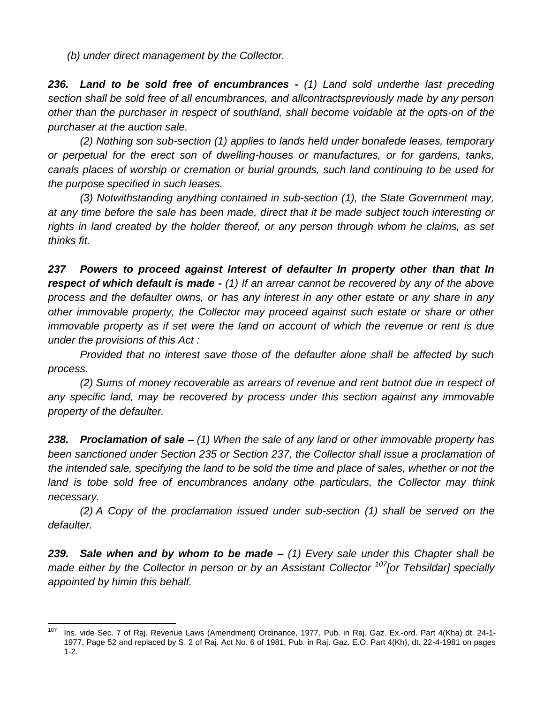*(b) under direct management by the Collector.*

*236. Land to be sold free of encumbrances - (1) Land sold underthe last preceding section shall be sold free of all encumbrances, and allcontractspreviously made by any person other than the purchaser in respect of southland, shall become voidable at the opts-on of the purchaser at the auction sale.*

*(2) Nothing son sub-section (1) applies to lands held under bonafede leases, temporary or perpetual for the erect son of dwelling-houses or manufactures, or for gardens, tanks, canals places of worship or cremation or burial grounds, such land continuing to be used for the purpose specified in such leases.*

*(3) Notwithstanding anything contained in sub-section (1), the State Government may, at any time before the sale has been made, direct that it be made subject touch interesting or rights in land created by the holder thereof, or any person through whom he claims, as set thinks fit.*

*237 Powers to proceed against Interest of defaulter In property other than that In respect of which default is made - (1) If an arrear cannot be recovered by any of the above process and the defaulter owns, or has any interest in any other estate or any share in any other immovable property, the Collector may proceed against such estate or share or other immovable property as if set were the land on account of which the revenue or rent is due under the provisions of this Act :*

*Provided that no interest save those of the defaulter alone shall be affected by such process.*

*(2) Sums of money recoverable as arrears of revenue and rent butnot due in respect of any specific land, may be recovered by process under this section against any immovable property of the defaulter.*

*238. Proclamation of sale – (1) When the sale of any land or other immovable property has been sanctioned under Section 235 or Section 237, the Collector shall issue a proclamation of the intended sale, specifying the land to be sold the time and place of sales, whether or not the land is tobe sold free of encumbrances andany othe particulars, the Collector may think necessary.*

*(2) A Copy of the proclamation issued under sub-section (1) shall be served on the defaulter.*

*239. Sale when and by whom to be made – (1) Every sale under this Chapter shall be made either by the Collector in person or by an Assistant Collector <sup>107</sup><sup>[or Tehsildar] specially*</sup> *appointed by himin this behalf.*

<sup>107</sup> <sup>107</sup> Ins. vide Sec. 7 of Raj. Revenue Laws (Amendment) Ordinance, 1977, Pub. in Raj. Gaz. Ex.-ord. Part 4(Kha) dt. 24-1- 1977, Page 52 and replaced by S. 2 of Raj. Act No. 6 of 1981, Pub. in Raj. Gaz. E.O. Part 4(Kh), dt. 22-4-1981 on pages 1-2.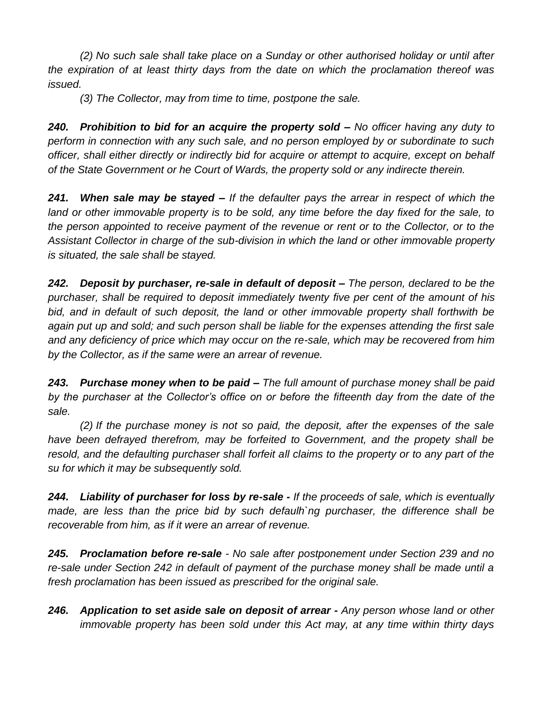*(2) No such sale shall take place on a Sunday or other authorised holiday or until after the expiration of at least thirty days from the date on which the proclamation thereof was issued.*

*(3) The Collector, may from time to time, postpone the sale.*

*240. Prohibition to bid for an acquire the property sold – No officer having any duty to perform in connection with any such sale, and no person employed by or subordinate to such officer, shall either directly or indirectly bid for acquire or attempt to acquire, except on behalf of the State Government or he Court of Wards, the property sold or any indirecte therein.*

*241. When sale may be stayed – If the defaulter pays the arrear in respect of which the*  land or other immovable property is to be sold, any time before the day fixed for the sale, to *the person appointed to receive payment of the revenue or rent or to the Collector, or to the Assistant Collector in charge of the sub-division in which the land or other immovable property is situated, the sale shall be stayed.*

*242. Deposit by purchaser, re-sale in default of deposit – The person, declared to be the purchaser, shall be required to deposit immediately twenty five per cent of the amount of his bid, and in default of such deposit, the land or other immovable property shall forthwith be again put up and sold; and such person shall be liable for the expenses attending the first sale and any deficiency of price which may occur on the re-sale, which may be recovered from him by the Collector, as if the same were an arrear of revenue.*

*243. Purchase money when to be paid – The full amount of purchase money shall be paid by the purchaser at the Collector's office on or before the fifteenth day from the date of the sale.*

*(2) If the purchase money is not so paid, the deposit, after the expenses of the sale have been defrayed therefrom, may be forfeited to Government, and the propety shall be*  resold, and the defaulting purchaser shall forfeit all claims to the property or to any part of the *su for which it may be subsequently sold.*

*244. Liability of purchaser for loss by re-sale - If the proceeds of sale, which is eventually made, are less than the price bid by such defaulh`ng purchaser, the difference shall be recoverable from him, as if it were an arrear of revenue.*

*245. Proclamation before re-sale - No sale after postponement under Section 239 and no re-sale under Section 242 in default of payment of the purchase money shall be made until a fresh proclamation has been issued as prescribed for the original sale.*

*246. Application to set aside sale on deposit of arrear - Any person whose land or other immovable property has been sold under this Act may, at any time within thirty days*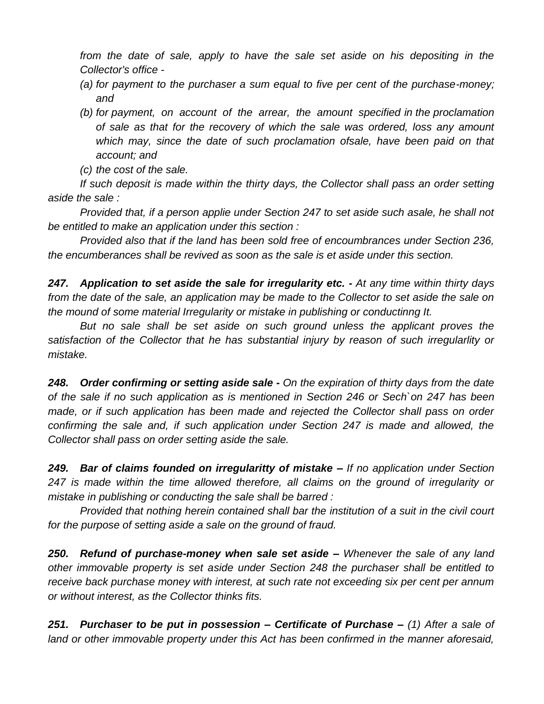*from the date of sale, apply to have the sale set aside on his depositing in the Collector's office -*

- *(a) for payment to the purchaser a sum equal to five per cent of the purchase-money; and*
- *(b) for payment, on account of the arrear, the amount specified in the proclamation of sale as that for the recovery of which the sale was ordered, loss any amount which may, since the date of such proclamation ofsale, have been paid on that account; and*
- *(c) the cost of the sale.*

*If such deposit is made within the thirty days, the Collector shall pass an order setting aside the sale :*

*Provided that, if a person applie under Section 247 to set aside such asale, he shall not be entitled to make an application under this section :*

*Provided also that if the land has been sold free of encoumbrances under Section 236, the encumberances shall be revived as soon as the sale is et aside under this section.*

*247. Application to set aside the sale for irregularity etc. - At any time within thirty days from the date of the sale, an application may be made to the Collector to set aside the sale on the mound of some material Irregularity or mistake in publishing or conductinng It.*

But no sale shall be set aside on such ground unless the applicant proves the *satisfaction of the Collector that he has substantial injury by reason of such irregularlity or mistake.*

*248. Order confirming or setting aside sale - On the expiration of thirty days from the date of the sale if no such application as is mentioned in Section 246 or Sech`on 247 has been made, or if such application has been made and rejected the Collector shall pass on order confirming the sale and, if such application under Section 247 is made and allowed, the Collector shall pass on order setting aside the sale.*

*249. Bar of claims founded on irregularitty of mistake – If no application under Section 247 is made within the time allowed therefore, all claims on the ground of irregularity or mistake in publishing or conducting the sale shall be barred :*

*Provided that nothing herein contained shall bar the institution of a suit in the civil court for the purpose of setting aside a sale on the ground of fraud.*

*250. Refund of purchase-money when sale set aside – Whenever the sale of any land other immovable property is set aside under Section 248 the purchaser shall be entitled to receive back purchase money with interest, at such rate not exceeding six per cent per annum or without interest, as the Collector thinks fits.*

*251. Purchaser to be put in possession – Certificate of Purchase – (1) After a sale of land or other immovable property under this Act has been confirmed in the manner aforesaid,*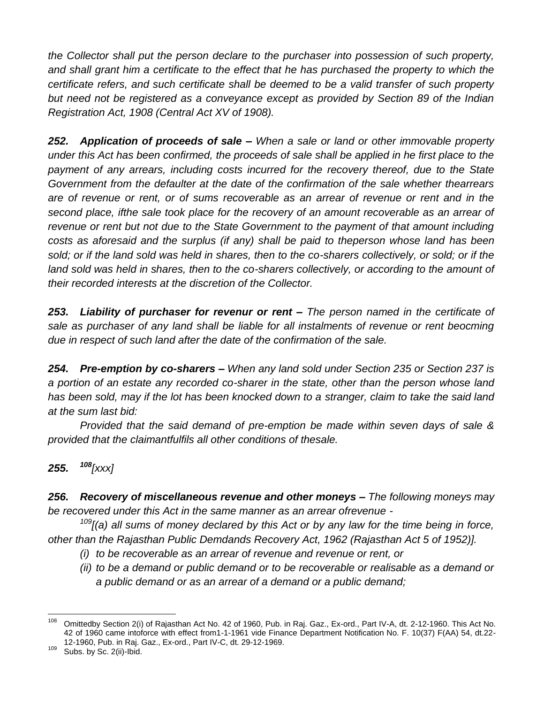*the Collector shall put the person declare to the purchaser into possession of such property, and shall grant him a certificate to the effect that he has purchased the property to which the certificate refers, and such certificate shall be deemed to be a valid transfer of such property but need not be registered as a conveyance except as provided by Section 89 of the Indian Registration Act, 1908 (Central Act XV of 1908).*

*252. Application of proceeds of sale – When a sale or land or other immovable property under this Act has been confirmed, the proceeds of sale shall be applied in he first place to the payment of any arrears, including costs incurred for the recovery thereof, due to the State Government from the defaulter at the date of the confirmation of the sale whether thearrears are of revenue or rent, or of sums recoverable as an arrear of revenue or rent and in the second place, ifthe sale took place for the recovery of an amount recoverable as an arrear of revenue or rent but not due to the State Government to the payment of that amount including costs as aforesaid and the surplus (if any) shall be paid to theperson whose land has been*  sold; or if the land sold was held in shares, then to the co-sharers collectively, or sold; or if the land sold was held in shares, then to the co-sharers collectively, or according to the amount of *their recorded interests at the discretion of the Collector.*

*253. Liability of purchaser for revenur or rent – The person named in the certificate of sale as purchaser of any land shall be liable for all instalments of revenue or rent beocming due in respect of such land after the date of the confirmation of the sale.*

*254. Pre-emption by co-sharers – When any land sold under Section 235 or Section 237 is a portion of an estate any recorded co-sharer in the state, other than the person whose land has been sold, may if the lot has been knocked down to a stranger, claim to take the said land at the sum last bid:*

*Provided that the said demand of pre-emption be made within seven days of sale & provided that the claimantfulfils all other conditions of thesale.*

## *255. <sup>108</sup>[xxx]*

*256. Recovery of miscellaneous revenue and other moneys – The following moneys may be recovered under this Act in the same manner as an arrear ofrevenue -*

*<sup>109</sup>[(a) all sums of money declared by this Act or by any law for the time being in force, other than the Rajasthan Public Demdands Recovery Act, 1962 (Rajasthan Act 5 of 1952)].*

- *(i) to be recoverable as an arrear of revenue and revenue or rent, or*
- *(ii) to be a demand or public demand or to be recoverable or realisable as a demand or a public demand or as an arrear of a demand or a public demand;*

<sup>108</sup> <sup>108</sup> Omittedby Section 2(i) of Rajasthan Act No. 42 of 1960, Pub. in Raj. Gaz., Ex-ord., Part IV-A, dt. 2-12-1960. This Act No. 42 of 1960 came intoforce with effect from1-1-1961 vide Finance Department Notification No. F. 10(37) F(AA) 54, dt.22- 12-1960, Pub. in Raj. Gaz., Ex-ord., Part IV-C, dt. 29-12-1969.

 $109$  Subs. by Sc. 2(ii)-Ibid.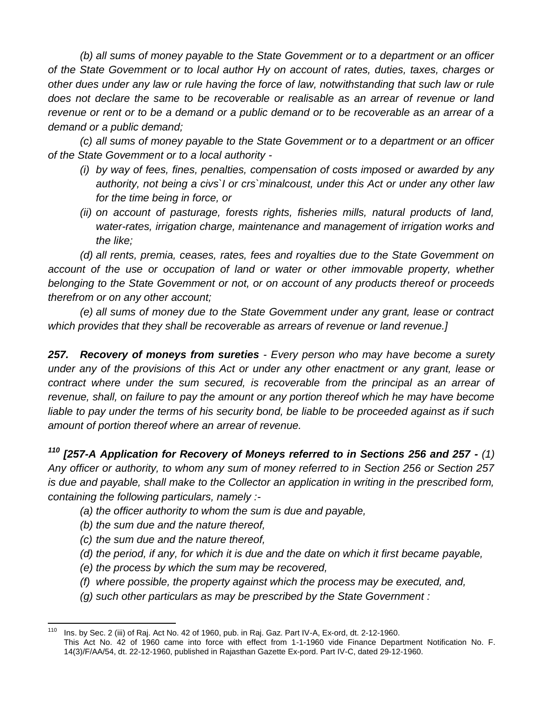*(b) all sums of money payable to the State Govemment or to a department or an officer of the State Govemment or to local author Hy on account of rates, duties, taxes, charges or other dues under any law or rule having the force of law, notwithstanding that such law or rule does not declare the same to be recoverable or realisable as an arrear of revenue or land revenue or rent or to be a demand or a public demand or to be recoverable as an arrear of a demand or a public demand;*

*(c) all sums of money payable to the State Govemment or to a department or an officer of the State Govemment or to a local authority -*

- *(i) by way of fees, fines, penalties, compensation of costs imposed or awarded by any authority, not being a civs`I or crs`minalcoust, under this Act or under any other law for the time being in force, or*
- *(ii) on account of pasturage, forests rights, fisheries mills, natural products of land, water-rates, irrigation charge, maintenance and management of irrigation works and the like;*

*(d) all rents, premia, ceases, rates, fees and royalties due to the State Govemment on account of the use or occupation of land or water or other immovable property, whether belonging to the State Govemment or not, or on account of any products thereof or proceeds therefrom or on any other account;*

*(e) all sums of money due to the State Govemment under any grant, lease or contract which provides that they shall be recoverable as arrears of revenue or land revenue.]*

*257. Recovery of moneys from sureties - Every person who may have become a surety under any of the provisions of this Act or under any other enactment or any grant, lease or contract where under the sum secured, is recoverable from the principal as an arrear of revenue, shall, on failure to pay the amount or any portion thereof which he may have become liable to pay under the terms of his security bond, be liable to be proceeded against as if such amount of portion thereof where an arrear of revenue.*

*<sup>110</sup> [257-A Application for Recovery of Moneys referred to in Sections 256 and 257 - (1) Any officer or authority, to whom any sum of money referred to in Section 256 or Section 257 is due and payable, shall make to the Collector an application in writing in the prescribed form, containing the following particulars, namely :-*

- *(a) the officer authority to whom the sum is due and payable,*
- *(b) the sum due and the nature thereof,*
- *(c) the sum due and the nature thereof,*
- *(d) the period, if any, for which it is due and the date on which it first became payable,*
- *(e) the process by which the sum may be recovered,*
- *(f) where possible, the property against which the process may be executed, and,*
- *(g) such other particulars as may be prescribed by the State Government :*

<sup>110</sup> <sup>110</sup> Ins. by Sec. 2 (iii) of Raj. Act No. 42 of 1960, pub. in Raj. Gaz. Part IV-A, Ex-ord, dt. 2-12-1960. This Act No. 42 of 1960 came into force with effect from 1-1-1960 vide Finance Department Notification No. F. 14(3)/F/AA/54, dt. 22-12-1960, published in Rajasthan Gazette Ex-pord. Part IV-C, dated 29-12-1960.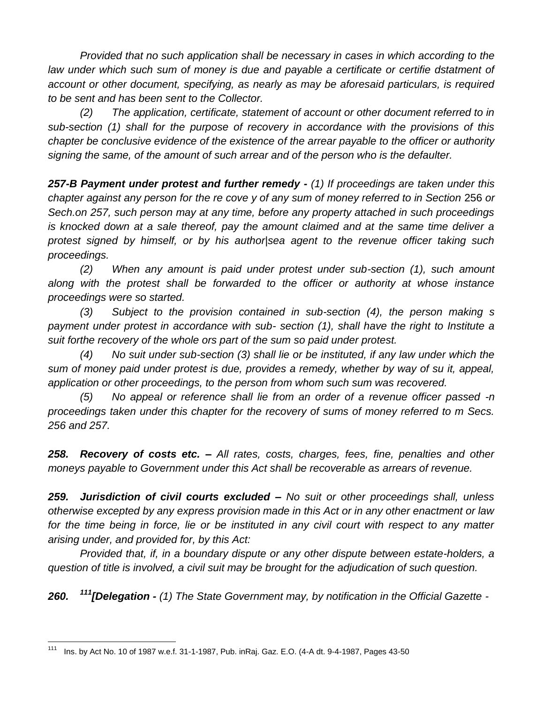*Provided that no such application shall be necessary in cases in which according to the*  law under which such sum of money is due and payable a certificate or certifie dstatment of *account or other document, specifying, as nearly as may be aforesaid particulars, is required to be sent and has been sent to the Collector.*

*(2) The application, certificate, statement of account or other document referred to in sub-section (1) shall for the purpose of recovery in accordance with the provisions of this chapter be conclusive evidence of the existence of the arrear payable to the officer or authority signing the same, of the amount of such arrear and of the person who is the defaulter.*

*257-B Payment under protest and further remedy - (1) If proceedings are taken under this chapter against any person for the re cove y of any sum of money referred to in Section 256 or Sech.on 257, such person may at any time, before any property attached in such proceedings is knocked down at a sale thereof, pay the amount claimed and at the same time deliver a protest signed by himself, or by his author|sea agent to the revenue officer taking such proceedings.*

*(2) When any amount is paid under protest under sub-section (1), such amount along with the protest shall be forwarded to the officer or authority at whose instance proceedings were so started.*

*(3) Subject to the provision contained in sub-section (4), the person making s payment under protest in accordance with sub- section (1), shall have the right to Institute a suit forthe recovery of the whole ors part of the sum so paid under protest.*

*(4) No suit under sub-section (3) shall lie or be instituted, if any law under which the sum of money paid under protest is due, provides a remedy, whether by way of su it, appeal, application or other proceedings, to the person from whom such sum was recovered.*

*(5) No appeal or reference shall lie from an order of a revenue officer passed -n proceedings taken under this chapter for the recovery of sums of money referred to m Secs. 256 and 257.*

*258. Recovery of costs etc. – All rates, costs, charges, fees, fine, penalties and other moneys payable to Government under this Act shall be recoverable as arrears of revenue.*

*259. Jurisdiction of civil courts excluded – No suit or other proceedings shall, unless otherwise excepted by any express provision made in this Act or in any other enactment or law*  for the time being in force, lie or be instituted in any civil court with respect to any matter *arising under, and provided for, by this Act:*

*Provided that, if, in a boundary dispute or any other dispute between estate-holders, a question of title is involved, a civil suit may be brought for the adjudication of such question.*

*260. <sup>111</sup>[Delegation - (1) The State Government may, by notification in the Official Gazette -*

<sup>111</sup> <sup>111</sup> Ins. by Act No. 10 of 1987 w.e.f. 31-1-1987, Pub. inRaj. Gaz. E.O. (4-A dt. 9-4-1987, Pages 43-50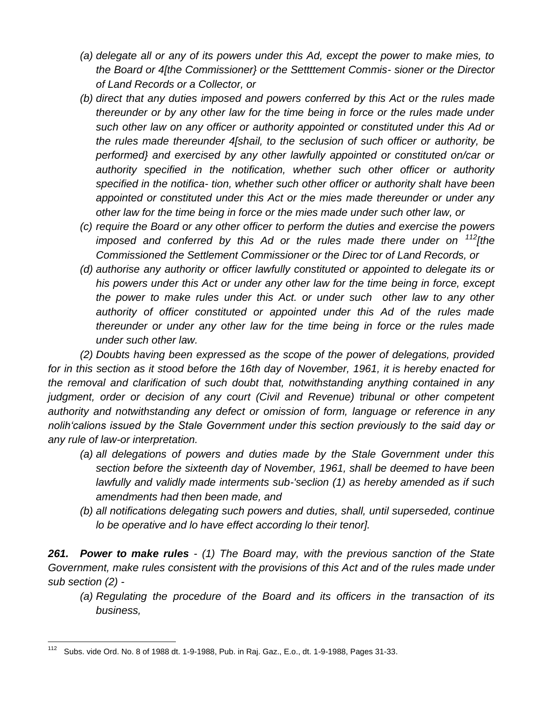- *(a) delegate all or any of its powers under this Ad, except the power to make mies, to the Board or 4[the Commissioner} or the Settttement Commis- sioner or the Director of Land Records or a Collector, or*
- *(b) direct that any duties imposed and powers conferred by this Act or the rules made thereunder or by any other law for the time being in force or the rules made under such other law on any officer or authority appointed or constituted under this Ad or the rules made thereunder 4[shail, to the seclusion of such officer or authority, be performed} and exercised by any other lawfully appointed or constituted on/car or authority specified in the notification, whether such other officer or authority specified in the notifica- tion, whether such other officer or authority shalt have been appointed or constituted under this Act or the mies made thereunder or under any other law for the time being in force or the mies made under such other law, or*
- *(c) require the Board or any other officer to perform the duties and exercise the powers imposed and conferred by this Ad or the rules made there under on <sup>112</sup><i>[the Commissioned the Settlement Commissioner or the Direc tor of Land Records, or*
- *(d) authorise any authority or officer lawfully constituted or appointed to delegate its or his powers under this Act or under any other law for the time being in force, except the power to make rules under this Act. or under such other law to any other authority of officer constituted or appointed under this Ad of the rules made thereunder or under any other law for the time being in force or the rules made under such other law.*

*(2) Doubts having been expressed as the scope of the power of delegations, provided for in this section as it stood before the 16th day of November, 1961, it is hereby enacted for the removal and clarification of such doubt that, notwithstanding anything contained in any judgment, order or decision of any court (Civil and Revenue) tribunal or other competent authority and notwithstanding any defect or omission of form, language or reference in any nolih'calions issued by the Stale Government under this section previously to the said day or any rule of law-or interpretation.*

- *(a) all delegations of powers and duties made by the Stale Government under this section before the sixteenth day of November, 1961, shall be deemed to have been lawfully and validly made interments sub-'seclion (1) as hereby amended as if such amendments had then been made, and*
- *(b) all notifications delegating such powers and duties, shall, until superseded, continue lo be operative and lo have effect according lo their tenor].*

*261. Power to make rules - (1) The Board may, with the previous sanction of the State Government, make rules consistent with the provisions of this Act and of the rules made under sub section (2) -*

*(a) Regulating the procedure of the Board and its officers in the transaction of its business,*

<sup>112</sup> <sup>112</sup> Subs. vide Ord. No. 8 of 1988 dt. 1-9-1988, Pub. in Raj. Gaz., E.o., dt. 1-9-1988, Pages 31-33.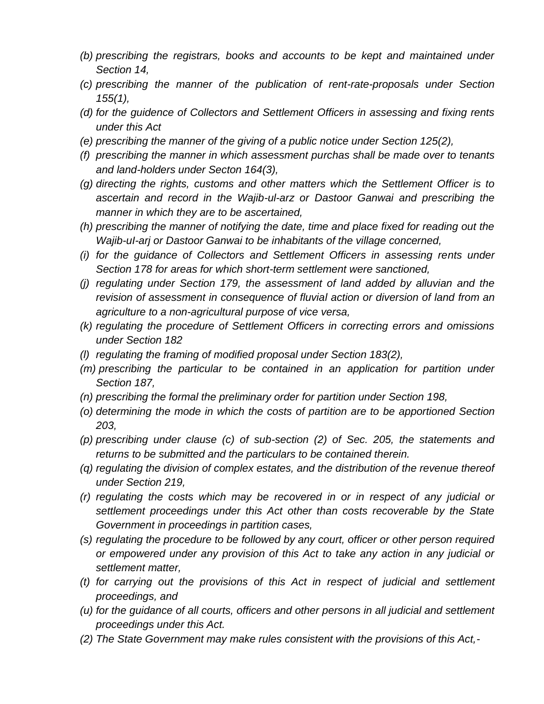- *(b) prescribing the registrars, books and accounts to be kept and maintained under Section 14,*
- *(c) prescribing the manner of the publication of rent-rate-proposals under Section 155(1),*
- *(d) for the guidence of Collectors and Settlement Officers in assessing and fixing rents under this Act*
- *(e) prescribing the manner of the giving of a public notice under Section 125(2),*
- *(f) prescribing the manner in which assessment purchas shall be made over to tenants and land-holders under Secton 164(3),*
- *(g) directing the rights, customs and other matters which the Settlement Officer is to ascertain and record in the Wajib-ul-arz or Dastoor Ganwai and prescribing the manner in which they are to be ascertained,*
- *(h) prescribing the manner of notifying the date, time and place fixed for reading out the Wajib-uI-arj or Dastoor Ganwai to be inhabitants of the village concerned,*
- *(i) for the guidance of Collectors and Settlement Officers in assessing rents under Section 178 for areas for which short-term settlement were sanctioned,*
- *(j) regulating under Section 179, the assessment of land added by alluvian and the revision of assessment in consequence of fluvial action or diversion of land from an agriculture to a non-agricultural purpose of vice versa,*
- *(k) regulating the procedure of Settlement Officers in correcting errors and omissions under Section 182*
- *(l) regulating the framing of modified proposal under Section 183(2),*
- *(m) prescribing the particular to be contained in an application for partition under Section 187,*
- *(n) prescribing the formal the preliminary order for partition under Section 198,*
- *(o) determining the mode in which the costs of partition are to be apportioned Section 203,*
- *(p) prescribing under clause (c) of sub-section (2) of Sec. 205, the statements and returns to be submitted and the particulars to be contained therein.*
- *(q) regulating the division of complex estates, and the distribution of the revenue thereof under Section 219,*
- *(r) regulating the costs which may be recovered in or in respect of any judicial or settlement proceedings under this Act other than costs recoverable by the State Government in proceedings in partition cases,*
- *(s) regulating the procedure to be followed by any court, officer or other person required or empowered under any provision of this Act to take any action in any judicial or settlement matter,*
- *(t) for carrying out the provisions of this Act in respect of judicial and settlement proceedings, and*
- *(u) for the guidance of all courts, officers and other persons in all judicial and settlement proceedings under this Act.*
- *(2) The State Government may make rules consistent with the provisions of this Act,-*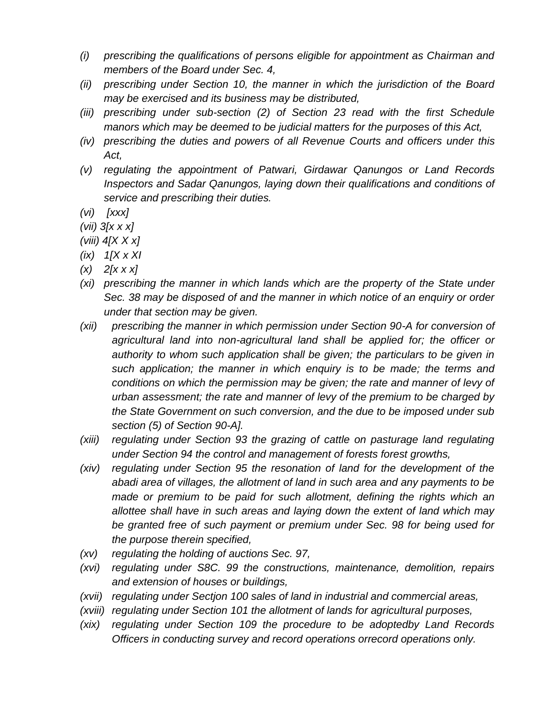- *(i) prescribing the qualifications of persons eligible for appointment as Chairman and members of the Board under Sec. 4,*
- *(ii) prescribing under Section 10, the manner in which the jurisdiction of the Board may be exercised and its business may be distributed,*
- *(iii) prescribing under sub-section (2) of Section 23 read with the first Schedule manors which may be deemed to be judicial matters for the purposes of this Act,*
- *(iv) prescribing the duties and powers of all Revenue Courts and officers under this Act,*
- *(v) regulating the appointment of Patwari, Girdawar Qanungos or Land Records Inspectors and Sadar Qanungos, laying down their qualifications and conditions of service and prescribing their duties.*
- *(vi) [xxx]*
- *(vii) 3[x x x]*
- *(viii) 4[X X x]*
- *(ix) 1[X x XI*
- *(x) 2[x x x]*
- *(xi) prescribing the manner in which lands which are the property of the State under Sec. 38 may be disposed of and the manner in which notice of an enquiry or order under that section may be given.*
- *(xii) prescribing the manner in which permission under Section 90-A for conversion of agricultural land into non-agricultural land shall be applied for; the officer or authority to whom such application shall be given; the particulars to be given in such application; the manner in which enquiry is to be made; the terms and conditions on which the permission may be given; the rate and manner of levy of urban assessment; the rate and manner of levy of the premium to be charged by the State Government on such conversion, and the due to be imposed under sub section (5) of Section 90-A].*
- *(xiii) regulating under Section 93 the grazing of cattle on pasturage land regulating under Section 94 the control and management of forests forest growths,*
- *(xiv) regulating under Section 95 the resonation of land for the development of the abadi area of villages, the allotment of land in such area and any payments to be made or premium to be paid for such allotment, defining the rights which an allottee shall have in such areas and laying down the extent of land which may be granted free of such payment or premium under Sec. 98 for being used for the purpose therein specified,*
- *(xv) regulating the holding of auctions Sec. 97,*
- *(xvi) regulating under S8C. 99 the constructions, maintenance, demolition, repairs and extension of houses or buildings,*
- *(xvii) regulating under Sectjon 100 sales of land in industrial and commercial areas,*
- *(xviii) regulating under Section 101 the allotment of lands for agricultural purposes,*
- *(xix) regulating under Section 109 the procedure to be adoptedby Land Records Officers in conducting survey and record operations orrecord operations only.*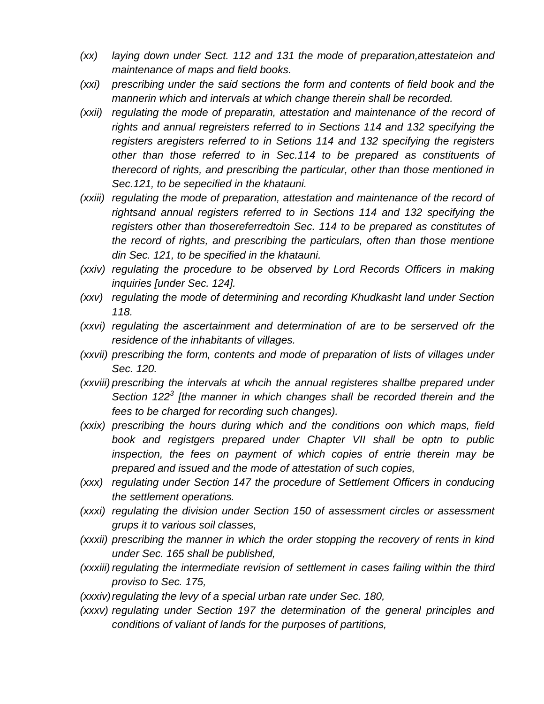- *(xx) laying down under Sect. 112 and 131 the mode of preparation,attestateion and maintenance of maps and field books.*
- *(xxi) prescribing under the said sections the form and contents of field book and the mannerin which and intervals at which change therein shall be recorded.*
- *(xxii) regulating the mode of preparatin, attestation and maintenance of the record of rights and annual regreisters referred to in Sections 114 and 132 specifying the registers aregisters referred to in Setions 114 and 132 specifying the registers other than those referred to in Sec.114 to be prepared as constituents of therecord of rights, and prescribing the particular, other than those mentioned in Sec.121, to be sepecified in the khatauni.*
- *(xxiii) regulating the mode of preparation, attestation and maintenance of the record of rightsand annual registers referred to in Sections 114 and 132 specifying the registers other than thosereferredtoin Sec. 114 to be prepared as constitutes of the record of rights, and prescribing the particulars, often than those mentione din Sec. 121, to be specified in the khatauni.*
- *(xxiv) regulating the procedure to be observed by Lord Records Officers in making inquiries [under Sec. 124].*
- *(xxv) regulating the mode of determining and recording Khudkasht land under Section 118.*
- *(xxvi) regulating the ascertainment and determination of are to be serserved ofr the residence of the inhabitants of villages.*
- *(xxvii) prescribing the form, contents and mode of preparation of lists of villages under Sec. 120.*
- *(xxviii) prescribing the intervals at whcih the annual registeres shallbe prepared under Section 122<sup>3</sup> [the manner in which changes shall be recorded therein and the fees to be charged for recording such changes).*
- *(xxix) prescribing the hours during which and the conditions oon which maps, field book and registgers prepared under Chapter VII shall be optn to public inspection, the fees on payment of which copies of entrie therein may be prepared and issued and the mode of attestation of such copies,*
- *(xxx) regulating under Section 147 the procedure of Settlement Officers in conducing the settlement operations.*
- *(xxxi) regulating the division under Section 150 of assessment circles or assessment grups it to various soil classes,*
- *(xxxii) prescribing the manner in which the order stopping the recovery of rents in kind under Sec. 165 shall be published,*
- *(xxxiii) regulating the intermediate revision of settlement in cases failing within the third proviso to Sec. 175,*
- *(xxxiv) regulating the levy of a special urban rate under Sec. 180,*
- *(xxxv) regulating under Section 197 the determination of the general principles and conditions of valiant of lands for the purposes of partitions,*